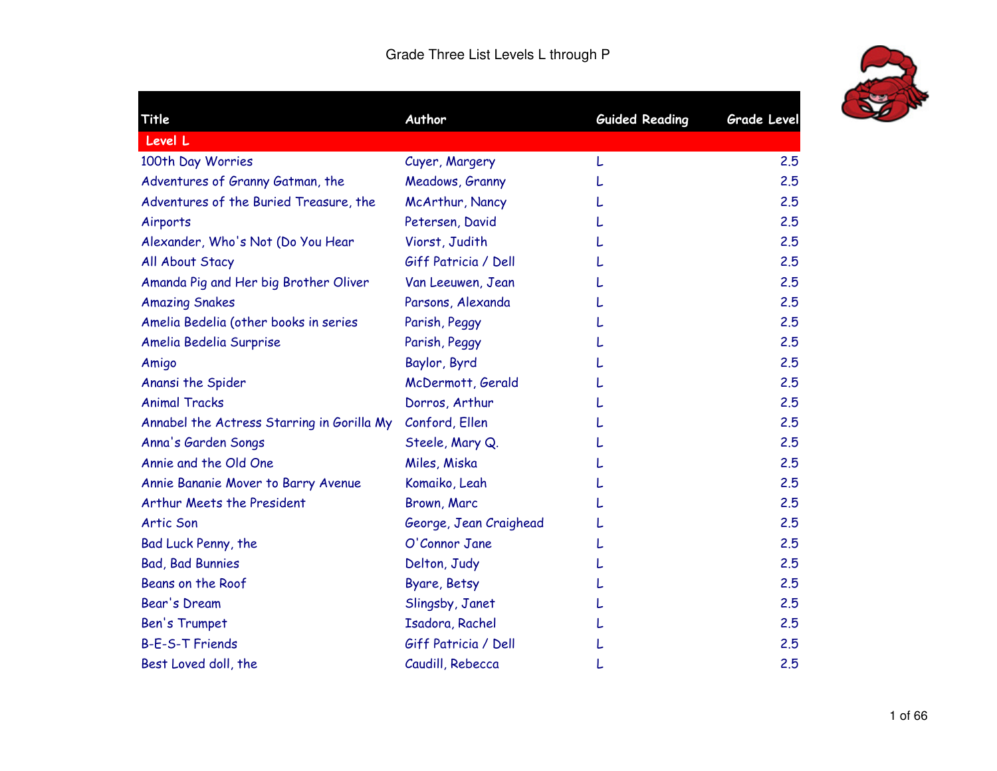

| Title                                      | Author                 | <b>Guided Reading</b> | <b>Grade Level</b> |
|--------------------------------------------|------------------------|-----------------------|--------------------|
| Level L                                    |                        |                       |                    |
| 100th Day Worries                          | Cuyer, Margery         |                       | 2.5                |
| Adventures of Granny Gatman, the           | Meadows, Granny        |                       | 2.5                |
| Adventures of the Buried Treasure, the     | McArthur, Nancy        |                       | 2.5                |
| Airports                                   | Petersen, David        |                       | 2.5                |
| Alexander, Who's Not (Do You Hear          | Viorst, Judith         |                       | 2.5                |
| All About Stacy                            | Giff Patricia / Dell   |                       | 2.5                |
| Amanda Pig and Her big Brother Oliver      | Van Leeuwen, Jean      |                       | 2.5                |
| <b>Amazing Snakes</b>                      | Parsons, Alexanda      |                       | 2.5                |
| Amelia Bedelia (other books in series      | Parish, Peggy          |                       | 2.5                |
| Amelia Bedelia Surprise                    | Parish, Peggy          |                       | 2.5                |
| Amigo                                      | Baylor, Byrd           |                       | 2.5                |
| Anansi the Spider                          | McDermott, Gerald      |                       | 2.5                |
| <b>Animal Tracks</b>                       | Dorros, Arthur         |                       | 2.5                |
| Annabel the Actress Starring in Gorilla My | Conford, Ellen         |                       | 2.5                |
| Anna's Garden Songs                        | Steele, Mary Q.        |                       | 2.5                |
| Annie and the Old One                      | Miles, Miska           |                       | 2.5                |
| Annie Bananie Mover to Barry Avenue        | Komaiko, Leah          |                       | 2.5                |
| Arthur Meets the President                 | Brown, Marc            |                       | 2.5                |
| <b>Artic Son</b>                           | George, Jean Craighead |                       | 2.5                |
| Bad Luck Penny, the                        | O'Connor Jane          |                       | 2.5                |
| <b>Bad, Bad Bunnies</b>                    | Delton, Judy           |                       | 2.5                |
| Beans on the Roof                          | Byare, Betsy           |                       | 2.5                |
| Bear's Dream                               | Slingsby, Janet        |                       | 2.5                |
| <b>Ben's Trumpet</b>                       | Isadora, Rachel        |                       | 2.5                |
| <b>B-E-S-T Friends</b>                     | Giff Patricia / Dell   |                       | 2.5                |
| Best Loved doll, the                       | Caudill, Rebecca       |                       | 2.5                |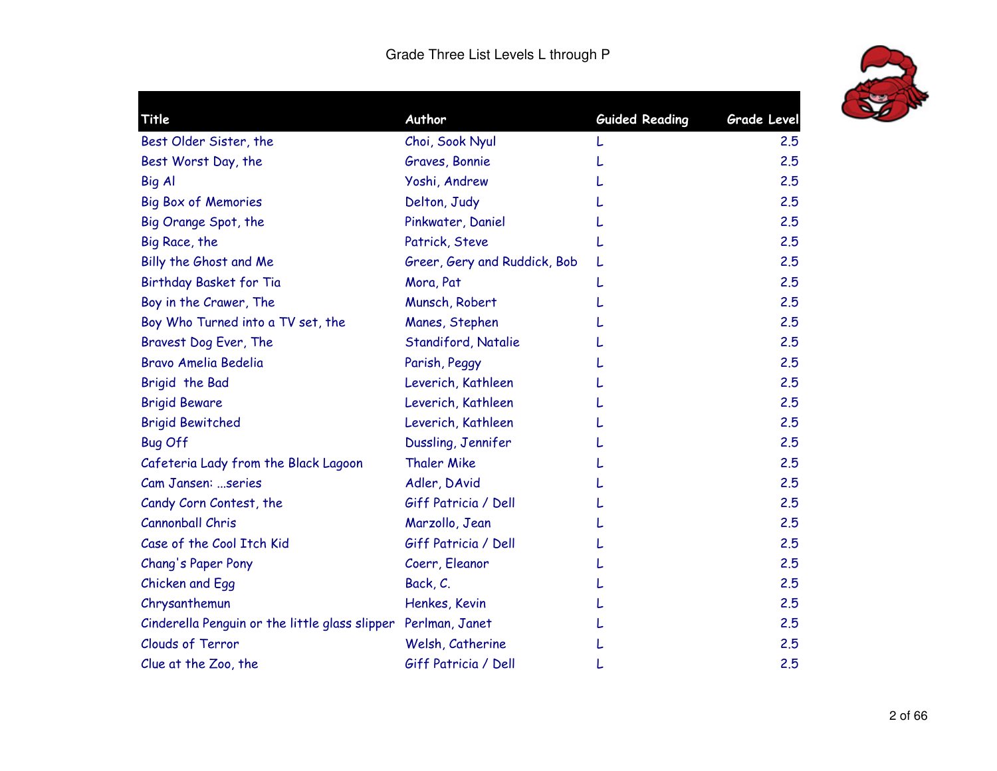

| Title                                          | Author                       | <b>Guided Reading</b> | <b>Grade Level</b> |
|------------------------------------------------|------------------------------|-----------------------|--------------------|
| Best Older Sister, the                         | Choi, Sook Nyul              |                       | 2.5                |
| Best Worst Day, the                            | Graves, Bonnie               |                       | 2.5                |
| <b>Big Al</b>                                  | Yoshi, Andrew                |                       | 2.5                |
| <b>Big Box of Memories</b>                     | Delton, Judy                 |                       | 2.5                |
| Big Orange Spot, the                           | Pinkwater, Daniel            |                       | 2.5                |
| Big Race, the                                  | Patrick, Steve               |                       | 2.5                |
| Billy the Ghost and Me                         | Greer, Gery and Ruddick, Bob |                       | 2.5                |
| Birthday Basket for Tia                        | Mora, Pat                    |                       | 2.5                |
| Boy in the Crawer, The                         | Munsch, Robert               |                       | 2.5                |
| Boy Who Turned into a TV set, the              | Manes, Stephen               |                       | 2.5                |
| Bravest Dog Ever, The                          | Standiford, Natalie          |                       | 2.5                |
| <b>Bravo Amelia Bedelia</b>                    | Parish, Peggy                |                       | 2.5                |
| Brigid the Bad                                 | Leverich, Kathleen           |                       | 2.5                |
| <b>Brigid Beware</b>                           | Leverich, Kathleen           |                       | 2.5                |
| <b>Brigid Bewitched</b>                        | Leverich, Kathleen           |                       | 2.5                |
| <b>Bug Off</b>                                 | Dussling, Jennifer           |                       | 2.5                |
| Cafeteria Lady from the Black Lagoon           | <b>Thaler Mike</b>           |                       | 2.5                |
| Cam Jansen: series                             | Adler, DAvid                 |                       | 2.5                |
| Candy Corn Contest, the                        | Giff Patricia / Dell         |                       | 2.5                |
| Cannonball Chris                               | Marzollo, Jean               |                       | 2.5                |
| Case of the Cool Itch Kid                      | Giff Patricia / Dell         |                       | 2.5                |
| Chang's Paper Pony                             | Coerr, Eleanor               |                       | 2.5                |
| Chicken and Egg                                | Back, C.                     |                       | 2.5                |
| Chrysanthemun                                  | Henkes, Kevin                |                       | 2.5                |
| Cinderella Penguin or the little glass slipper | Perlman, Janet               |                       | 2.5                |
| <b>Clouds of Terror</b>                        | Welsh, Catherine             |                       | 2.5                |
| Clue at the Zoo, the                           | Giff Patricia / Dell         |                       | 2.5                |
|                                                |                              |                       |                    |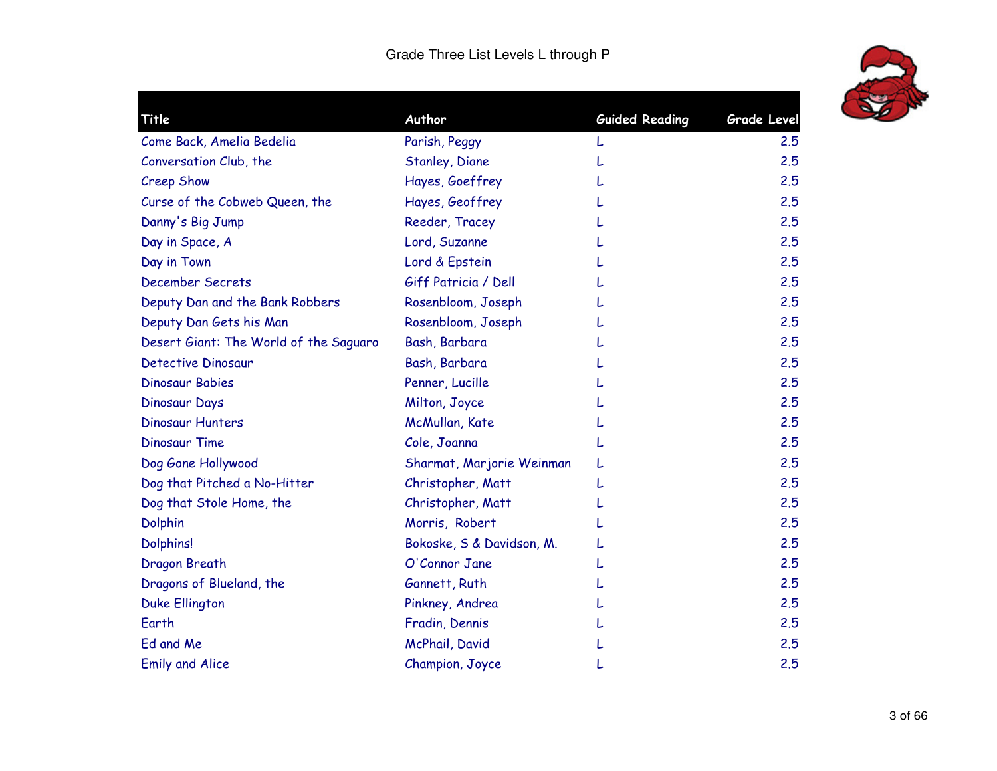

| Title                                  | Author                    | <b>Guided Reading</b> | <b>Grade Level</b> |
|----------------------------------------|---------------------------|-----------------------|--------------------|
| Come Back, Amelia Bedelia              | Parish, Peggy             |                       | 2.5                |
| Conversation Club, the                 | <b>Stanley, Diane</b>     |                       | 2.5                |
| Creep Show                             | Hayes, Goeffrey           |                       | 2.5                |
| Curse of the Cobweb Queen, the         | Hayes, Geoffrey           |                       | 2.5                |
| Danny's Big Jump                       | Reeder, Tracey            |                       | 2.5                |
| Day in Space, A                        | Lord, Suzanne             |                       | 2.5                |
| Day in Town                            | Lord & Epstein            |                       | 2.5                |
| <b>December Secrets</b>                | Giff Patricia / Dell      |                       | 2.5                |
| Deputy Dan and the Bank Robbers        | Rosenbloom, Joseph        |                       | 2.5                |
| Deputy Dan Gets his Man                | Rosenbloom, Joseph        |                       | 2.5                |
| Desert Giant: The World of the Saguaro | Bash, Barbara             |                       | 2.5                |
| <b>Detective Dinosaur</b>              | Bash, Barbara             |                       | 2.5                |
| <b>Dinosaur Babies</b>                 | Penner, Lucille           |                       | 2.5                |
| Dinosaur Days                          | Milton, Joyce             |                       | 2.5                |
| Dinosaur Hunters                       | McMullan, Kate            |                       | 2.5                |
| <b>Dinosaur Time</b>                   | Cole, Joanna              |                       | 2.5                |
| Dog Gone Hollywood                     | Sharmat, Marjorie Weinman |                       | 2.5                |
| Dog that Pitched a No-Hitter           | Christopher, Matt         |                       | 2.5                |
| Dog that Stole Home, the               | Christopher, Matt         |                       | 2.5                |
| Dolphin                                | Morris, Robert            |                       | 2.5                |
| <b>Dolphins!</b>                       | Bokoske, S & Davidson, M. |                       | 2.5                |
| Dragon Breath                          | O'Connor Jane             |                       | 2.5                |
| Dragons of Blueland, the               | Gannett, Ruth             |                       | 2.5                |
| <b>Duke Ellington</b>                  | Pinkney, Andrea           |                       | 2.5                |
| Earth                                  | Fradin, Dennis            |                       | 2.5                |
| Ed and Me                              | McPhail, David            |                       | 2.5                |
| <b>Emily and Alice</b>                 | Champion, Joyce           |                       | 2.5                |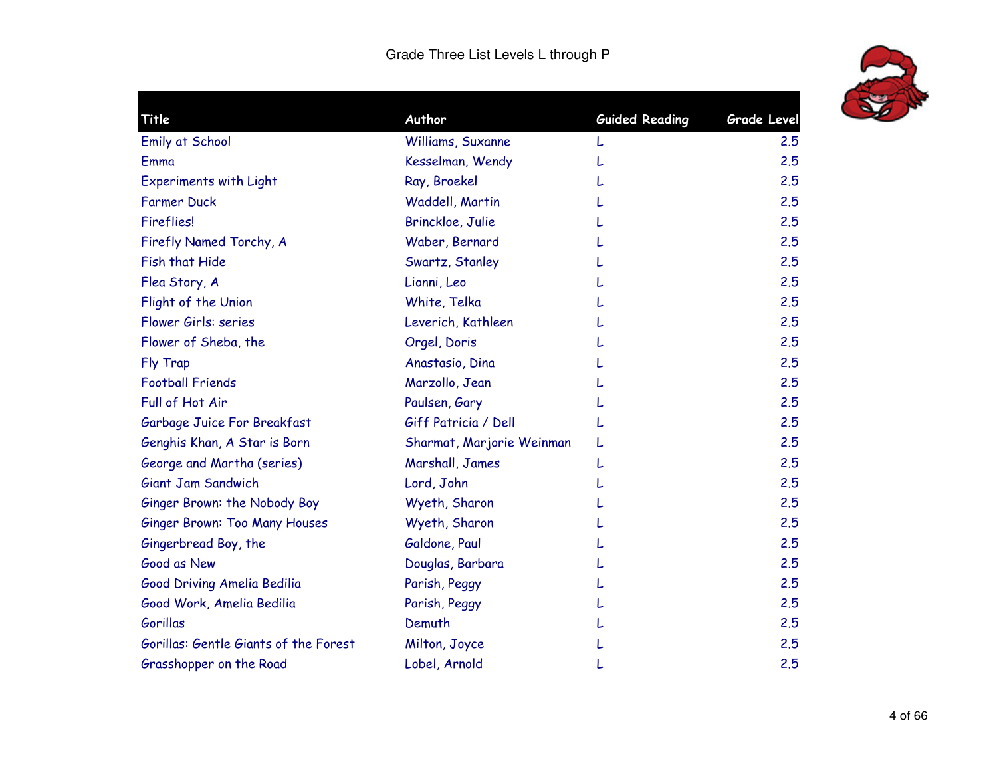

| Title                                 | Author                    | <b>Guided Reading</b> | <b>Grade Level</b> |
|---------------------------------------|---------------------------|-----------------------|--------------------|
| <b>Emily at School</b>                | Williams, Suxanne         |                       | 2.5                |
| Emma                                  | Kesselman, Wendy          |                       | 2.5                |
| <b>Experiments with Light</b>         | Ray, Broekel              |                       | 2.5                |
| <b>Farmer Duck</b>                    | Waddell, Martin           |                       | 2.5                |
| <b>Fireflies!</b>                     | Brinckloe, Julie          |                       | 2.5                |
| Firefly Named Torchy, A               | Waber, Bernard            |                       | 2.5                |
| Fish that Hide                        | Swartz, Stanley           |                       | 2.5                |
| Flea Story, A                         | Lionni, Leo               |                       | 2.5                |
| Flight of the Union                   | White, Telka              |                       | 2.5                |
| Flower Girls: series                  | Leverich, Kathleen        |                       | 2.5                |
| Flower of Sheba, the                  | Orgel, Doris              |                       | 2.5                |
| Fly Trap                              | Anastasio, Dina           |                       | 2.5                |
| <b>Football Friends</b>               | Marzollo, Jean            |                       | 2.5                |
| Full of Hot Air                       | Paulsen, Gary             |                       | 2.5                |
| Garbage Juice For Breakfast           | Giff Patricia / Dell      |                       | 2.5                |
| Genghis Khan, A Star is Born          | Sharmat, Marjorie Weinman |                       | 2.5                |
| George and Martha (series)            | Marshall, James           |                       | 2.5                |
| Giant Jam Sandwich                    | Lord, John                |                       | 2.5                |
| Ginger Brown: the Nobody Boy          | Wyeth, Sharon             |                       | 2.5                |
| <b>Ginger Brown: Too Many Houses</b>  | Wyeth, Sharon             |                       | 2.5                |
| Gingerbread Boy, the                  | Galdone, Paul             |                       | 2.5                |
| Good as New                           | Douglas, Barbara          |                       | 2.5                |
| Good Driving Amelia Bedilia           | Parish, Peggy             |                       | 2.5                |
| Good Work, Amelia Bedilia             | Parish, Peggy             |                       | 2.5                |
| <b>Gorillas</b>                       | Demuth                    |                       | 2.5                |
| Gorillas: Gentle Giants of the Forest | Milton, Joyce             |                       | 2.5                |
| Grasshopper on the Road               | Lobel, Arnold             |                       | 2.5                |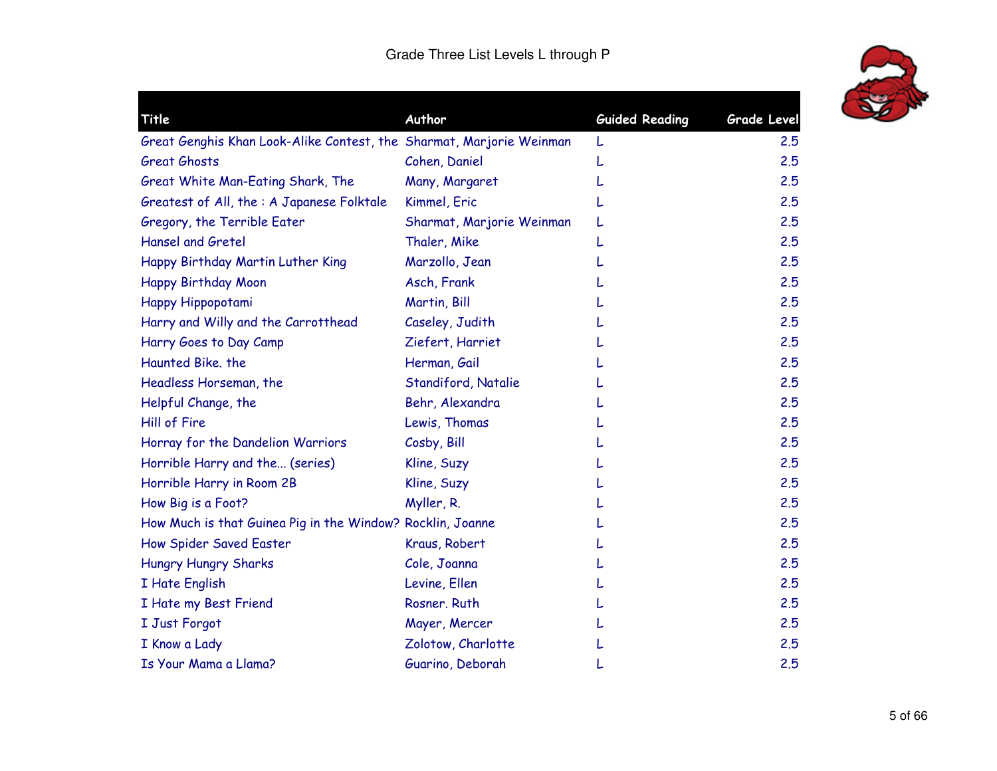

| Grade Level |
|-------------|
| 2.5         |
| 2.5         |
| 2.5         |
| 2.5         |
| 2.5         |
| 2.5         |
| 2.5         |
| 2.5         |
| 2.5         |
| 2.5         |
| 2.5         |
| 2.5         |
| 2.5         |
| 2.5         |
| 2.5         |
| 2.5         |
| 2.5         |
| 2.5         |
| 2.5         |
| 2.5         |
| 2.5         |
| 2.5         |
| 2.5         |
| 2.5         |
| 2.5         |
| 2.5         |
| 2.5         |
|             |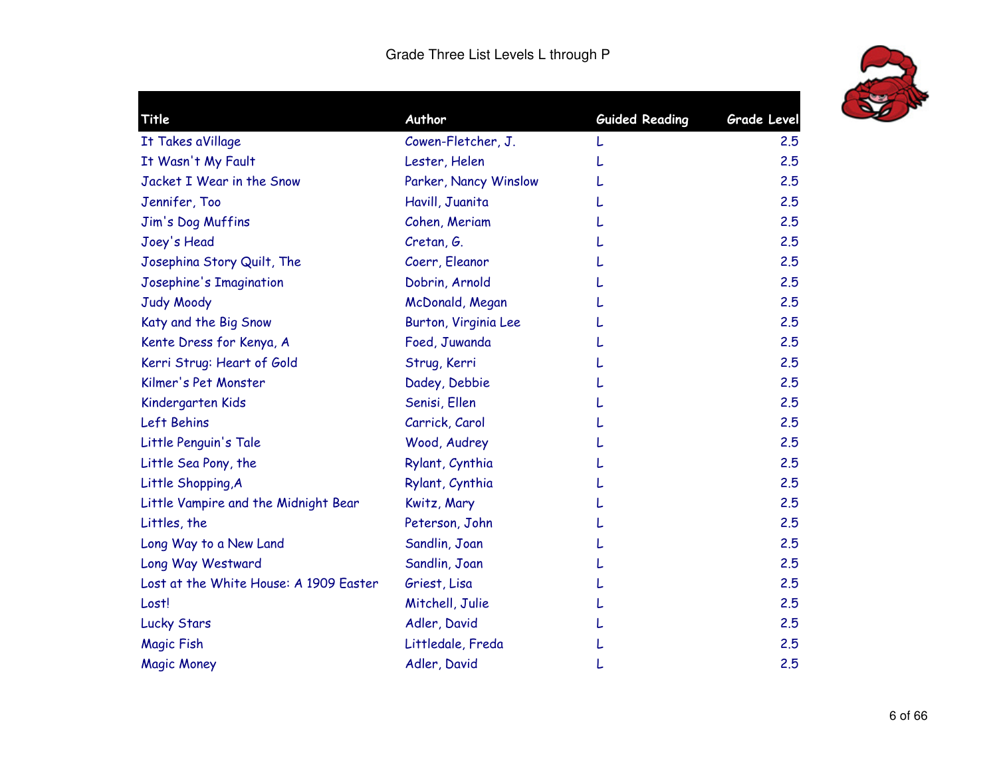

| Title                                  | Author                | <b>Guided Reading</b> | Grade Level |
|----------------------------------------|-----------------------|-----------------------|-------------|
| It Takes aVillage                      | Cowen-Fletcher, J.    |                       | 2.5         |
| It Wasn't My Fault                     | Lester, Helen         |                       | 2.5         |
| Jacket I Wear in the Snow              | Parker, Nancy Winslow |                       | 2.5         |
| Jennifer, Too                          | Havill, Juanita       |                       | 2.5         |
| Jim's Dog Muffins                      | Cohen, Meriam         |                       | 2.5         |
| Joey's Head                            | Cretan, G.            |                       | 2.5         |
| Josephina Story Quilt, The             | Coerr, Eleanor        |                       | 2.5         |
| Josephine's Imagination                | Dobrin, Arnold        |                       | 2.5         |
| Judy Moody                             | McDonald, Megan       |                       | 2.5         |
| Katy and the Big Snow                  | Burton, Virginia Lee  |                       | 2.5         |
| Kente Dress for Kenya, A               | Foed, Juwanda         |                       | 2.5         |
| Kerri Strug: Heart of Gold             | Strug, Kerri          |                       | 2.5         |
| Kilmer's Pet Monster                   | Dadey, Debbie         |                       | 2.5         |
| Kindergarten Kids                      | Senisi, Ellen         |                       | 2.5         |
| Left Behins                            | Carrick, Carol        |                       | 2.5         |
| Little Penguin's Tale                  | Wood, Audrey          |                       | 2.5         |
| Little Sea Pony, the                   | Rylant, Cynthia       |                       | 2.5         |
| Little Shopping, A                     | Rylant, Cynthia       |                       | 2.5         |
| Little Vampire and the Midnight Bear   | Kwitz, Mary           |                       | 2.5         |
| Littles, the                           | Peterson, John        |                       | 2.5         |
| Long Way to a New Land                 | Sandlin, Joan         |                       | 2.5         |
| Long Way Westward                      | Sandlin, Joan         |                       | 2.5         |
| Lost at the White House: A 1909 Easter | Griest, Lisa          |                       | 2.5         |
| Lost!                                  | Mitchell, Julie       |                       | 2.5         |
| <b>Lucky Stars</b>                     | Adler, David          |                       | 2.5         |
| <b>Magic Fish</b>                      | Littledale, Freda     |                       | 2.5         |
| <b>Magic Money</b>                     | Adler, David          |                       | 2.5         |
|                                        |                       |                       |             |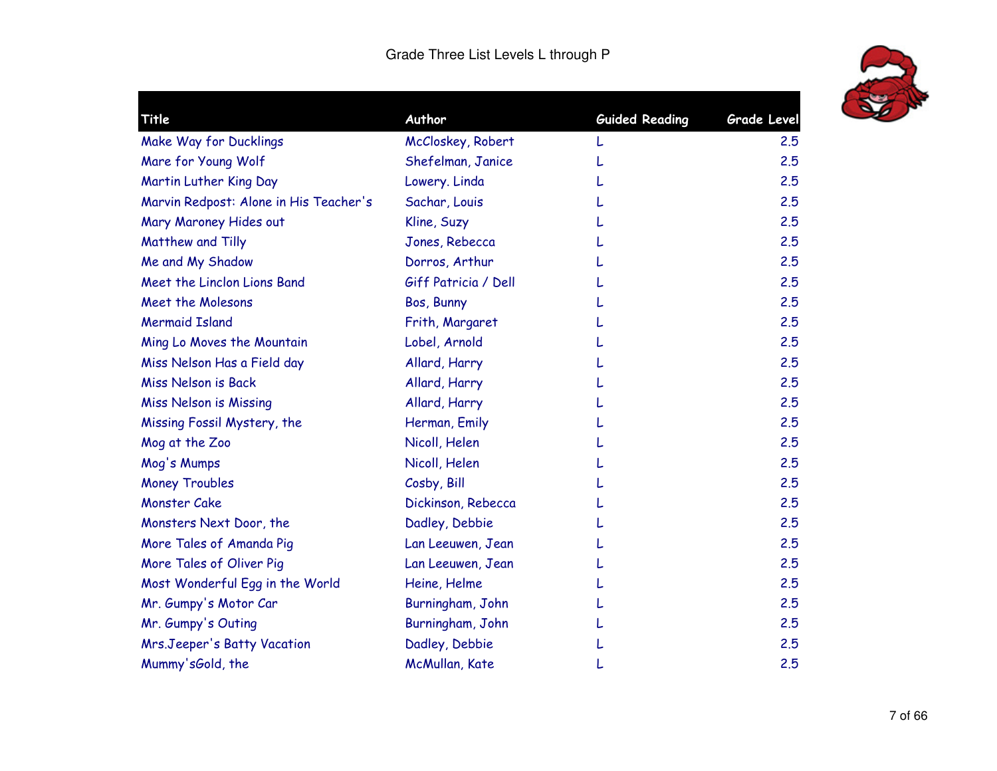

| Title                                  | Author               | <b>Guided Reading</b> | Grade Level |
|----------------------------------------|----------------------|-----------------------|-------------|
| Make Way for Ducklings                 | McCloskey, Robert    |                       | 2.5         |
| Mare for Young Wolf                    | Shefelman, Janice    |                       | 2.5         |
| Martin Luther King Day                 | Lowery. Linda        |                       | 2.5         |
| Marvin Redpost: Alone in His Teacher's | Sachar, Louis        |                       | 2.5         |
| Mary Maroney Hides out                 | Kline, Suzy          |                       | 2.5         |
| Matthew and Tilly                      | Jones, Rebecca       |                       | 2.5         |
| Me and My Shadow                       | Dorros, Arthur       |                       | 2.5         |
| Meet the Linclon Lions Band            | Giff Patricia / Dell |                       | 2.5         |
| Meet the Molesons                      | Bos, Bunny           |                       | 2.5         |
| <b>Mermaid Island</b>                  | Frith, Margaret      |                       | 2.5         |
| Ming Lo Moves the Mountain             | Lobel, Arnold        |                       | 2.5         |
| Miss Nelson Has a Field day            | Allard, Harry        |                       | 2.5         |
| <b>Miss Nelson is Back</b>             | Allard, Harry        |                       | 2.5         |
| <b>Miss Nelson is Missing</b>          | Allard, Harry        |                       | 2.5         |
| Missing Fossil Mystery, the            | Herman, Emily        |                       | 2.5         |
| Mog at the Zoo                         | Nicoll, Helen        |                       | 2.5         |
| Mog's Mumps                            | Nicoll, Helen        |                       | 2.5         |
| <b>Money Troubles</b>                  | Cosby, Bill          |                       | 2.5         |
| <b>Monster Cake</b>                    | Dickinson, Rebecca   |                       | 2.5         |
| Monsters Next Door, the                | Dadley, Debbie       |                       | 2.5         |
| More Tales of Amanda Pig               | Lan Leeuwen, Jean    |                       | 2.5         |
| More Tales of Oliver Pig               | Lan Leeuwen, Jean    |                       | 2.5         |
| Most Wonderful Egg in the World        | Heine, Helme         |                       | 2.5         |
| Mr. Gumpy's Motor Car                  | Burningham, John     |                       | 2.5         |
| Mr. Gumpy's Outing                     | Burningham, John     |                       | 2.5         |
| Mrs.Jeeper's Batty Vacation            | Dadley, Debbie       |                       | 2.5         |
| Mummy'sGold, the                       | McMullan, Kate       |                       | 2.5         |
|                                        |                      |                       |             |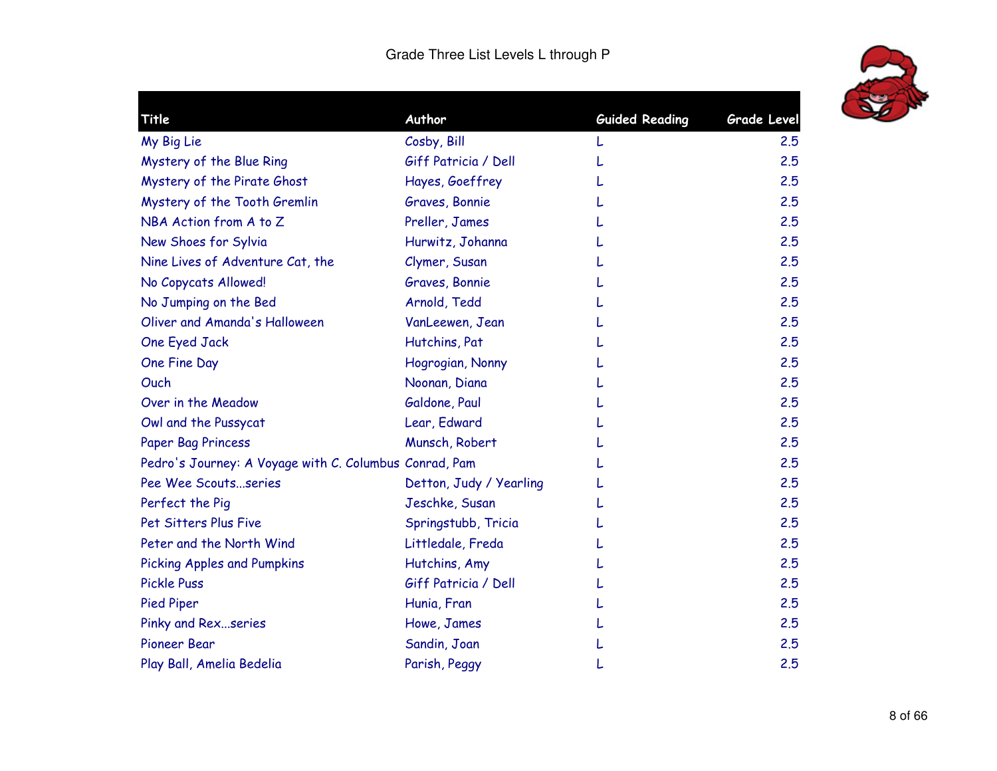

|                                                        | <b>Guided Reading</b> | <b>Grade Level</b> |
|--------------------------------------------------------|-----------------------|--------------------|
|                                                        |                       | 2.5                |
| Giff Patricia / Dell                                   |                       | 2.5                |
| Hayes, Goeffrey                                        |                       | 2.5                |
| Graves, Bonnie                                         |                       | 2.5                |
| Preller, James                                         |                       | 2.5                |
| Hurwitz, Johanna                                       |                       | 2.5                |
| Clymer, Susan                                          |                       | 2.5                |
| Graves, Bonnie                                         |                       | 2.5                |
| Arnold, Tedd                                           |                       | 2.5                |
| VanLeewen, Jean                                        |                       | 2.5                |
| Hutchins, Pat                                          |                       | 2.5                |
| Hogrogian, Nonny                                       |                       | 2.5                |
| Noonan, Diana                                          |                       | 2.5                |
| Galdone, Paul                                          |                       | 2.5                |
| Lear, Edward                                           |                       | 2.5                |
| Munsch, Robert                                         |                       | 2.5                |
| Pedro's Journey: A Voyage with C. Columbus Conrad, Pam |                       | 2.5                |
| Detton, Judy / Yearling                                |                       | 2.5                |
| Jeschke, Susan                                         |                       | 2.5                |
| Springstubb, Tricia                                    |                       | 2.5                |
| Littledale, Freda                                      |                       | 2.5                |
| Hutchins, Amy                                          |                       | 2.5                |
| Giff Patricia / Dell                                   |                       | 2.5                |
| Hunia, Fran                                            |                       | 2.5                |
| Howe, James                                            |                       | 2.5                |
| Sandin, Joan                                           |                       | 2.5                |
| Parish, Peggy                                          |                       | 2.5                |
|                                                        | Cosby, Bill           |                    |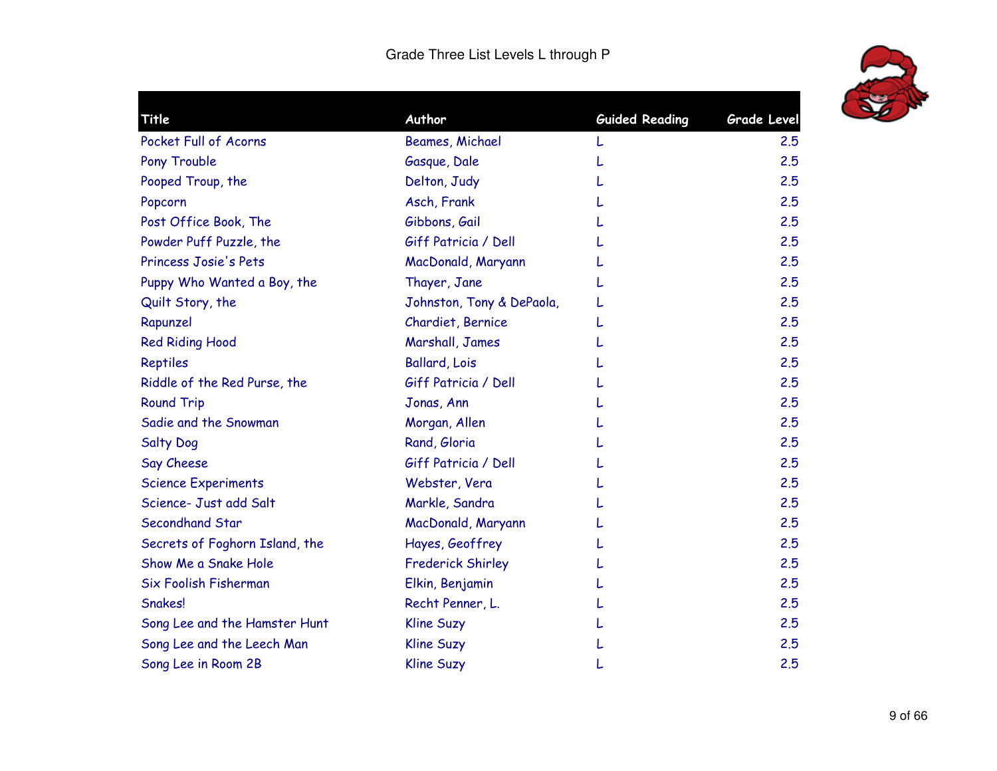

| Title                          | Author                    | <b>Guided Reading</b> | <b>Grade Level</b> |
|--------------------------------|---------------------------|-----------------------|--------------------|
| Pocket Full of Acorns          | Beames, Michael           |                       | 2.5                |
| Pony Trouble                   | Gasque, Dale              |                       | 2.5                |
| Pooped Troup, the              | Delton, Judy              |                       | 2.5                |
| Popcorn                        | Asch, Frank               |                       | 2.5                |
| Post Office Book, The          | Gibbons, Gail             |                       | 2.5                |
| Powder Puff Puzzle, the        | Giff Patricia / Dell      |                       | 2.5                |
| Princess Josie's Pets          | MacDonald, Maryann        |                       | 2.5                |
| Puppy Who Wanted a Boy, the    | Thayer, Jane              |                       | 2.5                |
| Quilt Story, the               | Johnston, Tony & DePaola, |                       | 2.5                |
| Rapunzel                       | Chardiet, Bernice         |                       | 2.5                |
| <b>Red Riding Hood</b>         | Marshall, James           |                       | 2.5                |
| Reptiles                       | <b>Ballard, Lois</b>      |                       | 2.5                |
| Riddle of the Red Purse, the   | Giff Patricia / Dell      |                       | 2.5                |
| <b>Round Trip</b>              | Jonas, Ann                |                       | 2.5                |
| Sadie and the Snowman          | Morgan, Allen             |                       | 2.5                |
| <b>Salty Dog</b>               | Rand, Gloria              |                       | 2.5                |
| Say Cheese                     | Giff Patricia / Dell      |                       | 2.5                |
| <b>Science Experiments</b>     | Webster, Vera             |                       | 2.5                |
| Science- Just add Salt         | Markle, Sandra            |                       | 2.5                |
| Secondhand Star                | MacDonald, Maryann        |                       | 2.5                |
| Secrets of Foghorn Island, the | Hayes, Geoffrey           |                       | 2.5                |
| Show Me a Snake Hole           | <b>Frederick Shirley</b>  |                       | 2.5                |
| Six Foolish Fisherman          | Elkin, Benjamin           |                       | 2.5                |
| Snakes!                        | Recht Penner, L.          |                       | 2.5                |
| Song Lee and the Hamster Hunt  | <b>Kline Suzy</b>         |                       | 2.5                |
| Song Lee and the Leech Man     | <b>Kline Suzy</b>         |                       | 2.5                |
| Song Lee in Room 2B            | <b>Kline Suzy</b>         |                       | 2.5                |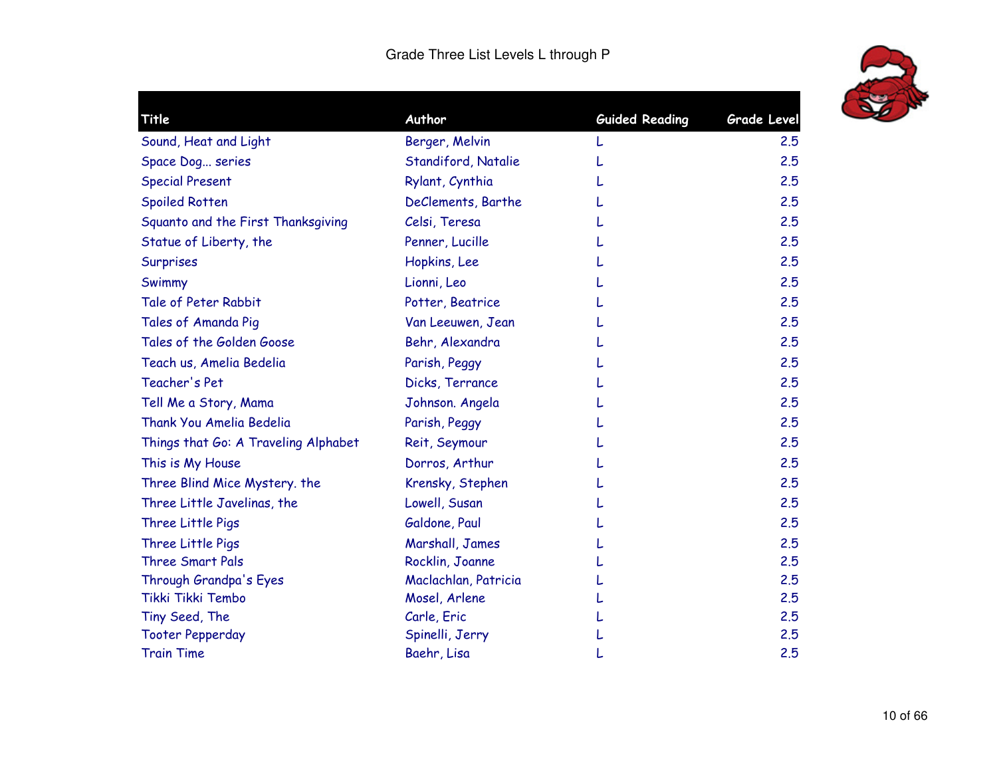

| Title                                | Author               | <b>Guided Reading</b> | <b>Grade Level</b> |
|--------------------------------------|----------------------|-----------------------|--------------------|
| Sound, Heat and Light                | Berger, Melvin       |                       | 2.5                |
| Space Dog series                     | Standiford, Natalie  |                       | 2.5                |
| <b>Special Present</b>               | Rylant, Cynthia      |                       | 2.5                |
| <b>Spoiled Rotten</b>                | DeClements, Barthe   |                       | 2.5                |
| Squanto and the First Thanksgiving   | Celsi, Teresa        |                       | 2.5                |
| Statue of Liberty, the               | Penner, Lucille      |                       | 2.5                |
| Surprises                            | Hopkins, Lee         |                       | 2.5                |
| Swimmy                               | Lionni, Leo          |                       | 2.5                |
| Tale of Peter Rabbit                 | Potter, Beatrice     |                       | 2.5                |
| Tales of Amanda Pig                  | Van Leeuwen, Jean    |                       | 2.5                |
| Tales of the Golden Goose            | Behr, Alexandra      |                       | 2.5                |
| Teach us, Amelia Bedelia             | Parish, Peggy        |                       | 2.5                |
| Teacher's Pet                        | Dicks, Terrance      |                       | 2.5                |
| Tell Me a Story, Mama                | Johnson. Angela      |                       | 2.5                |
| <b>Thank You Amelia Bedelia</b>      | Parish, Peggy        |                       | 2.5                |
| Things that Go: A Traveling Alphabet | Reit, Seymour        |                       | 2.5                |
| This is My House                     | Dorros, Arthur       |                       | 2.5                |
| Three Blind Mice Mystery. the        | Krensky, Stephen     |                       | 2.5                |
| Three Little Javelinas, the          | Lowell, Susan        |                       | 2.5                |
| Three Little Pigs                    | Galdone, Paul        |                       | 2.5                |
| Three Little Pigs                    | Marshall, James      |                       | 2.5                |
| <b>Three Smart Pals</b>              | Rocklin, Joanne      |                       | 2.5                |
| Through Grandpa's Eyes               | Maclachlan, Patricia |                       | 2.5                |
| Tikki Tikki Tembo                    | Mosel, Arlene        |                       | 2.5                |
| Tiny Seed, The                       | Carle, Eric          |                       | 2.5                |
| <b>Tooter Pepperday</b>              | Spinelli, Jerry      |                       | 2.5                |
| <b>Train Time</b>                    | Baehr, Lisa          |                       | 2.5                |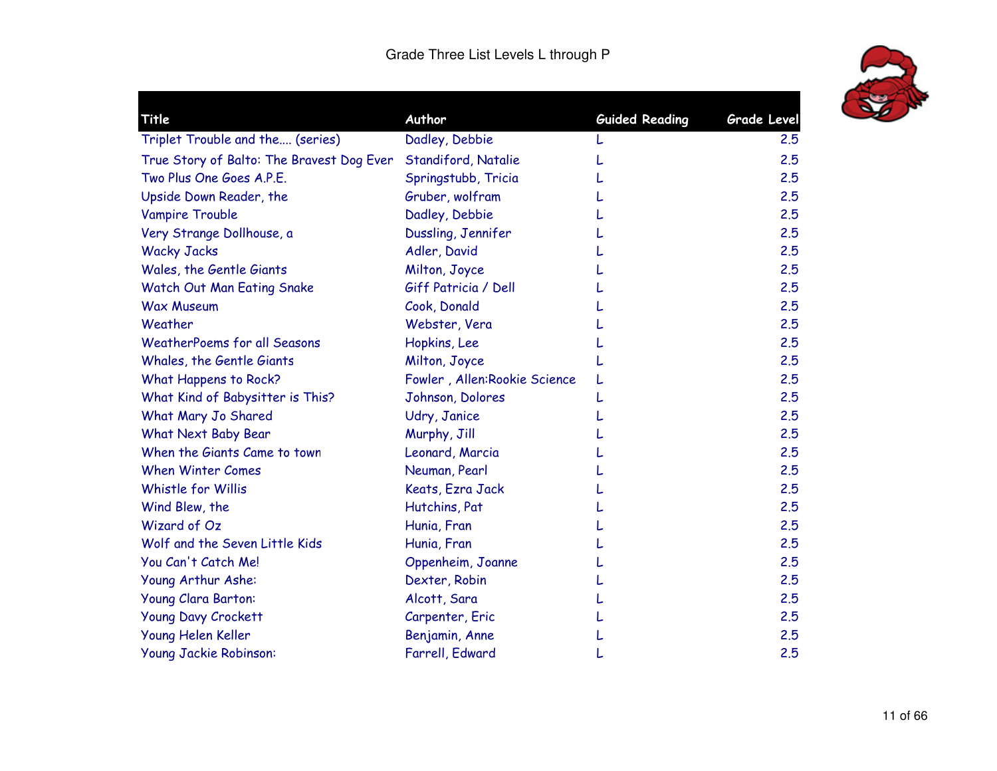

| Title                                     | Author                        | <b>Guided Reading</b> | <b>Grade Level</b> |
|-------------------------------------------|-------------------------------|-----------------------|--------------------|
| Triplet Trouble and the (series)          | Dadley, Debbie                |                       | 2.5                |
| True Story of Balto: The Bravest Dog Ever | Standiford, Natalie           |                       | 2.5                |
| Two Plus One Goes A.P.E.                  | Springstubb, Tricia           |                       | 2.5                |
| Upside Down Reader, the                   | Gruber, wolfram               |                       | 2.5                |
| Vampire Trouble                           | Dadley, Debbie                |                       | 2.5                |
| Very Strange Dollhouse, a                 | Dussling, Jennifer            |                       | 2.5                |
| <b>Wacky Jacks</b>                        | Adler, David                  |                       | 2.5                |
| Wales, the Gentle Giants                  | Milton, Joyce                 |                       | 2.5                |
| Watch Out Man Eating Snake                | Giff Patricia / Dell          |                       | 2.5                |
| <b>Wax Museum</b>                         | Cook, Donald                  |                       | 2.5                |
| Weather                                   | Webster, Vera                 |                       | 2.5                |
| <b>WeatherPoems for all Seasons</b>       | Hopkins, Lee                  |                       | 2.5                |
| Whales, the Gentle Giants                 | Milton, Joyce                 |                       | 2.5                |
| What Happens to Rock?                     | Fowler, Allen: Rookie Science |                       | 2.5                |
| What Kind of Babysitter is This?          | Johnson, Dolores              |                       | 2.5                |
| What Mary Jo Shared                       | Udry, Janice                  |                       | 2.5                |
| What Next Baby Bear                       | Murphy, Jill                  |                       | 2.5                |
| When the Giants Came to town              | Leonard, Marcia               |                       | 2.5                |
| <b>When Winter Comes</b>                  | Neuman, Pearl                 |                       | 2.5                |
| Whistle for Willis                        | Keats, Ezra Jack              |                       | 2.5                |
| Wind Blew, the                            | Hutchins, Pat                 |                       | 2.5                |
| Wizard of Oz                              | Hunia, Fran                   |                       | 2.5                |
| Wolf and the Seven Little Kids            | Hunia, Fran                   |                       | 2.5                |
| You Can't Catch Me!                       | Oppenheim, Joanne             |                       | 2.5                |
| Young Arthur Ashe:                        | Dexter, Robin                 |                       | 2.5                |
| Young Clara Barton:                       | Alcott, Sara                  |                       | 2.5                |
| <b>Young Davy Crockett</b>                | Carpenter, Eric               |                       | 2.5                |
| Young Helen Keller                        | Benjamin, Anne                |                       | 2.5                |
| Young Jackie Robinson:                    | Farrell, Edward               |                       | 2.5                |
|                                           |                               |                       |                    |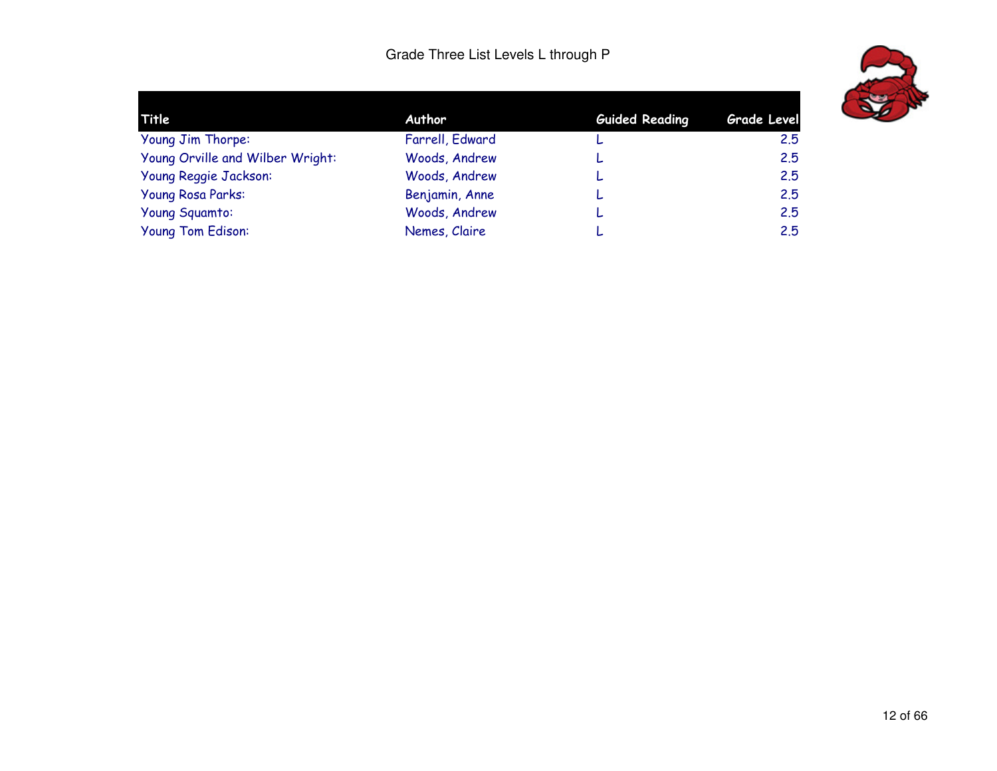

| Title                            | Author          | <b>Guided Reading</b> | Grade Level |
|----------------------------------|-----------------|-----------------------|-------------|
| Young Jim Thorpe:                | Farrell, Edward |                       | 2.5         |
| Young Orville and Wilber Wright: | Woods, Andrew   | ┕                     | 2.5         |
| Young Reggie Jackson:            | Woods, Andrew   | L                     | 2.5         |
| <b>Young Rosa Parks:</b>         | Benjamin, Anne  | ┕                     | 2.5         |
| Young Squamto:                   | Woods, Andrew   | L                     | 2.5         |
| Young Tom Edison:                | Nemes, Claire   |                       | 2.5         |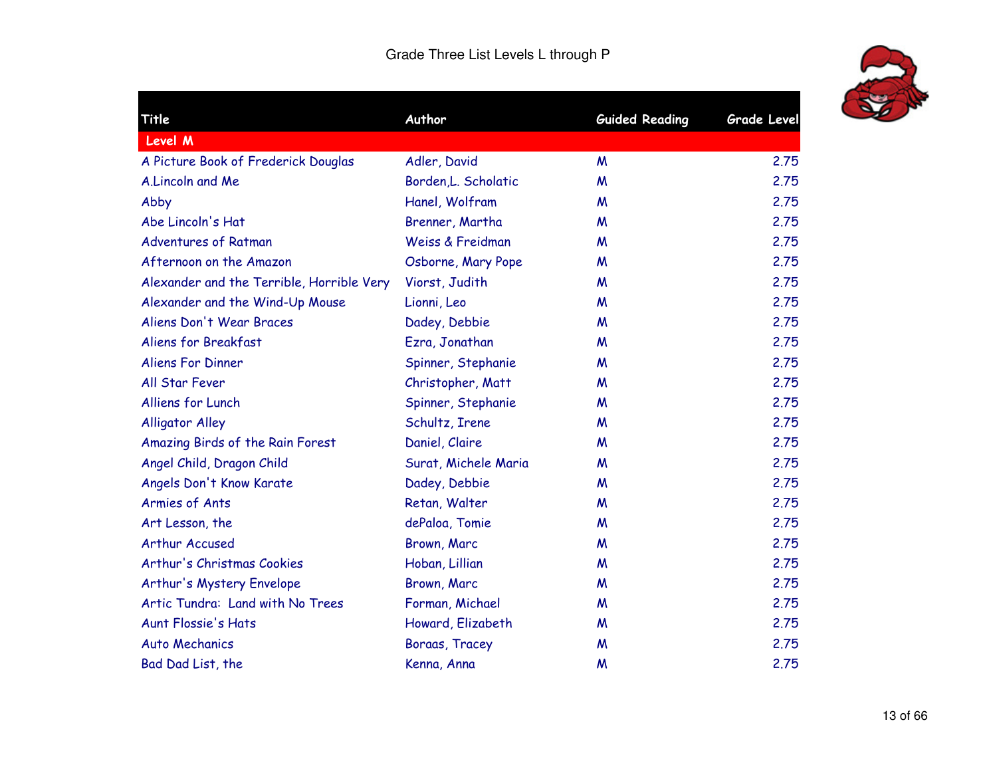

| <b>Title</b>                              | Author               | <b>Guided Reading</b> | <b>Grade Level</b> |
|-------------------------------------------|----------------------|-----------------------|--------------------|
| <b>Level M</b>                            |                      |                       |                    |
| A Picture Book of Frederick Douglas       | Adler, David         | M                     | 2.75               |
| A.Lincoln and Me                          | Borden, L. Scholatic | M                     | 2.75               |
| Abby                                      | Hanel, Wolfram       | M                     | 2.75               |
| Abe Lincoln's Hat                         | Brenner, Martha      | M                     | 2.75               |
| <b>Adventures of Ratman</b>               | Weiss & Freidman     | M                     | 2.75               |
| Afternoon on the Amazon                   | Osborne, Mary Pope   | M                     | 2.75               |
| Alexander and the Terrible, Horrible Very | Viorst, Judith       | M                     | 2.75               |
| Alexander and the Wind-Up Mouse           | Lionni, Leo          | M                     | 2.75               |
| Aliens Don't Wear Braces                  | Dadey, Debbie        | M                     | 2.75               |
| Aliens for Breakfast                      | Ezra, Jonathan       | M                     | 2.75               |
| <b>Aliens For Dinner</b>                  | Spinner, Stephanie   | M                     | 2.75               |
| All Star Fever                            | Christopher, Matt    | M                     | 2.75               |
| Alliens for Lunch                         | Spinner, Stephanie   | M                     | 2.75               |
| <b>Alligator Alley</b>                    | Schultz, Irene       | M                     | 2.75               |
| Amazing Birds of the Rain Forest          | Daniel, Claire       | M                     | 2.75               |
| Angel Child, Dragon Child                 | Surat, Michele Maria | M                     | 2.75               |
| Angels Don't Know Karate                  | Dadey, Debbie        | M                     | 2.75               |
| Armies of Ants                            | Retan, Walter        | M                     | 2.75               |
| Art Lesson, the                           | dePaloa, Tomie       | M                     | 2.75               |
| Arthur Accused                            | Brown, Marc          | M                     | 2.75               |
| Arthur's Christmas Cookies                | Hoban, Lillian       | M                     | 2.75               |
| Arthur's Mystery Envelope                 | Brown, Marc          | M                     | 2.75               |
| Artic Tundra: Land with No Trees          | Forman, Michael      | M                     | 2.75               |
| <b>Aunt Flossie's Hats</b>                | Howard, Elizabeth    | M                     | 2.75               |
| <b>Auto Mechanics</b>                     | Boraas, Tracey       | M                     | 2.75               |
| Bad Dad List, the                         | Kenna, Anna          | M                     | 2.75               |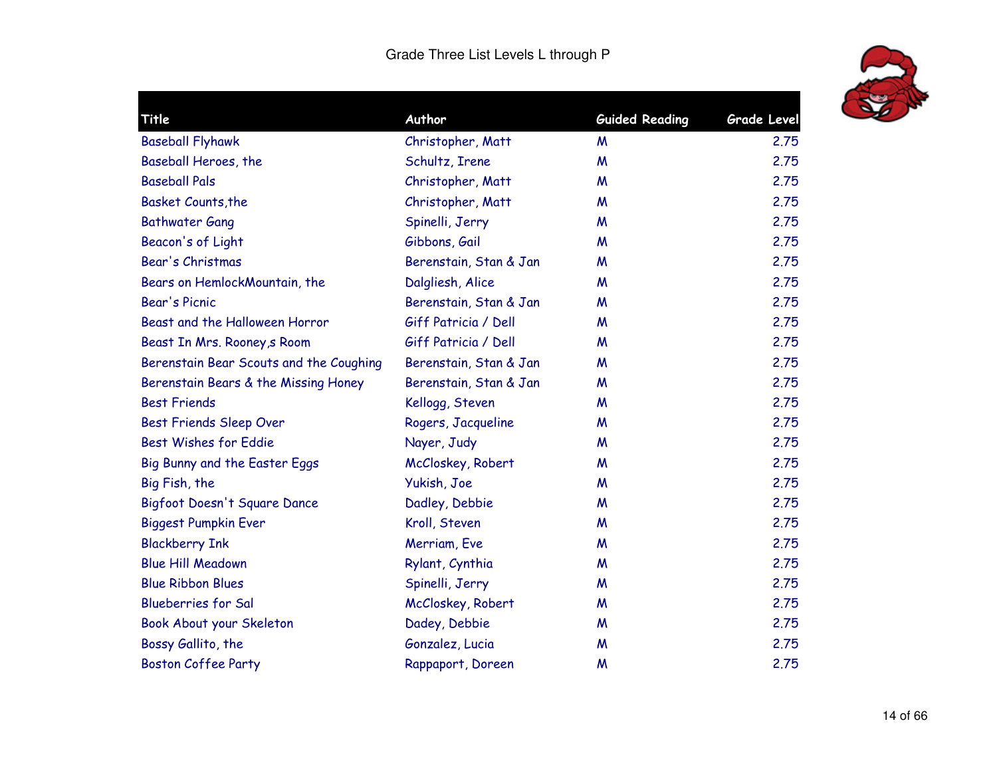

| Title                                   | Author                 | <b>Guided Reading</b> | Grade Level |
|-----------------------------------------|------------------------|-----------------------|-------------|
| <b>Baseball Flyhawk</b>                 | Christopher, Matt      | M                     | 2.75        |
| Baseball Heroes, the                    | Schultz, Irene         | M                     | 2.75        |
| <b>Baseball Pals</b>                    | Christopher, Matt      | M                     | 2.75        |
| <b>Basket Counts, the</b>               | Christopher, Matt      | M                     | 2.75        |
| <b>Bathwater Gang</b>                   | Spinelli, Jerry        | M                     | 2.75        |
| Beacon's of Light                       | Gibbons, Gail          | M                     | 2.75        |
| Bear's Christmas                        | Berenstain, Stan & Jan | M                     | 2.75        |
| Bears on HemlockMountain, the           | Dalgliesh, Alice       | M                     | 2.75        |
| <b>Bear's Picnic</b>                    | Berenstain, Stan & Jan | M                     | 2.75        |
| Beast and the Halloween Horror          | Giff Patricia / Dell   | M                     | 2.75        |
| Beast In Mrs. Rooney, s Room            | Giff Patricia / Dell   | M                     | 2.75        |
| Berenstain Bear Scouts and the Coughing | Berenstain, Stan & Jan | M                     | 2.75        |
| Berenstain Bears & the Missing Honey    | Berenstain, Stan & Jan | M                     | 2.75        |
| <b>Best Friends</b>                     | Kellogg, Steven        | M                     | 2.75        |
| Best Friends Sleep Over                 | Rogers, Jacqueline     | M                     | 2.75        |
| Best Wishes for Eddie                   | Nayer, Judy            | M                     | 2.75        |
| Big Bunny and the Easter Eggs           | McCloskey, Robert      | M                     | 2.75        |
| Big Fish, the                           | Yukish, Joe            | M                     | 2.75        |
| Bigfoot Doesn't Square Dance            | Dadley, Debbie         | M                     | 2.75        |
| <b>Biggest Pumpkin Ever</b>             | Kroll, Steven          | M                     | 2.75        |
| <b>Blackberry Ink</b>                   | Merriam, Eve           | M                     | 2.75        |
| <b>Blue Hill Meadown</b>                | Rylant, Cynthia        | M                     | 2.75        |
| <b>Blue Ribbon Blues</b>                | Spinelli, Jerry        | M                     | 2.75        |
| <b>Blueberries for Sal</b>              | McCloskey, Robert      | M                     | 2.75        |
| Book About your Skeleton                | Dadey, Debbie          | M                     | 2.75        |
| Bossy Gallito, the                      | Gonzalez, Lucia        | M                     | 2.75        |
| <b>Boston Coffee Party</b>              | Rappaport, Doreen      | M                     | 2.75        |
|                                         |                        |                       |             |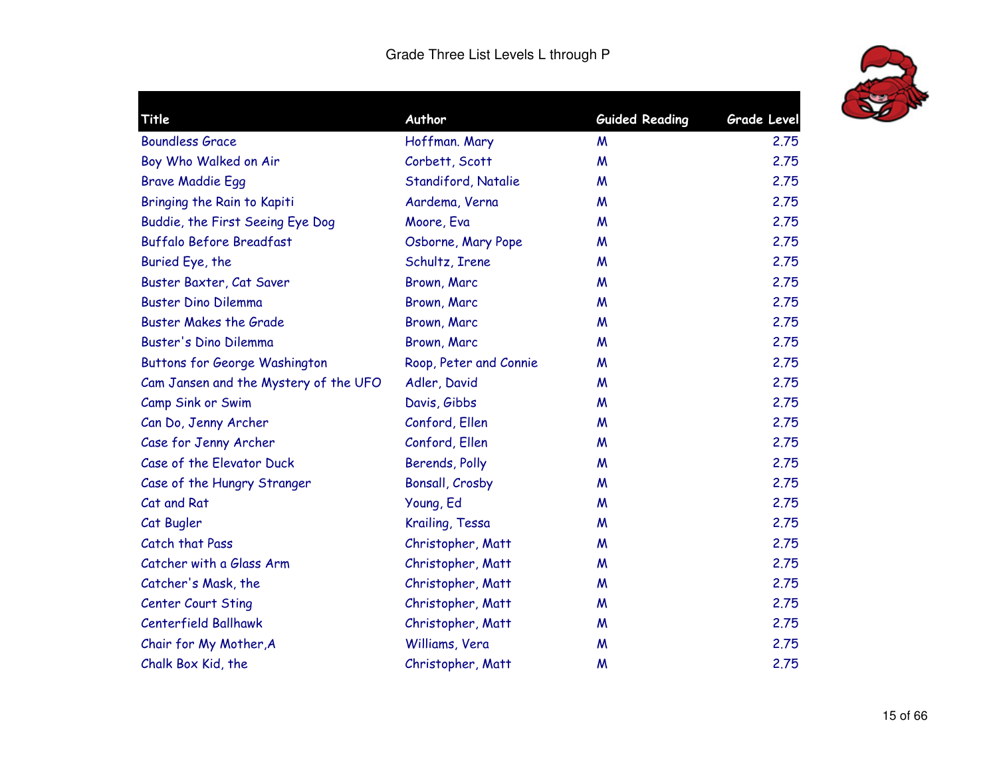

| Title                                 | Author                 | <b>Guided Reading</b> | <b>Grade Level</b> |
|---------------------------------------|------------------------|-----------------------|--------------------|
| <b>Boundless Grace</b>                | Hoffman. Mary          | M                     | 2.75               |
| Boy Who Walked on Air                 | Corbett, Scott         | M                     | 2.75               |
| <b>Brave Maddie Egg</b>               | Standiford, Natalie    | M                     | 2.75               |
| Bringing the Rain to Kapiti           | Aardema, Verna         | M                     | 2.75               |
| Buddie, the First Seeing Eye Dog      | Moore, Eva             | M                     | 2.75               |
| <b>Buffalo Before Breadfast</b>       | Osborne, Mary Pope     | M                     | 2.75               |
| Buried Eye, the                       | Schultz, Irene         | M                     | 2.75               |
| Buster Baxter, Cat Saver              | Brown, Marc            | M                     | 2.75               |
| <b>Buster Dino Dilemma</b>            | Brown, Marc            | M                     | 2.75               |
| <b>Buster Makes the Grade</b>         | Brown, Marc            | M                     | 2.75               |
| Buster's Dino Dilemma                 | Brown, Marc            | M                     | 2.75               |
| <b>Buttons for George Washington</b>  | Roop, Peter and Connie | M                     | 2.75               |
| Cam Jansen and the Mystery of the UFO | Adler, David           | M                     | 2.75               |
| Camp Sink or Swim                     | Davis, Gibbs           | M                     | 2.75               |
| Can Do, Jenny Archer                  | Conford, Ellen         | M                     | 2.75               |
| Case for Jenny Archer                 | Conford, Ellen         | M                     | 2.75               |
| Case of the Elevator Duck             | Berends, Polly         | M                     | 2.75               |
| Case of the Hungry Stranger           | Bonsall, Crosby        | M                     | 2.75               |
| Cat and Rat                           | Young, Ed              | M                     | 2.75               |
| Cat Bugler                            | Krailing, Tessa        | M                     | 2.75               |
| Catch that Pass                       | Christopher, Matt      | M                     | 2.75               |
| Catcher with a Glass Arm              | Christopher, Matt      | M                     | 2.75               |
| Catcher's Mask, the                   | Christopher, Matt      | M                     | 2.75               |
| Center Court Sting                    | Christopher, Matt      | M                     | 2.75               |
| <b>Centerfield Ballhawk</b>           | Christopher, Matt      | M                     | 2.75               |
| Chair for My Mother, A                | Williams, Vera         | M                     | 2.75               |
| Chalk Box Kid, the                    | Christopher, Matt      | M                     | 2.75               |
|                                       |                        |                       |                    |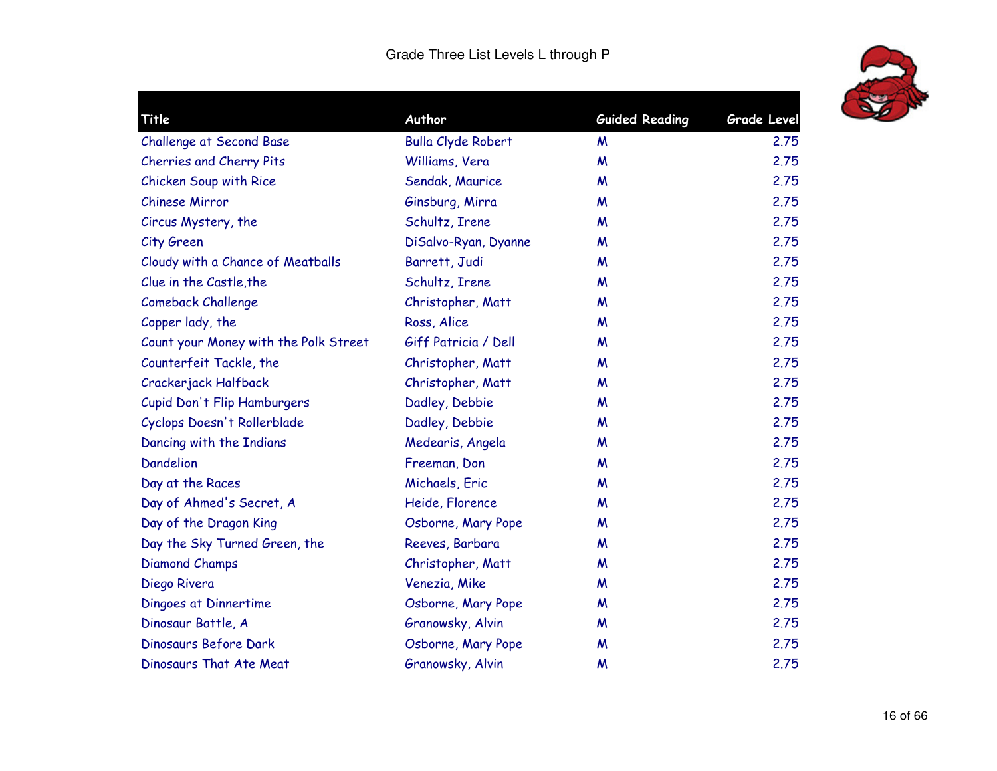

| <b>Title</b>                          | Author                    | <b>Guided Reading</b> | <b>Grade Level</b> |
|---------------------------------------|---------------------------|-----------------------|--------------------|
| <b>Challenge at Second Base</b>       | <b>Bulla Clyde Robert</b> | M                     | 2.75               |
| Cherries and Cherry Pits              | Williams, Vera            | M                     | 2.75               |
| Chicken Soup with Rice                | Sendak, Maurice           | M                     | 2.75               |
| <b>Chinese Mirror</b>                 | Ginsburg, Mirra           | M                     | 2.75               |
| Circus Mystery, the                   | Schultz, Irene            | M                     | 2.75               |
| City Green                            | DiSalvo-Ryan, Dyanne      | M                     | 2.75               |
| Cloudy with a Chance of Meatballs     | Barrett, Judi             | M                     | 2.75               |
| Clue in the Castle, the               | Schultz, Irene            | M                     | 2.75               |
| <b>Comeback Challenge</b>             | Christopher, Matt         | M                     | 2.75               |
| Copper lady, the                      | Ross, Alice               | M                     | 2.75               |
| Count your Money with the Polk Street | Giff Patricia / Dell      | M                     | 2.75               |
| Counterfeit Tackle, the               | Christopher, Matt         | M                     | 2.75               |
| Crackerjack Halfback                  | Christopher, Matt         | M                     | 2.75               |
| Cupid Don't Flip Hamburgers           | Dadley, Debbie            | W                     | 2.75               |
| Cyclops Doesn't Rollerblade           | Dadley, Debbie            | M                     | 2.75               |
| Dancing with the Indians              | Medearis, Angela          | M                     | 2.75               |
| <b>Dandelion</b>                      | Freeman, Don              | M                     | 2.75               |
| Day at the Races                      | Michaels, Eric            | M                     | 2.75               |
| Day of Ahmed's Secret, A              | Heide, Florence           | M                     | 2.75               |
| Day of the Dragon King                | Osborne, Mary Pope        | M                     | 2.75               |
| Day the Sky Turned Green, the         | Reeves, Barbara           | W                     | 2.75               |
| <b>Diamond Champs</b>                 | Christopher, Matt         | M                     | 2.75               |
| Diego Rivera                          | Venezia, Mike             | M                     | 2.75               |
| Dingoes at Dinnertime                 | Osborne, Mary Pope        | M                     | 2.75               |
| Dinosaur Battle, A                    | Granowsky, Alvin          | M                     | 2.75               |
| Dinosaurs Before Dark                 | Osborne, Mary Pope        | M                     | 2.75               |
| Dinosaurs That Ate Meat               | Granowsky, Alvin          | M                     | 2.75               |
|                                       |                           |                       |                    |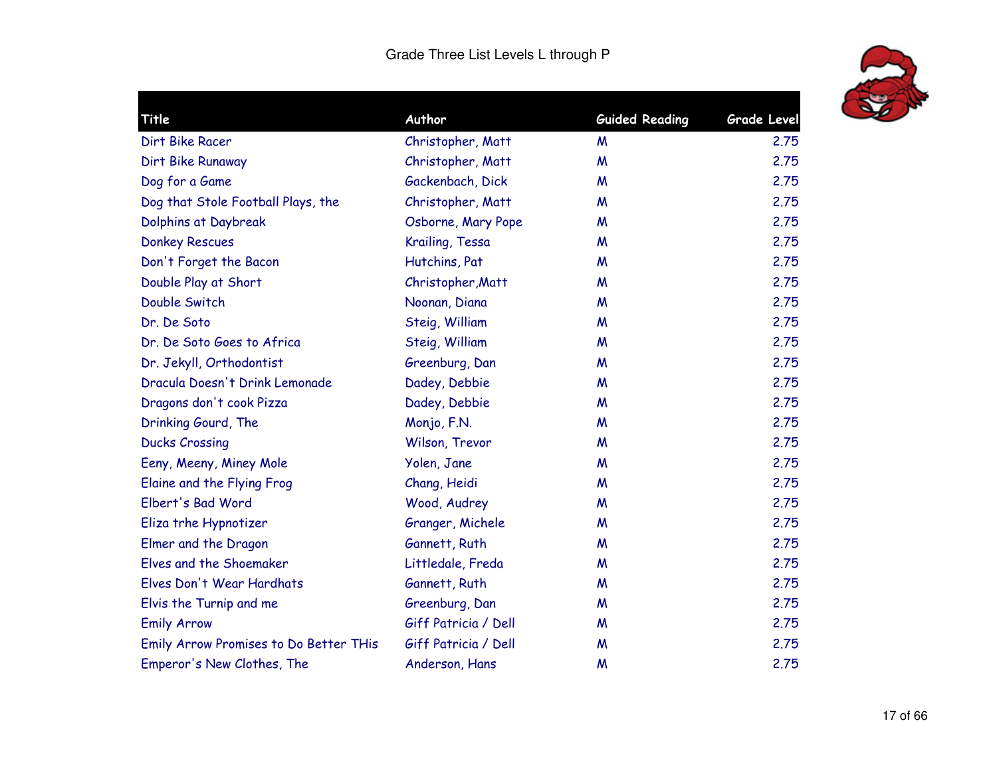

| Title                                  | Author               | <b>Guided Reading</b> | <b>Grade Level</b> |
|----------------------------------------|----------------------|-----------------------|--------------------|
| Dirt Bike Racer                        | Christopher, Matt    | M                     | 2.75               |
| Dirt Bike Runaway                      | Christopher, Matt    | M                     | 2.75               |
| Dog for a Game                         | Gackenbach, Dick     | M                     | 2.75               |
| Dog that Stole Football Plays, the     | Christopher, Matt    | M                     | 2.75               |
| Dolphins at Daybreak                   | Osborne, Mary Pope   | M                     | 2.75               |
| <b>Donkey Rescues</b>                  | Krailing, Tessa      | M                     | 2.75               |
| Don't Forget the Bacon                 | Hutchins, Pat        | M                     | 2.75               |
| Double Play at Short                   | Christopher, Matt    | M                     | 2.75               |
| Double Switch                          | Noonan, Diana        | M                     | 2.75               |
| Dr. De Soto                            | Steig, William       | M                     | 2.75               |
| Dr. De Soto Goes to Africa             | Steig, William       | M                     | 2.75               |
| Dr. Jekyll, Orthodontist               | Greenburg, Dan       | M                     | 2.75               |
| Dracula Doesn't Drink Lemonade         | Dadey, Debbie        | M                     | 2.75               |
| Dragons don't cook Pizza               | Dadey, Debbie        | M                     | 2.75               |
| Drinking Gourd, The                    | Monjo, F.N.          | M                     | 2.75               |
| <b>Ducks Crossing</b>                  | Wilson, Trevor       | M                     | 2.75               |
| Eeny, Meeny, Miney Mole                | Yolen, Jane          | M                     | 2.75               |
| Elaine and the Flying Frog             | Chang, Heidi         | M                     | 2.75               |
| Elbert's Bad Word                      | Wood, Audrey         | M                     | 2.75               |
| Eliza trhe Hypnotizer                  | Granger, Michele     | M                     | 2.75               |
| Elmer and the Dragon                   | Gannett, Ruth        | M                     | 2.75               |
| Elves and the Shoemaker                | Littledale, Freda    | M                     | 2.75               |
| Elves Don't Wear Hardhats              | Gannett, Ruth        | M                     | 2.75               |
| Elvis the Turnip and me                | Greenburg, Dan       | M                     | 2.75               |
| <b>Emily Arrow</b>                     | Giff Patricia / Dell | M                     | 2.75               |
| Emily Arrow Promises to Do Better THis | Giff Patricia / Dell | M                     | 2.75               |
| Emperor's New Clothes, The             | Anderson, Hans       | M                     | 2.75               |
|                                        |                      |                       |                    |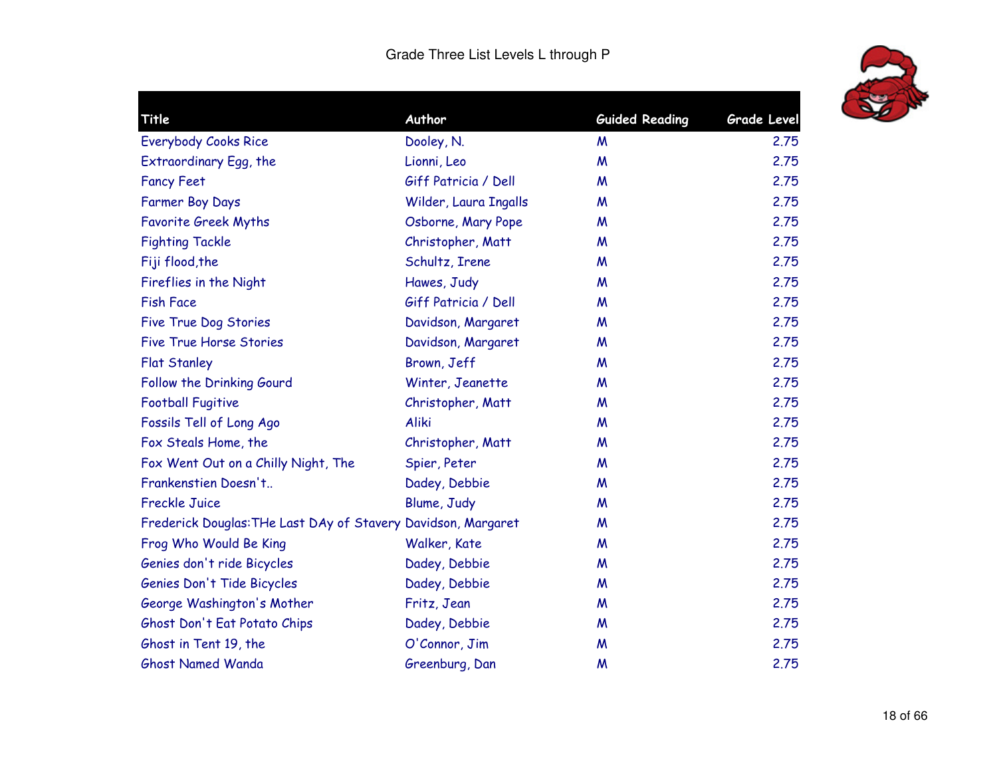

| <b>Title</b>                                                  | Author                | <b>Guided Reading</b> | Grade Level |
|---------------------------------------------------------------|-----------------------|-----------------------|-------------|
| <b>Everybody Cooks Rice</b>                                   | Dooley, N.            | M                     | 2.75        |
| Extraordinary Egg, the                                        | Lionni, Leo           | M                     | 2.75        |
| <b>Fancy Feet</b>                                             | Giff Patricia / Dell  | M                     | 2.75        |
| <b>Farmer Boy Days</b>                                        | Wilder, Laura Ingalls | M                     | 2.75        |
| <b>Favorite Greek Myths</b>                                   | Osborne, Mary Pope    | M                     | 2.75        |
| <b>Fighting Tackle</b>                                        | Christopher, Matt     | M                     | 2.75        |
| Fiji flood, the                                               | Schultz, Irene        | M                     | 2.75        |
| Fireflies in the Night                                        | Hawes, Judy           | M                     | 2.75        |
| <b>Fish Face</b>                                              | Giff Patricia / Dell  | M                     | 2.75        |
| <b>Five True Dog Stories</b>                                  | Davidson, Margaret    | M                     | 2.75        |
| <b>Five True Horse Stories</b>                                | Davidson, Margaret    | M                     | 2.75        |
| <b>Flat Stanley</b>                                           | Brown, Jeff           | M                     | 2.75        |
| Follow the Drinking Gourd                                     | Winter, Jeanette      | M                     | 2.75        |
| <b>Football Fugitive</b>                                      | Christopher, Matt     | M                     | 2.75        |
| Fossils Tell of Long Ago                                      | <b>Aliki</b>          | M                     | 2.75        |
| Fox Steals Home, the                                          | Christopher, Matt     | M                     | 2.75        |
| Fox Went Out on a Chilly Night, The                           | Spier, Peter          | M                     | 2.75        |
| Frankenstien Doesn't                                          | Dadey, Debbie         | M                     | 2.75        |
| <b>Freckle Juice</b>                                          | Blume, Judy           | M                     | 2.75        |
| Frederick Douglas: THe Last DAy of Stavery Davidson, Margaret |                       | M                     | 2.75        |
| Frog Who Would Be King                                        | Walker, Kate          | M                     | 2.75        |
| Genies don't ride Bicycles                                    | Dadey, Debbie         | M                     | 2.75        |
| Genies Don't Tide Bicycles                                    | Dadey, Debbie         | M                     | 2.75        |
| George Washington's Mother                                    | Fritz, Jean           | M                     | 2.75        |
| Ghost Don't Eat Potato Chips                                  | Dadey, Debbie         | M                     | 2.75        |
| Ghost in Tent 19, the                                         | O'Connor, Jim         | M                     | 2.75        |
| <b>Ghost Named Wanda</b>                                      | Greenburg, Dan        | M                     | 2.75        |
|                                                               |                       |                       |             |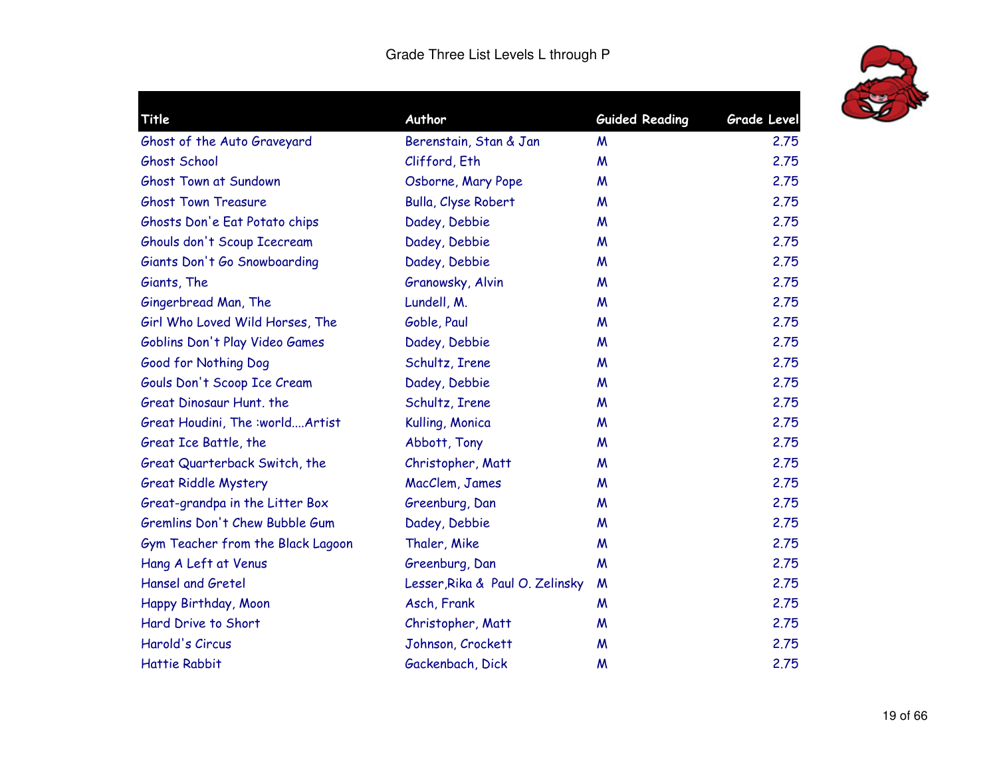

| Title                             | Author                          | <b>Guided Reading</b> | Grade Level |
|-----------------------------------|---------------------------------|-----------------------|-------------|
| Ghost of the Auto Graveyard       | Berenstain, Stan & Jan          | M                     | 2.75        |
| Ghost School                      | Clifford, Eth                   | M                     | 2.75        |
| Ghost Town at Sundown             | Osborne, Mary Pope              | M                     | 2.75        |
| <b>Ghost Town Treasure</b>        | Bulla, Clyse Robert             | M                     | 2.75        |
| Ghosts Don'e Eat Potato chips     | Dadey, Debbie                   | M                     | 2.75        |
| Ghouls don't Scoup Icecream       | Dadey, Debbie                   | M                     | 2.75        |
| Giants Don't Go Snowboarding      | Dadey, Debbie                   | M                     | 2.75        |
| Giants, The                       | Granowsky, Alvin                | M                     | 2.75        |
| Gingerbread Man, The              | Lundell, M.                     | M                     | 2.75        |
| Girl Who Loved Wild Horses, The   | Goble, Paul                     | M                     | 2.75        |
| Goblins Don't Play Video Games    | Dadey, Debbie                   | M                     | 2.75        |
| Good for Nothing Dog              | Schultz, Irene                  | M                     | 2.75        |
| Gouls Don't Scoop Ice Cream       | Dadey, Debbie                   | M                     | 2.75        |
| Great Dinosaur Hunt, the          | Schultz, Irene                  | M                     | 2.75        |
| Great Houdini, The :worldArtist   | Kulling, Monica                 | M                     | 2.75        |
| Great Ice Battle, the             | Abbott, Tony                    | M                     | 2.75        |
| Great Quarterback Switch, the     | Christopher, Matt               | M                     | 2.75        |
| <b>Great Riddle Mystery</b>       | MacClem, James                  | M                     | 2.75        |
| Great-grandpa in the Litter Box   | Greenburg, Dan                  | M                     | 2.75        |
| Gremlins Don't Chew Bubble Gum    | Dadey, Debbie                   | M                     | 2.75        |
| Gym Teacher from the Black Lagoon | Thaler, Mike                    | M                     | 2.75        |
| Hang A Left at Venus              | Greenburg, Dan                  | M                     | 2.75        |
| <b>Hansel and Gretel</b>          | Lesser, Rika & Paul O. Zelinsky | M                     | 2.75        |
| Happy Birthday, Moon              | Asch, Frank                     | M                     | 2.75        |
| Hard Drive to Short               | Christopher, Matt               | M                     | 2.75        |
| Harold's Circus                   | Johnson, Crockett               | M                     | 2.75        |
| <b>Hattie Rabbit</b>              | Gackenbach, Dick                | M                     | 2.75        |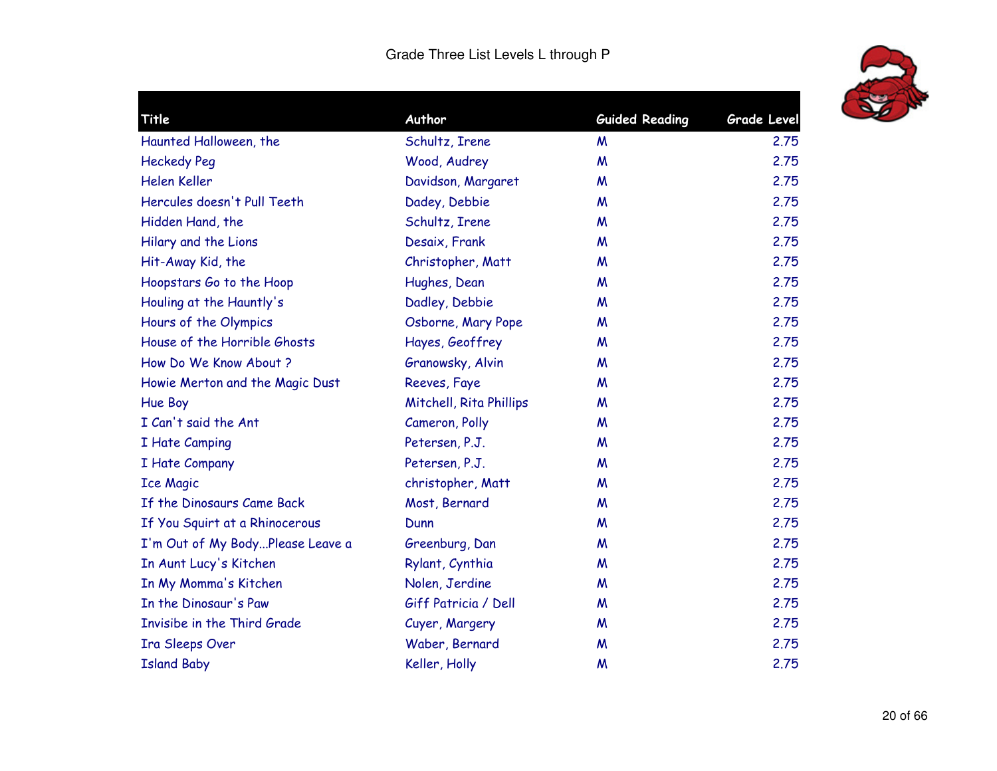

| Title                            | Author                  | <b>Guided Reading</b> | <b>Grade Level</b> |
|----------------------------------|-------------------------|-----------------------|--------------------|
| Haunted Halloween, the           | Schultz, Irene          | M                     | 2.75               |
| <b>Heckedy Peg</b>               | Wood, Audrey            | W                     | 2.75               |
| Helen Keller                     | Davidson, Margaret      | M                     | 2.75               |
| Hercules doesn't Pull Teeth      | Dadey, Debbie           | W                     | 2.75               |
| Hidden Hand, the                 | Schultz, Irene          | M                     | 2.75               |
| Hilary and the Lions             | Desaix, Frank           | M                     | 2.75               |
| Hit-Away Kid, the                | Christopher, Matt       | M                     | 2.75               |
| Hoopstars Go to the Hoop         | Hughes, Dean            | M                     | 2.75               |
| Houling at the Hauntly's         | Dadley, Debbie          | M                     | 2.75               |
| Hours of the Olympics            | Osborne, Mary Pope      | M                     | 2.75               |
| House of the Horrible Ghosts     | Hayes, Geoffrey         | M                     | 2.75               |
| How Do We Know About ?           | Granowsky, Alvin        | M                     | 2.75               |
| Howie Merton and the Magic Dust  | Reeves, Faye            | W                     | 2.75               |
| Hue Boy                          | Mitchell, Rita Phillips | W                     | 2.75               |
| I Can't said the Ant             | Cameron, Polly          | M                     | 2.75               |
| I Hate Camping                   | Petersen, P.J.          | W                     | 2.75               |
| I Hate Company                   | Petersen, P.J.          | M                     | 2.75               |
| <b>Ice Magic</b>                 | christopher, Matt       | M                     | 2.75               |
| If the Dinosaurs Came Back       | Most, Bernard           | M                     | 2.75               |
| If You Squirt at a Rhinocerous   | Dunn                    | M                     | 2.75               |
| I'm Out of My BodyPlease Leave a | Greenburg, Dan          | M                     | 2.75               |
| In Aunt Lucy's Kitchen           | Rylant, Cynthia         | M                     | 2.75               |
| In My Momma's Kitchen            | Nolen, Jerdine          | M                     | 2.75               |
| In the Dinosaur's Paw            | Giff Patricia / Dell    | M                     | 2.75               |
| Invisibe in the Third Grade      | Cuyer, Margery          | M                     | 2.75               |
| Ira Sleeps Over                  | Waber, Bernard          | M                     | 2.75               |
| <b>Island Baby</b>               | Keller, Holly           | M                     | 2.75               |
|                                  |                         |                       |                    |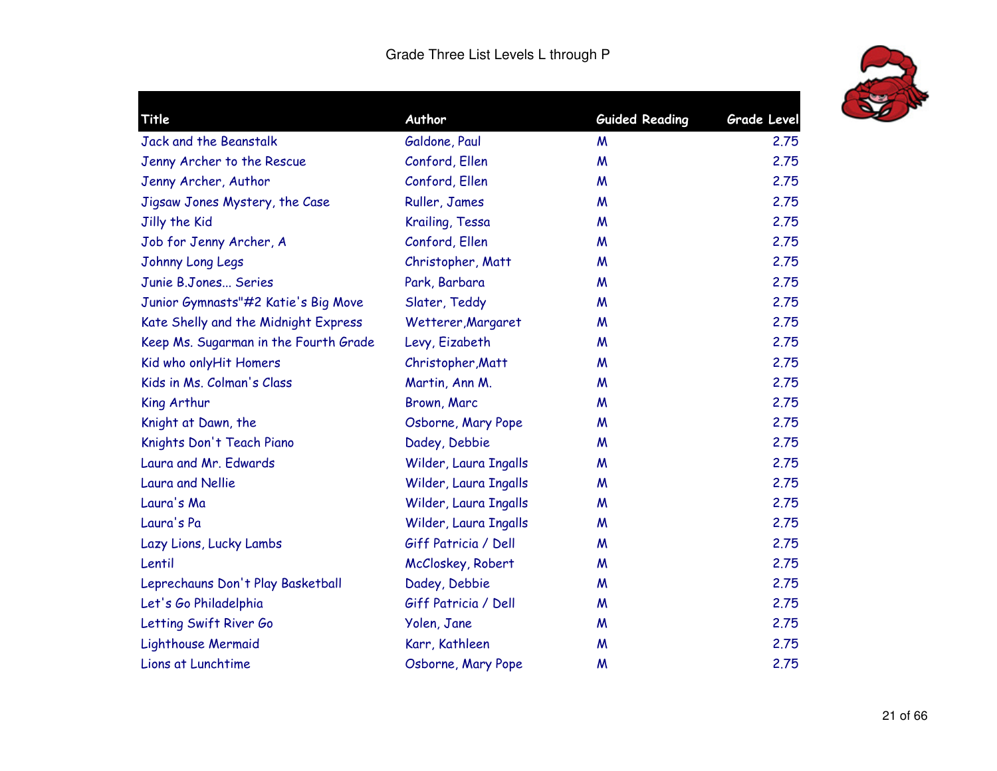

| Title                                 | Author                | <b>Guided Reading</b> | <b>Grade Level</b> |
|---------------------------------------|-----------------------|-----------------------|--------------------|
| Jack and the Beanstalk                | Galdone, Paul         | M                     | 2.75               |
| Jenny Archer to the Rescue            | Conford, Ellen        | $\boldsymbol{M}$      | 2.75               |
| Jenny Archer, Author                  | Conford, Ellen        | M                     | 2.75               |
| Jigsaw Jones Mystery, the Case        | Ruller, James         | M                     | 2.75               |
| Jilly the Kid                         | Krailing, Tessa       | M                     | 2.75               |
| Job for Jenny Archer, A               | Conford, Ellen        | M                     | 2.75               |
| Johnny Long Legs                      | Christopher, Matt     | M                     | 2.75               |
| Junie B.Jones Series                  | Park, Barbara         | M                     | 2.75               |
| Junior Gymnasts"#2 Katie's Big Move   | Slater, Teddy         | M                     | 2.75               |
| Kate Shelly and the Midnight Express  | Wetterer, Margaret    | M                     | 2.75               |
| Keep Ms. Sugarman in the Fourth Grade | Levy, Eizabeth        | M                     | 2.75               |
| Kid who onlyHit Homers                | Christopher, Matt     | M                     | 2.75               |
| Kids in Ms. Colman's Class            | Martin, Ann M.        | M                     | 2.75               |
| King Arthur                           | Brown, Marc           | M                     | 2.75               |
| Knight at Dawn, the                   | Osborne, Mary Pope    | M                     | 2.75               |
| Knights Don't Teach Piano             | Dadey, Debbie         | M                     | 2.75               |
| Laura and Mr. Edwards                 | Wilder, Laura Ingalls | M                     | 2.75               |
| <b>Laura and Nellie</b>               | Wilder, Laura Ingalls | M                     | 2.75               |
| Laura's Ma                            | Wilder, Laura Ingalls | M                     | 2.75               |
| Laura's Pa                            | Wilder, Laura Ingalls | M                     | 2.75               |
| Lazy Lions, Lucky Lambs               | Giff Patricia / Dell  | M                     | 2.75               |
| Lentil                                | McCloskey, Robert     | M                     | 2.75               |
| Leprechauns Don't Play Basketball     | Dadey, Debbie         | M                     | 2.75               |
| Let's Go Philadelphia                 | Giff Patricia / Dell  | M                     | 2.75               |
| Letting Swift River Go                | Yolen, Jane           | M                     | 2.75               |
| Lighthouse Mermaid                    | Karr, Kathleen        | M                     | 2.75               |
| Lions at Lunchtime                    | Osborne, Mary Pope    | M                     | 2.75               |
|                                       |                       |                       |                    |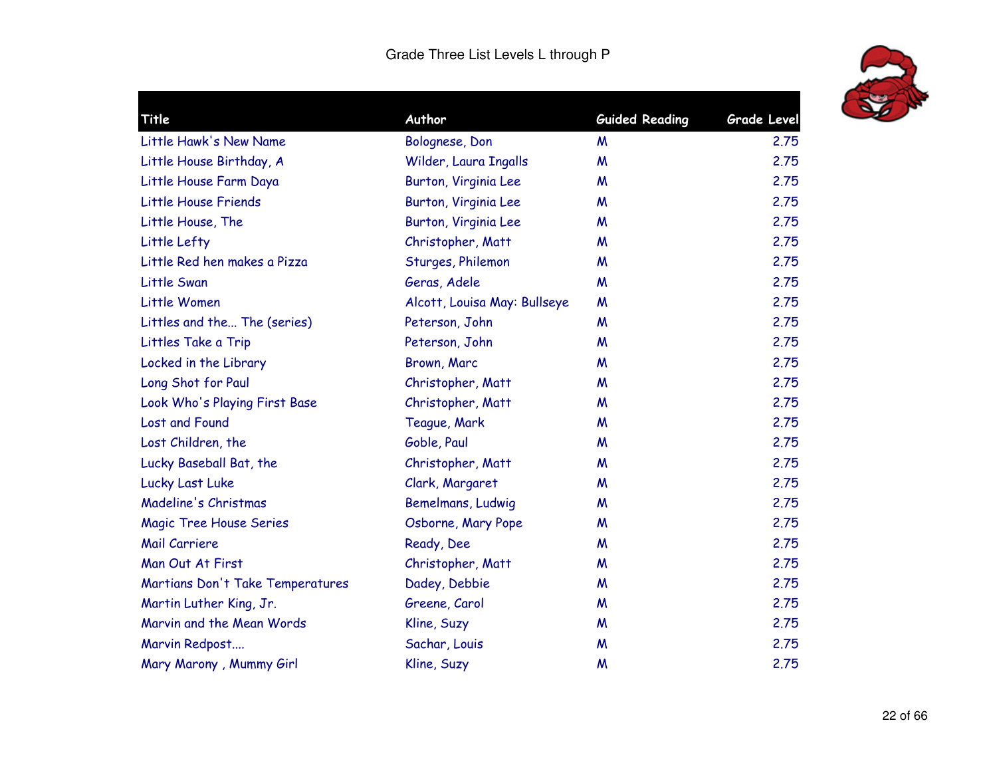

| Title                            | Author                       | <b>Guided Reading</b> | <b>Grade Level</b> |
|----------------------------------|------------------------------|-----------------------|--------------------|
| Little Hawk's New Name           | Bolognese, Don               | M                     | 2.75               |
| Little House Birthday, A         | Wilder, Laura Ingalls        | M                     | 2.75               |
| Little House Farm Daya           | Burton, Virginia Lee         | M                     | 2.75               |
| Little House Friends             | Burton, Virginia Lee         | M                     | 2.75               |
| Little House, The                | Burton, Virginia Lee         | M                     | 2.75               |
| Little Lefty                     | Christopher, Matt            | M                     | 2.75               |
| Little Red hen makes a Pizza     | Sturges, Philemon            | M                     | 2.75               |
| Little Swan                      | Geras, Adele                 | M                     | 2.75               |
| Little Women                     | Alcott, Louisa May: Bullseye | M                     | 2.75               |
| Littles and the The (series)     | Peterson, John               | M                     | 2.75               |
| Littles Take a Trip              | Peterson, John               | M                     | 2.75               |
| Locked in the Library            | Brown, Marc                  | M                     | 2.75               |
| Long Shot for Paul               | Christopher, Matt            | M                     | 2.75               |
| Look Who's Playing First Base    | Christopher, Matt            | M                     | 2.75               |
| Lost and Found                   | Teague, Mark                 | M                     | 2.75               |
| Lost Children, the               | Goble, Paul                  | M                     | 2.75               |
| Lucky Baseball Bat, the          | Christopher, Matt            | M                     | 2.75               |
| Lucky Last Luke                  | Clark, Margaret              | M                     | 2.75               |
| Madeline's Christmas             | Bemelmans, Ludwig            | M                     | 2.75               |
| <b>Magic Tree House Series</b>   | Osborne, Mary Pope           | M                     | 2.75               |
| Mail Carriere                    | Ready, Dee                   | M                     | 2.75               |
| Man Out At First                 | Christopher, Matt            | M                     | 2.75               |
| Martians Don't Take Temperatures | Dadey, Debbie                | M                     | 2.75               |
| Martin Luther King, Jr.          | Greene, Carol                | M                     | 2.75               |
| Marvin and the Mean Words        | Kline, Suzy                  | M                     | 2.75               |
| Marvin Redpost                   | Sachar, Louis                | M                     | 2.75               |
| Mary Marony, Mummy Girl          | Kline, Suzy                  | M                     | 2.75               |
|                                  |                              |                       |                    |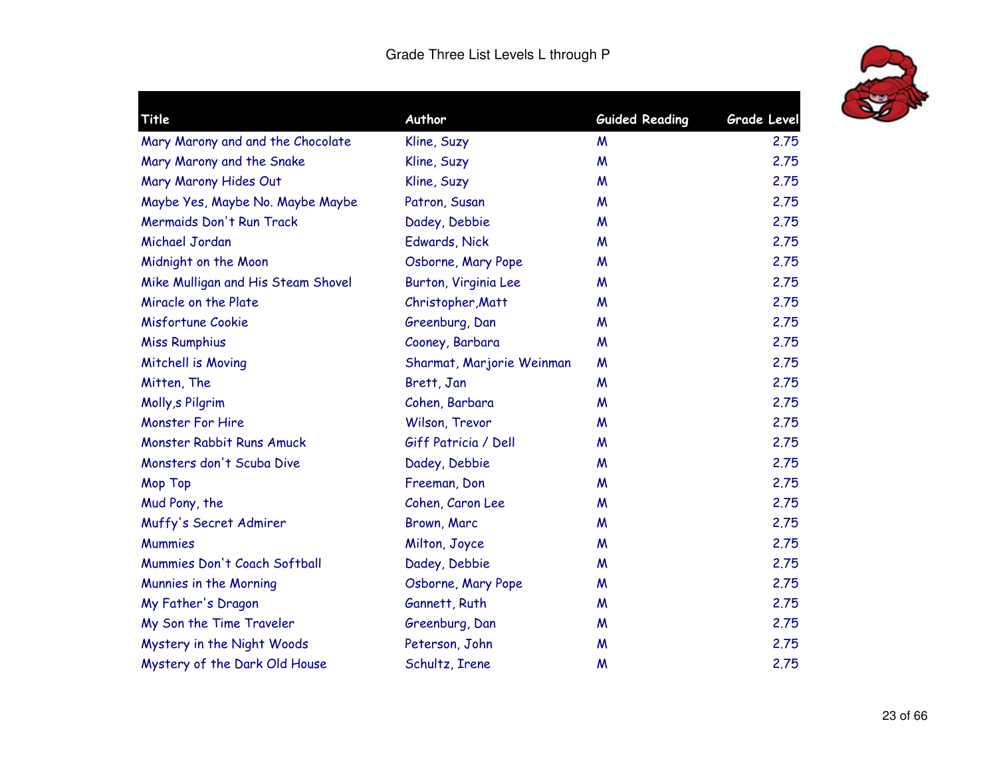

| Title                              | Author                    | <b>Guided Reading</b> | Grade Level |
|------------------------------------|---------------------------|-----------------------|-------------|
| Mary Marony and and the Chocolate  | Kline, Suzy               | M                     | 2.75        |
| Mary Marony and the Snake          | Kline, Suzy               | M                     | 2.75        |
| Mary Marony Hides Out              | Kline, Suzy               | M                     | 2.75        |
| Maybe Yes, Maybe No. Maybe Maybe   | Patron, Susan             | M                     | 2.75        |
| Mermaids Don't Run Track           | Dadey, Debbie             | M                     | 2.75        |
| Michael Jordan                     | Edwards, Nick             | M                     | 2.75        |
| Midnight on the Moon               | Osborne, Mary Pope        | M                     | 2.75        |
| Mike Mulligan and His Steam Shovel | Burton, Virginia Lee      | M                     | 2.75        |
| Miracle on the Plate               | Christopher, Matt         | M                     | 2.75        |
| Misfortune Cookie                  | Greenburg, Dan            | M                     | 2.75        |
| <b>Miss Rumphius</b>               | Cooney, Barbara           | M                     | 2.75        |
| Mitchell is Moving                 | Sharmat, Marjorie Weinman | M                     | 2.75        |
| Mitten, The                        | Brett, Jan                | M                     | 2.75        |
| Molly, s Pilgrim                   | Cohen, Barbara            | M                     | 2.75        |
| <b>Monster For Hire</b>            | Wilson, Trevor            | M                     | 2.75        |
| Monster Rabbit Runs Amuck          | Giff Patricia / Dell      | M                     | 2.75        |
| Monsters don't Scuba Dive          | Dadey, Debbie             | M                     | 2.75        |
| <b>Mop Top</b>                     | Freeman, Don              | M                     | 2.75        |
| Mud Pony, the                      | Cohen, Caron Lee          | M                     | 2.75        |
| Muffy's Secret Admirer             | Brown, Marc               | M                     | 2.75        |
| <b>Mummies</b>                     | Milton, Joyce             | M                     | 2.75        |
| Mummies Don't Coach Softball       | Dadey, Debbie             | M                     | 2.75        |
| Munnies in the Morning             | Osborne, Mary Pope        | M                     | 2.75        |
| My Father's Dragon                 | Gannett, Ruth             | M                     | 2.75        |
| My Son the Time Traveler           | Greenburg, Dan            | M                     | 2.75        |
| Mystery in the Night Woods         | Peterson, John            | M                     | 2.75        |
| Mystery of the Dark Old House      | Schultz, Irene            | M                     | 2.75        |
|                                    |                           |                       |             |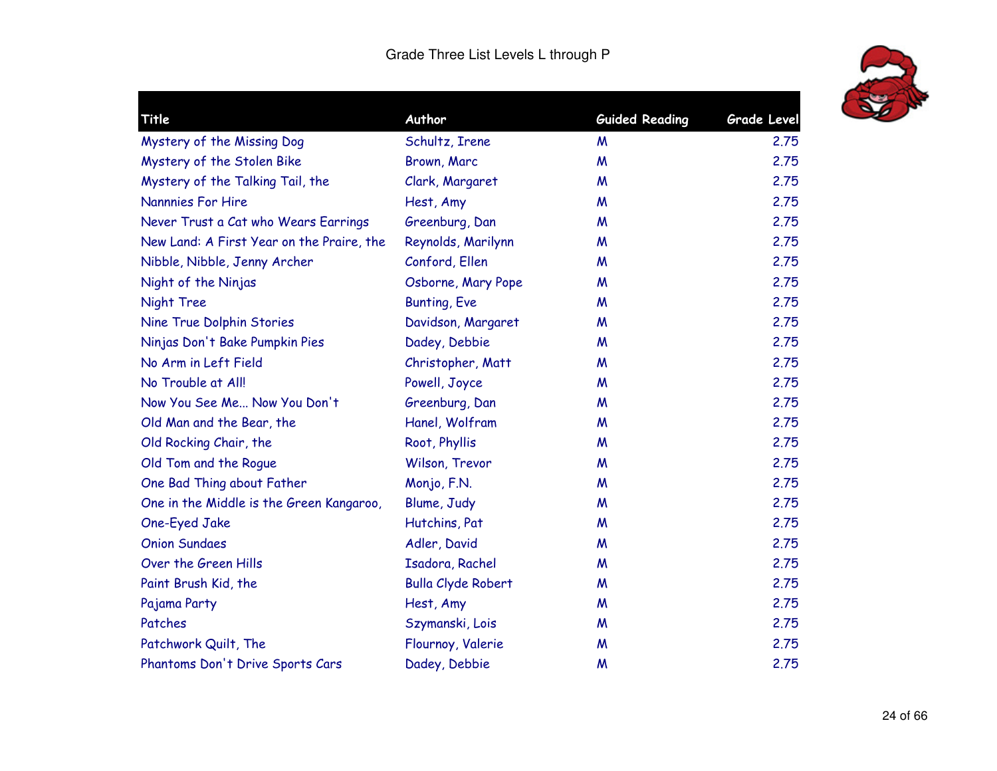

| Title                                     | Author                    | <b>Guided Reading</b> | <b>Grade Level</b> |
|-------------------------------------------|---------------------------|-----------------------|--------------------|
| Mystery of the Missing Dog                | Schultz, Irene            | M                     | 2.75               |
| Mystery of the Stolen Bike                | Brown, Marc               | M                     | 2.75               |
| Mystery of the Talking Tail, the          | Clark, Margaret           | M                     | 2.75               |
| <b>Nannnies For Hire</b>                  | Hest, Amy                 | M                     | 2.75               |
| Never Trust a Cat who Wears Earrings      | Greenburg, Dan            | M                     | 2.75               |
| New Land: A First Year on the Praire, the | Reynolds, Marilynn        | M                     | 2.75               |
| Nibble, Nibble, Jenny Archer              | Conford, Ellen            | M                     | 2.75               |
| Night of the Ninjas                       | Osborne, Mary Pope        | M                     | 2.75               |
| Night Tree                                | <b>Bunting, Eve</b>       | M                     | 2.75               |
| Nine True Dolphin Stories                 | Davidson, Margaret        | M                     | 2.75               |
| Ninjas Don't Bake Pumpkin Pies            | Dadey, Debbie             | M                     | 2.75               |
| No Arm in Left Field                      | Christopher, Matt         | M                     | 2.75               |
| No Trouble at All!                        | Powell, Joyce             | M                     | 2.75               |
| Now You See Me Now You Don't              | Greenburg, Dan            | M                     | 2.75               |
| Old Man and the Bear, the                 | Hanel, Wolfram            | M                     | 2.75               |
| Old Rocking Chair, the                    | Root, Phyllis             | M                     | 2.75               |
| Old Tom and the Roque                     | Wilson, Trevor            | M                     | 2.75               |
| One Bad Thing about Father                | Monjo, F.N.               | M                     | 2.75               |
| One in the Middle is the Green Kangaroo,  | Blume, Judy               | M                     | 2.75               |
| One-Eyed Jake                             | Hutchins, Pat             | M                     | 2.75               |
| <b>Onion Sundaes</b>                      | Adler, David              | W                     | 2.75               |
| Over the Green Hills                      | Isadora, Rachel           | M                     | 2.75               |
| Paint Brush Kid, the                      | <b>Bulla Clyde Robert</b> | M                     | 2.75               |
| Pajama Party                              | Hest, Amy                 | M                     | 2.75               |
| Patches                                   | Szymanski, Lois           | M                     | 2.75               |
| Patchwork Quilt, The                      | Flournoy, Valerie         | M                     | 2.75               |
| Phantoms Don't Drive Sports Cars          | Dadey, Debbie             | M                     | 2.75               |
|                                           |                           |                       |                    |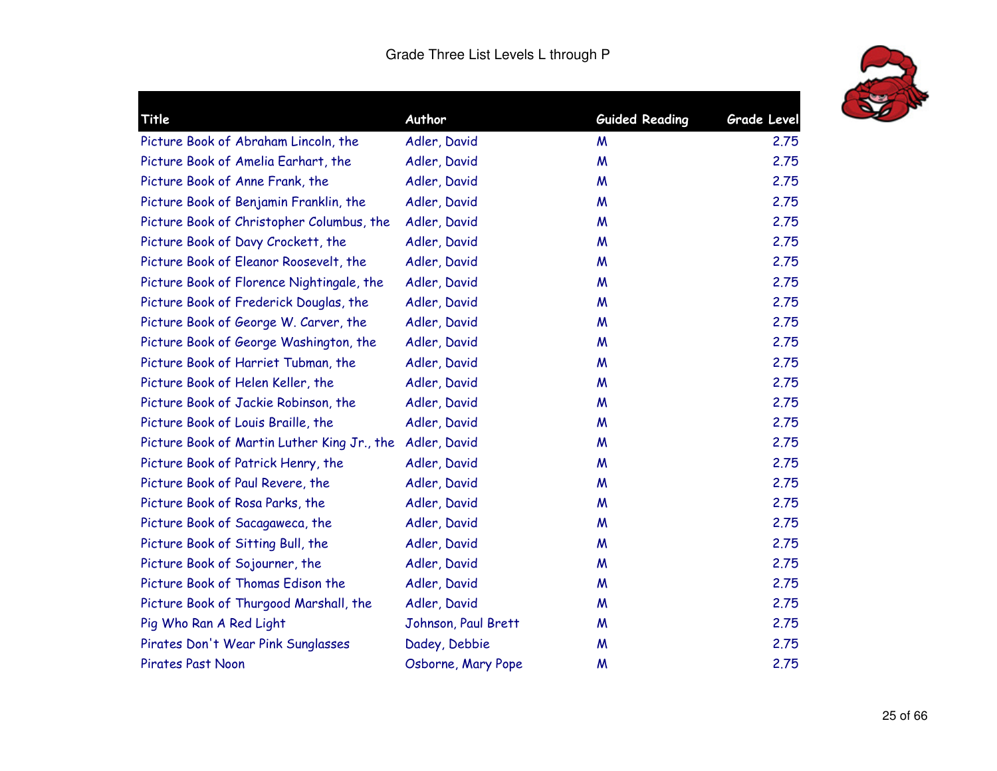

| Title                                       | Author              | <b>Guided Reading</b> | <b>Grade Level</b> |
|---------------------------------------------|---------------------|-----------------------|--------------------|
| Picture Book of Abraham Lincoln, the        | Adler, David        | M                     | 2.75               |
| Picture Book of Amelia Earhart, the         | Adler, David        | $\boldsymbol{M}$      | 2.75               |
| Picture Book of Anne Frank, the             | Adler, David        | M                     | 2.75               |
| Picture Book of Benjamin Franklin, the      | Adler, David        | M                     | 2.75               |
| Picture Book of Christopher Columbus, the   | Adler, David        | M                     | 2.75               |
| Picture Book of Davy Crockett, the          | Adler, David        | M                     | 2.75               |
| Picture Book of Eleanor Roosevelt, the      | Adler, David        | M                     | 2.75               |
| Picture Book of Florence Nightingale, the   | Adler, David        | M                     | 2.75               |
| Picture Book of Frederick Douglas, the      | Adler, David        | M                     | 2.75               |
| Picture Book of George W. Carver, the       | Adler, David        | M                     | 2.75               |
| Picture Book of George Washington, the      | Adler, David        | M                     | 2.75               |
| Picture Book of Harriet Tubman, the         | Adler, David        | M                     | 2.75               |
| Picture Book of Helen Keller, the           | Adler, David        | M                     | 2.75               |
| Picture Book of Jackie Robinson, the        | Adler, David        | M                     | 2.75               |
| Picture Book of Louis Braille, the          | Adler, David        | M                     | 2.75               |
| Picture Book of Martin Luther King Jr., the | Adler, David        | M                     | 2.75               |
| Picture Book of Patrick Henry, the          | Adler, David        | M                     | 2.75               |
| Picture Book of Paul Revere, the            | Adler, David        | M                     | 2.75               |
| Picture Book of Rosa Parks, the             | Adler, David        | M                     | 2.75               |
| Picture Book of Sacagaweca, the             | Adler, David        | M                     | 2.75               |
| Picture Book of Sitting Bull, the           | Adler, David        | M                     | 2.75               |
| Picture Book of Sojourner, the              | Adler, David        | M                     | 2.75               |
| Picture Book of Thomas Edison the           | Adler, David        | M                     | 2.75               |
| Picture Book of Thurgood Marshall, the      | Adler, David        | M                     | 2.75               |
| Pig Who Ran A Red Light                     | Johnson, Paul Brett | M                     | 2.75               |
| Pirates Don't Wear Pink Sunglasses          | Dadey, Debbie       | M                     | 2.75               |
| <b>Pirates Past Noon</b>                    | Osborne, Mary Pope  | M                     | 2.75               |
|                                             |                     |                       |                    |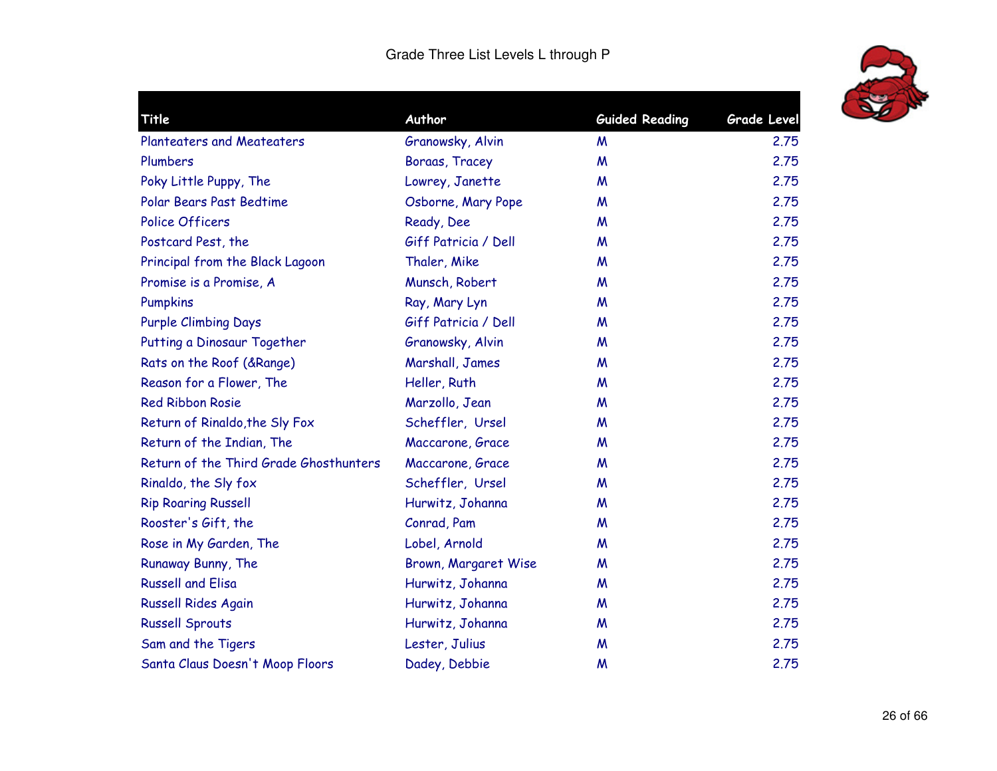

| Title                                  | Author               | <b>Guided Reading</b> | <b>Grade Level</b> |
|----------------------------------------|----------------------|-----------------------|--------------------|
| <b>Planteaters and Meateaters</b>      | Granowsky, Alvin     | M                     | 2.75               |
| Plumbers                               | Boraas, Tracey       | M                     | 2.75               |
| Poky Little Puppy, The                 | Lowrey, Janette      | M                     | 2.75               |
| Polar Bears Past Bedtime               | Osborne, Mary Pope   | M                     | 2.75               |
| <b>Police Officers</b>                 | Ready, Dee           | M                     | 2.75               |
| Postcard Pest, the                     | Giff Patricia / Dell | M                     | 2.75               |
| Principal from the Black Lagoon        | Thaler, Mike         | M                     | 2.75               |
| Promise is a Promise, A                | Munsch, Robert       | M                     | 2.75               |
| Pumpkins                               | Ray, Mary Lyn        | W                     | 2.75               |
| <b>Purple Climbing Days</b>            | Giff Patricia / Dell | M                     | 2.75               |
| Putting a Dinosaur Together            | Granowsky, Alvin     | M                     | 2.75               |
| Rats on the Roof (& Range)             | Marshall, James      | M                     | 2.75               |
| Reason for a Flower, The               | Heller, Ruth         | W                     | 2.75               |
| <b>Red Ribbon Rosie</b>                | Marzollo, Jean       | M                     | 2.75               |
| Return of Rinaldo, the Sly Fox         | Scheffler, Ursel     | M                     | 2.75               |
| Return of the Indian, The              | Maccarone, Grace     | W                     | 2.75               |
| Return of the Third Grade Ghosthunters | Maccarone, Grace     | M                     | 2.75               |
| Rinaldo, the Sly fox                   | Scheffler, Ursel     | W                     | 2.75               |
| <b>Rip Roaring Russell</b>             | Hurwitz, Johanna     | M                     | 2.75               |
| Rooster's Gift, the                    | Conrad, Pam          | M                     | 2.75               |
| Rose in My Garden, The                 | Lobel, Arnold        | W                     | 2.75               |
| Runaway Bunny, The                     | Brown, Margaret Wise | M                     | 2.75               |
| <b>Russell and Elisa</b>               | Hurwitz, Johanna     | M                     | 2.75               |
| <b>Russell Rides Again</b>             | Hurwitz, Johanna     | M                     | 2.75               |
| <b>Russell Sprouts</b>                 | Hurwitz, Johanna     | M                     | 2.75               |
| Sam and the Tigers                     | Lester, Julius       | M                     | 2.75               |
| Santa Claus Doesn't Moop Floors        | Dadey, Debbie        | M                     | 2.75               |
|                                        |                      |                       |                    |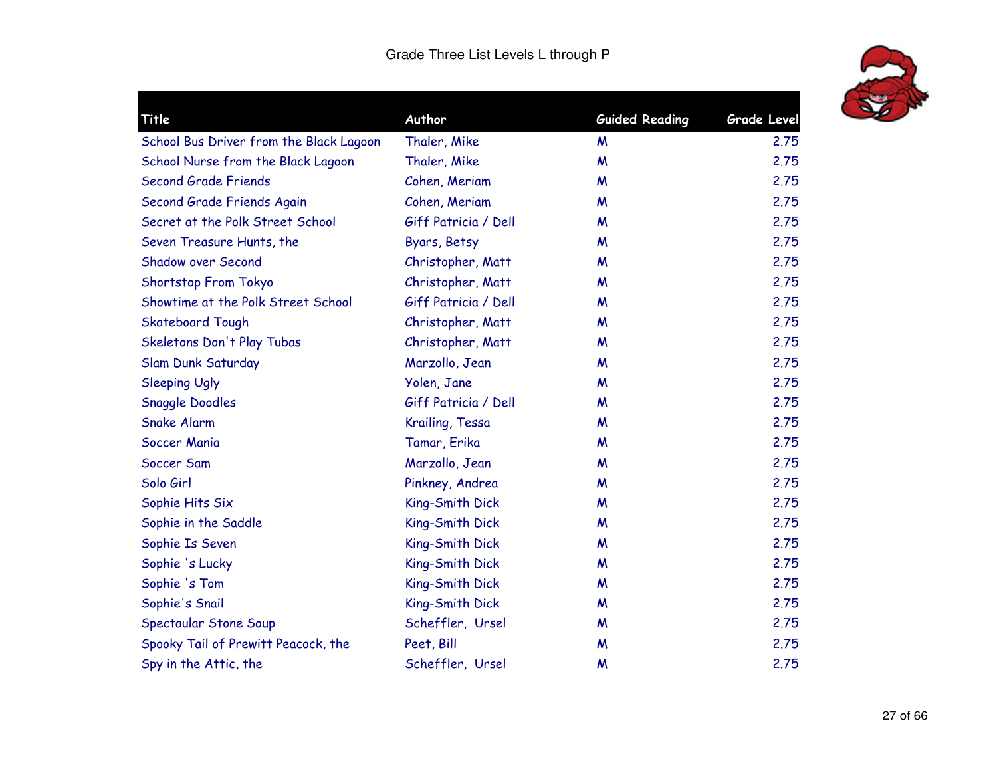

| Title                                   | Author               | <b>Guided Reading</b> | <b>Grade Level</b> |
|-----------------------------------------|----------------------|-----------------------|--------------------|
| School Bus Driver from the Black Lagoon | Thaler, Mike         | M                     | 2.75               |
| School Nurse from the Black Lagoon      | Thaler, Mike         | M                     | 2.75               |
| <b>Second Grade Friends</b>             | Cohen, Meriam        | M                     | 2.75               |
| Second Grade Friends Again              | Cohen, Meriam        | M                     | 2.75               |
| Secret at the Polk Street School        | Giff Patricia / Dell | M                     | 2.75               |
| Seven Treasure Hunts, the               | Byars, Betsy         | M                     | 2.75               |
| <b>Shadow over Second</b>               | Christopher, Matt    | M                     | 2.75               |
| Shortstop From Tokyo                    | Christopher, Matt    | M                     | 2.75               |
| Showtime at the Polk Street School      | Giff Patricia / Dell | M                     | 2.75               |
| <b>Skateboard Tough</b>                 | Christopher, Matt    | M                     | 2.75               |
| Skeletons Don't Play Tubas              | Christopher, Matt    | M                     | 2.75               |
| Slam Dunk Saturday                      | Marzollo, Jean       | M                     | 2.75               |
| <b>Sleeping Ugly</b>                    | Yolen, Jane          | M                     | 2.75               |
| <b>Snaggle Doodles</b>                  | Giff Patricia / Dell | M                     | 2.75               |
| <b>Snake Alarm</b>                      | Krailing, Tessa      | M                     | 2.75               |
| Soccer Mania                            | Tamar, Erika         | M                     | 2.75               |
| Soccer Sam                              | Marzollo, Jean       | M                     | 2.75               |
| Solo Girl                               | Pinkney, Andrea      | M                     | 2.75               |
| Sophie Hits Six                         | King-Smith Dick      | M                     | 2.75               |
| Sophie in the Saddle                    | King-Smith Dick      | M                     | 2.75               |
| Sophie Is Seven                         | King-Smith Dick      | M                     | 2.75               |
| Sophie 's Lucky                         | King-Smith Dick      | M                     | 2.75               |
| Sophie 's Tom                           | King-Smith Dick      | M                     | 2.75               |
| Sophie's Snail                          | King-Smith Dick      | M                     | 2.75               |
| Spectaular Stone Soup                   | Scheffler, Ursel     | M                     | 2.75               |
| Spooky Tail of Prewitt Peacock, the     | Peet, Bill           | M                     | 2.75               |
| Spy in the Attic, the                   | Scheffler, Ursel     | M                     | 2.75               |
|                                         |                      |                       |                    |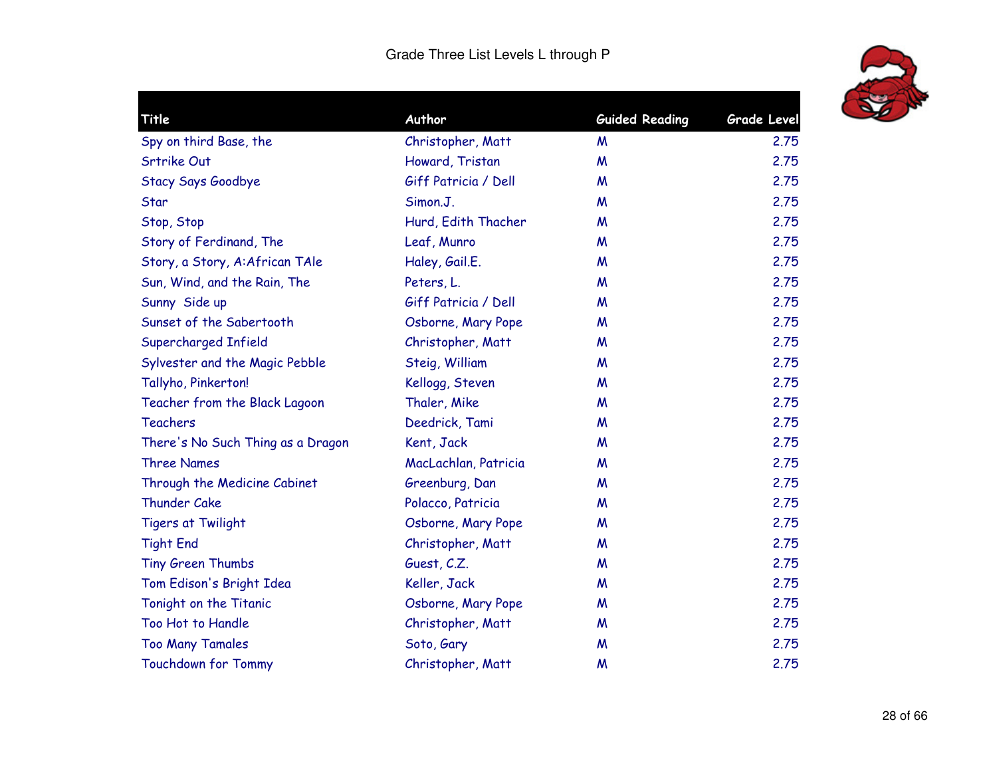

| Title                             | Author               | <b>Guided Reading</b> | <b>Grade Level</b> |
|-----------------------------------|----------------------|-----------------------|--------------------|
| Spy on third Base, the            | Christopher, Matt    | M                     | 2.75               |
| Srtrike Out                       | Howard, Tristan      | M                     | 2.75               |
| Stacy Says Goodbye                | Giff Patricia / Dell | M                     | 2.75               |
| Star                              | Simon.J.             | M                     | 2.75               |
| Stop, Stop                        | Hurd, Edith Thacher  | M                     | 2.75               |
| Story of Ferdinand, The           | Leaf, Munro          | M                     | 2.75               |
| Story, a Story, A:African TAle    | Haley, Gail.E.       | M                     | 2.75               |
| Sun, Wind, and the Rain, The      | Peters, L.           | M                     | 2.75               |
| Sunny Side up                     | Giff Patricia / Dell | M                     | 2.75               |
| Sunset of the Sabertooth          | Osborne, Mary Pope   | M                     | 2.75               |
| Supercharged Infield              | Christopher, Matt    | M                     | 2.75               |
| Sylvester and the Magic Pebble    | Steig, William       | M                     | 2.75               |
| Tallyho, Pinkerton!               | Kellogg, Steven      | M                     | 2.75               |
| Teacher from the Black Lagoon     | Thaler, Mike         | M                     | 2.75               |
| <b>Teachers</b>                   | Deedrick, Tami       | M                     | 2.75               |
| There's No Such Thing as a Dragon | Kent, Jack           | M                     | 2.75               |
| <b>Three Names</b>                | MacLachlan, Patricia | M                     | 2.75               |
| Through the Medicine Cabinet      | Greenburg, Dan       | M                     | 2.75               |
| Thunder Cake                      | Polacco, Patricia    | M                     | 2.75               |
| <b>Tigers at Twilight</b>         | Osborne, Mary Pope   | M                     | 2.75               |
| <b>Tight End</b>                  | Christopher, Matt    | M                     | 2.75               |
| Tiny Green Thumbs                 | Guest, C.Z.          | M                     | 2.75               |
| Tom Edison's Bright Idea          | Keller, Jack         | M                     | 2.75               |
| Tonight on the Titanic            | Osborne, Mary Pope   | M                     | 2.75               |
| Too Hot to Handle                 | Christopher, Matt    | M                     | 2.75               |
| <b>Too Many Tamales</b>           | Soto, Gary           | M                     | 2.75               |
| <b>Touchdown for Tommy</b>        | Christopher, Matt    | M                     | 2.75               |
|                                   |                      |                       |                    |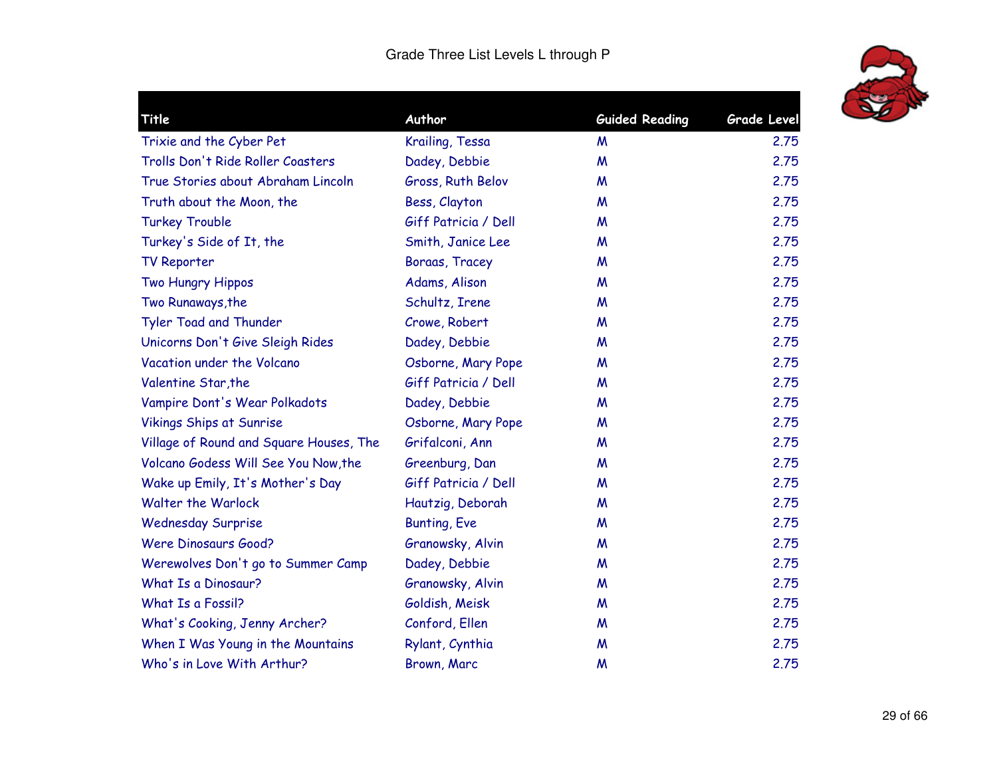

| Title                                   | Author               | <b>Guided Reading</b> | <b>Grade Level</b> |
|-----------------------------------------|----------------------|-----------------------|--------------------|
| Trixie and the Cyber Pet                | Krailing, Tessa      | M                     | 2.75               |
| Trolls Don't Ride Roller Coasters       | Dadey, Debbie        | M                     | 2.75               |
| True Stories about Abraham Lincoln      | Gross, Ruth Belov    | M                     | 2.75               |
| Truth about the Moon, the               | Bess, Clayton        | W                     | 2.75               |
| <b>Turkey Trouble</b>                   | Giff Patricia / Dell | M                     | 2.75               |
| Turkey's Side of It, the                | Smith, Janice Lee    | M                     | 2.75               |
| <b>TV Reporter</b>                      | Boraas, Tracey       | M                     | 2.75               |
| Two Hungry Hippos                       | Adams, Alison        | W                     | 2.75               |
| Two Runaways, the                       | Schultz, Irene       | W                     | 2.75               |
| Tyler Toad and Thunder                  | Crowe, Robert        | M                     | 2.75               |
| Unicorns Don't Give Sleigh Rides        | Dadey, Debbie        | M                     | 2.75               |
| Vacation under the Volcano              | Osborne, Mary Pope   | M                     | 2.75               |
| Valentine Star, the                     | Giff Patricia / Dell | M                     | 2.75               |
| Vampire Dont's Wear Polkadots           | Dadey, Debbie        | W                     | 2.75               |
| <b>Vikings Ships at Sunrise</b>         | Osborne, Mary Pope   | M                     | 2.75               |
| Village of Round and Square Houses, The | Grifalconi, Ann      | M                     | 2.75               |
| Volcano Godess Will See You Now, the    | Greenburg, Dan       | M                     | 2.75               |
| Wake up Emily, It's Mother's Day        | Giff Patricia / Dell | M                     | 2.75               |
| <b>Walter the Warlock</b>               | Hautzig, Deborah     | W                     | 2.75               |
| <b>Wednesday Surprise</b>               | <b>Bunting, Eve</b>  | M                     | 2.75               |
| <b>Were Dinosaurs Good?</b>             | Granowsky, Alvin     | M                     | 2.75               |
| Werewolves Don't go to Summer Camp      | Dadey, Debbie        | M                     | 2.75               |
| What Is a Dinosaur?                     | Granowsky, Alvin     | M                     | 2.75               |
| What Is a Fossil?                       | Goldish, Meisk       | M                     | 2.75               |
| What's Cooking, Jenny Archer?           | Conford, Ellen       | M                     | 2.75               |
| When I Was Young in the Mountains       | Rylant, Cynthia      | M                     | 2.75               |
| Who's in Love With Arthur?              | Brown, Marc          | M                     | 2.75               |
|                                         |                      |                       |                    |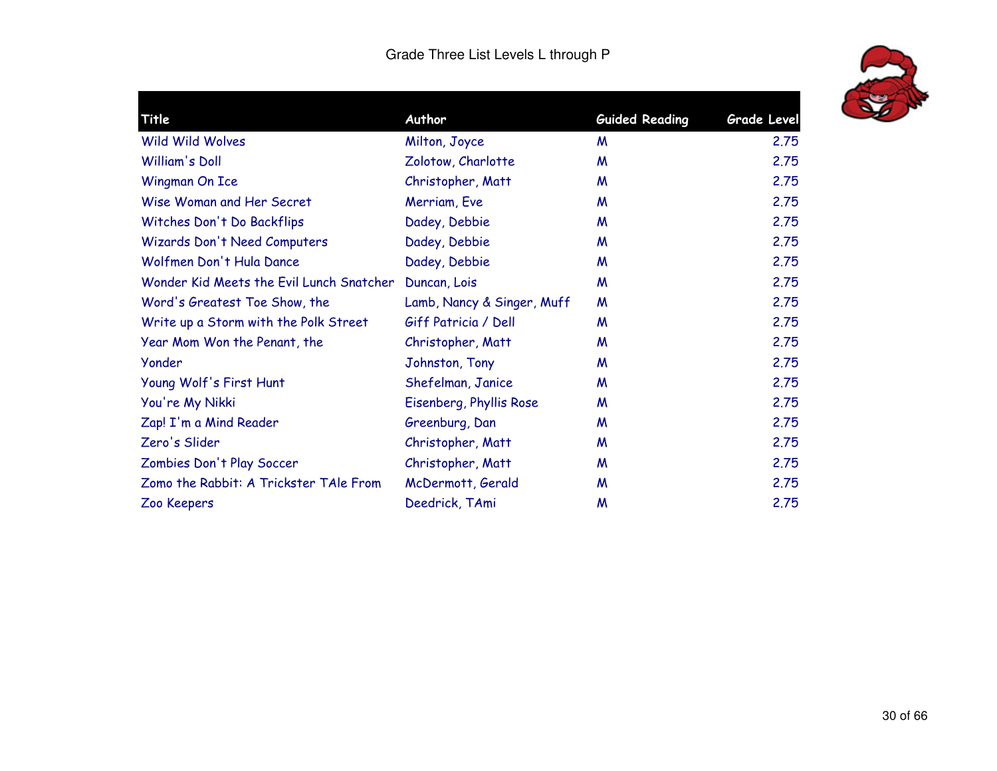

| Title                                    | Author                     | <b>Guided Reading</b> | <b>Grade Level</b> |
|------------------------------------------|----------------------------|-----------------------|--------------------|
| <b>Wild Wild Wolves</b>                  | Milton, Joyce              | M                     | 2.75               |
| William's Doll                           | Zolotow, Charlotte         | M                     | 2.75               |
| Wingman On Ice                           | Christopher, Matt          | M                     | 2.75               |
| Wise Woman and Her Secret                | Merriam, Eve               | M                     | 2.75               |
| Witches Don't Do Backflips               | Dadey, Debbie              | M                     | 2.75               |
| Wizards Don't Need Computers             | Dadey, Debbie              | M                     | 2.75               |
| Wolfmen Don't Hula Dance                 | Dadey, Debbie              | M                     | 2.75               |
| Wonder Kid Meets the Evil Lunch Snatcher | Duncan, Lois               | M                     | 2.75               |
| Word's Greatest Toe Show, the            | Lamb, Nancy & Singer, Muff | M                     | 2.75               |
| Write up a Storm with the Polk Street    | Giff Patricia / Dell       | M                     | 2.75               |
| Year Mom Won the Penant, the             | Christopher, Matt          | M                     | 2.75               |
| Yonder                                   | Johnston, Tony             | M                     | 2.75               |
| Young Wolf's First Hunt                  | Shefelman, Janice          | M                     | 2.75               |
| You're My Nikki                          | Eisenberg, Phyllis Rose    | M                     | 2.75               |
| Zap! I'm a Mind Reader                   | Greenburg, Dan             | M                     | 2.75               |
| Zero's Slider                            | Christopher, Matt          | M                     | 2.75               |
| Zombies Don't Play Soccer                | Christopher, Matt          | M                     | 2.75               |
| Zomo the Rabbit: A Trickster TAle From   | McDermott, Gerald          | M                     | 2.75               |
| Zoo Keepers                              | Deedrick, TAmi             | M                     | 2.75               |
|                                          |                            |                       |                    |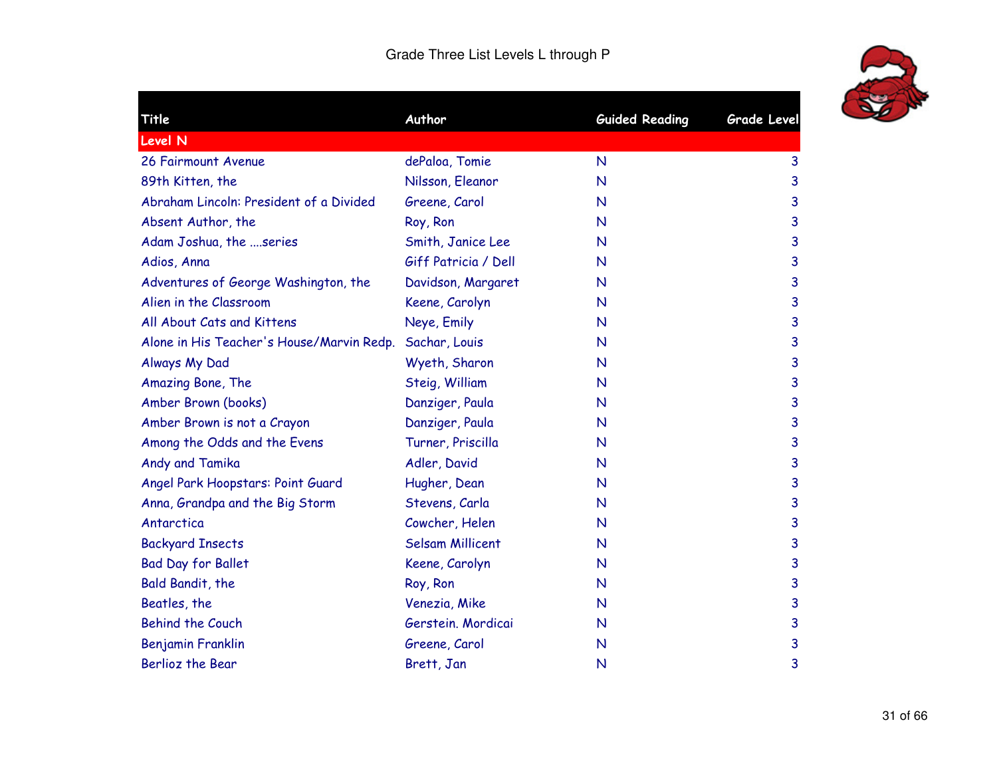

| Title                                     | Author                  | <b>Guided Reading</b> | <b>Grade Level</b> |
|-------------------------------------------|-------------------------|-----------------------|--------------------|
| <b>Level N</b>                            |                         |                       |                    |
| 26 Fairmount Avenue                       | dePaloa, Tomie          | $\mathsf{N}$          | 3                  |
| 89th Kitten, the                          | Nilsson, Eleanor        | N                     | 3                  |
| Abraham Lincoln: President of a Divided   | Greene, Carol           | N                     | 3                  |
| Absent Author, the                        | Roy, Ron                | N                     | 3                  |
| Adam Joshua, the series                   | Smith, Janice Lee       | $\mathsf{N}$          | 3                  |
| Adios, Anna                               | Giff Patricia / Dell    | $\mathsf{N}$          | 3                  |
| Adventures of George Washington, the      | Davidson, Margaret      | $\mathsf{N}$          | 3                  |
| Alien in the Classroom                    | Keene, Carolyn          | $\mathsf{N}$          | 3                  |
| All About Cats and Kittens                | Neye, Emily             | N                     | 3                  |
| Alone in His Teacher's House/Marvin Redp. | Sachar, Louis           | N                     | 3                  |
| Always My Dad                             | Wyeth, Sharon           | N                     | 3                  |
| Amazing Bone, The                         | Steig, William          | N                     | 3                  |
| Amber Brown (books)                       | Danziger, Paula         | $\mathsf{N}$          | 3                  |
| Amber Brown is not a Crayon               | Danziger, Paula         | N                     | 3                  |
| Among the Odds and the Evens              | Turner, Priscilla       | $\mathsf{N}$          | 3                  |
| Andy and Tamika                           | Adler, David            | $\mathsf{N}$          | 3                  |
| Angel Park Hoopstars: Point Guard         | Hugher, Dean            | N                     | 3                  |
| Anna, Grandpa and the Big Storm           | Stevens, Carla          | $\mathsf{N}$          | 3                  |
| Antarctica                                | Cowcher, Helen          | N                     | 3                  |
| <b>Backyard Insects</b>                   | <b>Selsam Millicent</b> | N                     | 3                  |
| <b>Bad Day for Ballet</b>                 | Keene, Carolyn          | $\mathsf{N}$          | 3                  |
| Bald Bandit, the                          | Roy, Ron                | $\mathsf{N}$          | 3                  |
| Beatles, the                              | Venezia, Mike           | $\mathsf{N}$          | 3                  |
| <b>Behind the Couch</b>                   | Gerstein. Mordicai      | N                     | 3                  |
| Benjamin Franklin                         | Greene, Carol           | $\mathsf{N}$          | 3                  |
| <b>Berlioz the Bear</b>                   | Brett, Jan              | N                     | 3                  |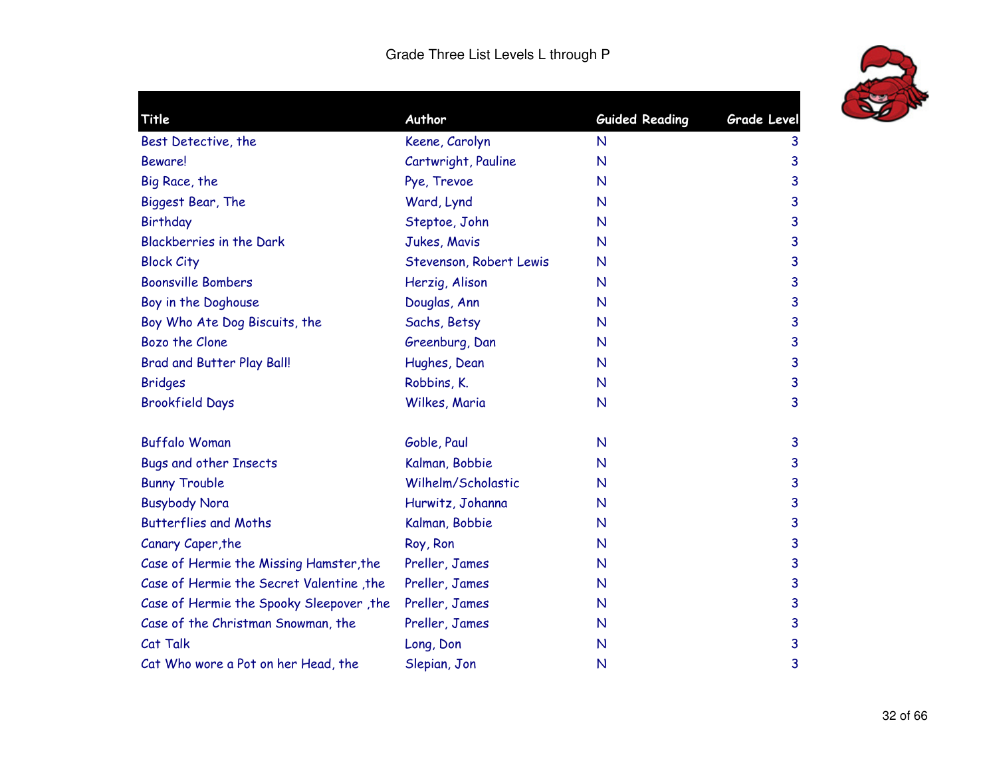

| Title                                    | Author                  | <b>Guided Reading</b> | <b>Grade Level</b> |
|------------------------------------------|-------------------------|-----------------------|--------------------|
| Best Detective, the                      | Keene, Carolyn          | $\mathsf{N}$          | 3                  |
| Beware!                                  | Cartwright, Pauline     | $\mathsf{N}$          | 3                  |
| Big Race, the                            | Pye, Trevoe             | $\mathsf{N}$          | 3                  |
| Biggest Bear, The                        | Ward, Lynd              | N                     | 3                  |
| Birthday                                 | Steptoe, John           | $\mathsf{N}$          | 3                  |
| <b>Blackberries in the Dark</b>          | Jukes, Mavis            | $\mathsf{N}$          | 3                  |
| <b>Block City</b>                        | Stevenson, Robert Lewis | $\mathsf{N}$          | 3                  |
| <b>Boonsville Bombers</b>                | Herzig, Alison          | $\mathsf{N}$          | 3                  |
| Boy in the Doghouse                      | Douglas, Ann            | N                     | 3                  |
| Boy Who Ate Dog Biscuits, the            | Sachs, Betsy            | N                     | 3                  |
| Bozo the Clone                           | Greenburg, Dan          | $\mathsf{N}$          | 3                  |
| <b>Brad and Butter Play Ball!</b>        | Hughes, Dean            | $\mathsf{N}$          | 3                  |
| <b>Bridges</b>                           | Robbins, K.             | $\mathsf{N}$          | $\mathbf{3}$       |
| <b>Brookfield Days</b>                   | Wilkes, Maria           | N                     | 3                  |
| <b>Buffalo Woman</b>                     | Goble, Paul             | $\mathsf{N}$          | 3                  |
| <b>Bugs and other Insects</b>            | Kalman, Bobbie          | N                     | 3                  |
| <b>Bunny Trouble</b>                     | Wilhelm/Scholastic      | $\mathsf{N}$          | $\mathbf{3}$       |
| <b>Busybody Nora</b>                     | Hurwitz, Johanna        | $\mathsf{N}$          | 3                  |
| <b>Butterflies and Moths</b>             | Kalman, Bobbie          | N                     | 3                  |
| Canary Caper, the                        | Roy, Ron                | N                     | 3                  |
| Case of Hermie the Missing Hamster, the  | Preller, James          | N                     | 3                  |
| Case of Hermie the Secret Valentine, the | Preller, James          | N                     | 3                  |
| Case of Hermie the Spooky Sleepover, the | Preller, James          | $\mathsf{N}$          | 3                  |
| Case of the Christman Snowman, the       | Preller, James          | $\mathsf{N}$          | 3                  |
| Cat Talk                                 | Long, Don               | $\mathsf{N}$          | 3                  |
| Cat Who wore a Pot on her Head, the      | Slepian, Jon            | $\mathsf{N}$          | 3                  |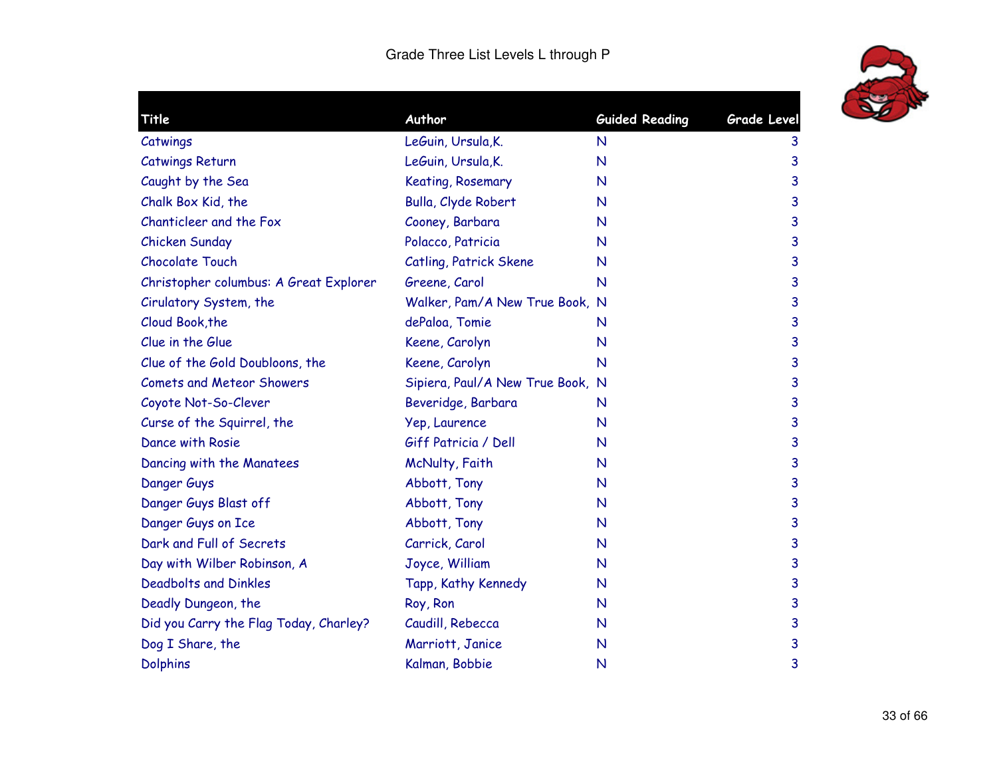

| Title                                  | Author                           | <b>Guided Reading</b> | <b>Grade Level</b> |
|----------------------------------------|----------------------------------|-----------------------|--------------------|
| Catwings                               | LeGuin, Ursula, K.               | N                     | 3                  |
| <b>Catwings Return</b>                 | LeGuin, Ursula, K.               | N                     | 3                  |
| Caught by the Sea                      | Keating, Rosemary                | N                     | 3                  |
| Chalk Box Kid, the                     | Bulla, Clyde Robert              | N                     | 3                  |
| Chanticleer and the Fox                | Cooney, Barbara                  | N                     | 3                  |
| Chicken Sunday                         | Polacco, Patricia                | N                     | 3                  |
| <b>Chocolate Touch</b>                 | Catling, Patrick Skene           | N                     | 3                  |
| Christopher columbus: A Great Explorer | Greene, Carol                    | N                     | 3                  |
| Cirulatory System, the                 | Walker, Pam/A New True Book, N   |                       | 3                  |
| Cloud Book, the                        | dePaloa, Tomie                   | N                     | 3                  |
| Clue in the Glue                       | Keene, Carolyn                   | N                     | 3                  |
| Clue of the Gold Doubloons, the        | Keene, Carolyn                   | N                     | 3                  |
| <b>Comets and Meteor Showers</b>       | Sipiera, Paul/A New True Book, N |                       | 3                  |
| Coyote Not-So-Clever                   | Beveridge, Barbara               | N                     | 3                  |
| Curse of the Squirrel, the             | Yep, Laurence                    | N                     | 3                  |
| Dance with Rosie                       | Giff Patricia / Dell             | N                     | 3                  |
| Dancing with the Manatees              | McNulty, Faith                   | N                     | 3                  |
| Danger Guys                            | Abbott, Tony                     | N                     | 3                  |
| Danger Guys Blast off                  | Abbott, Tony                     | N                     | 3                  |
| Danger Guys on Ice                     | Abbott, Tony                     | N                     | 3                  |
| Dark and Full of Secrets               | Carrick, Carol                   | N                     | 3                  |
| Day with Wilber Robinson, A            | Joyce, William                   | N                     | 3                  |
| <b>Deadbolts and Dinkles</b>           | Tapp, Kathy Kennedy              | N                     | 3                  |
| Deadly Dungeon, the                    | Roy, Ron                         | N                     | 3                  |
| Did you Carry the Flag Today, Charley? | Caudill, Rebecca                 | N                     | 3                  |
| Dog I Share, the                       | Marriott, Janice                 | N                     | 3                  |
| <b>Dolphins</b>                        | Kalman, Bobbie                   | N                     | 3                  |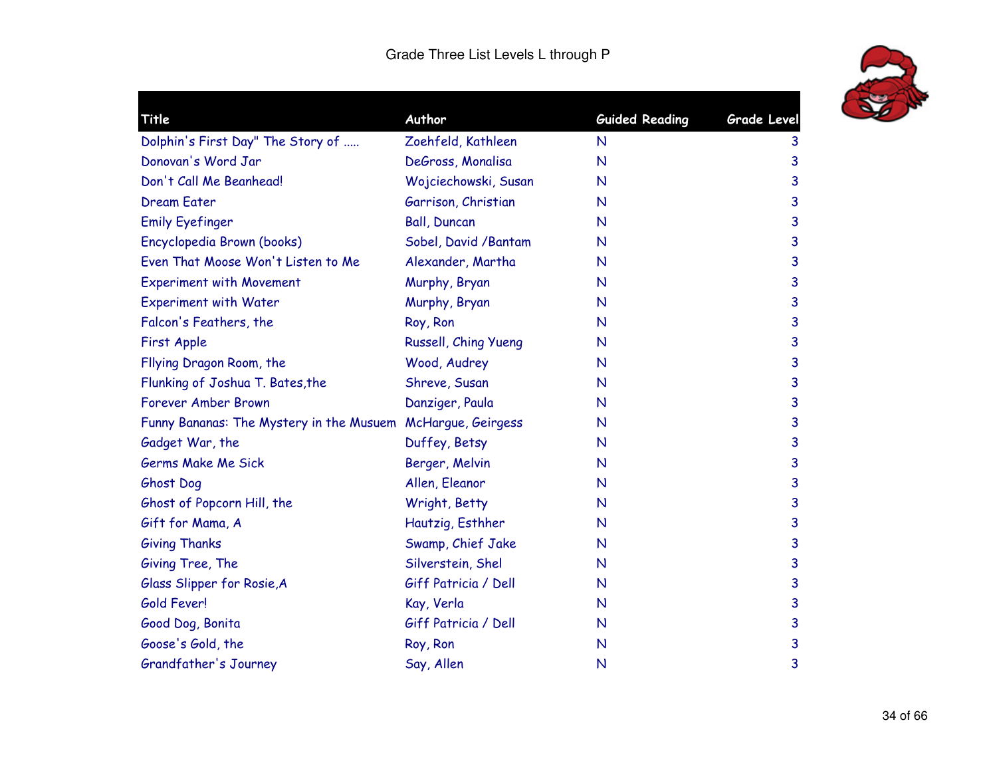

| Title                                                       | Author                | <b>Guided Reading</b> | <b>Grade Level</b> |
|-------------------------------------------------------------|-----------------------|-----------------------|--------------------|
| Dolphin's First Day" The Story of                           | Zoehfeld, Kathleen    | $\mathsf{N}$          | 3                  |
| Donovan's Word Jar                                          | DeGross, Monalisa     | $\mathsf{N}$          | 3                  |
| Don't Call Me Beanhead!                                     | Wojciechowski, Susan  | $\mathsf{N}$          | 3                  |
| <b>Dream Eater</b>                                          | Garrison, Christian   | N                     | 3                  |
| <b>Emily Eyefinger</b>                                      | <b>Ball, Duncan</b>   | N                     | 3                  |
| Encyclopedia Brown (books)                                  | Sobel, David / Bantam | $\mathsf{N}$          | 3                  |
| Even That Moose Won't Listen to Me                          | Alexander, Martha     | N                     | 3                  |
| <b>Experiment with Movement</b>                             | Murphy, Bryan         | N                     | 3                  |
| <b>Experiment with Water</b>                                | Murphy, Bryan         | N                     | 3                  |
| Falcon's Feathers, the                                      | Roy, Ron              | $\mathsf{N}$          | 3                  |
| First Apple                                                 | Russell, Ching Yueng  | $\mathsf{N}$          | 3                  |
| Fllying Dragon Room, the                                    | Wood, Audrey          | N                     | 3                  |
| Flunking of Joshua T. Bates, the                            | Shreve, Susan         | $\mathsf{N}$          | 3                  |
| Forever Amber Brown                                         | Danziger, Paula       | N                     | 3                  |
| Funny Bananas: The Mystery in the Musuem McHargue, Geirgess |                       | N                     | 3                  |
| Gadget War, the                                             | Duffey, Betsy         | $\mathsf{N}$          | 3                  |
| Germs Make Me Sick                                          | Berger, Melvin        | N                     | 3                  |
| Ghost Dog                                                   | Allen, Eleanor        | N                     | 3                  |
| Ghost of Popcorn Hill, the                                  | Wright, Betty         | N                     | 3                  |
| Gift for Mama, A                                            | Hautzig, Esthher      | $\mathsf{N}$          | 3                  |
| <b>Giving Thanks</b>                                        | Swamp, Chief Jake     | $\mathsf{N}$          | 3                  |
| Giving Tree, The                                            | Silverstein, Shel     | $\mathsf{N}$          | 3                  |
| Glass Slipper for Rosie, A                                  | Giff Patricia / Dell  | $\mathsf{N}$          | 3                  |
| Gold Fever!                                                 | Kay, Verla            | $\mathsf{N}$          | 3                  |
| Good Dog, Bonita                                            | Giff Patricia / Dell  | N                     | 3                  |
| Goose's Gold, the                                           | Roy, Ron              | $\mathsf{N}$          | 3                  |
| Grandfather's Journey                                       | Say, Allen            | N                     | 3                  |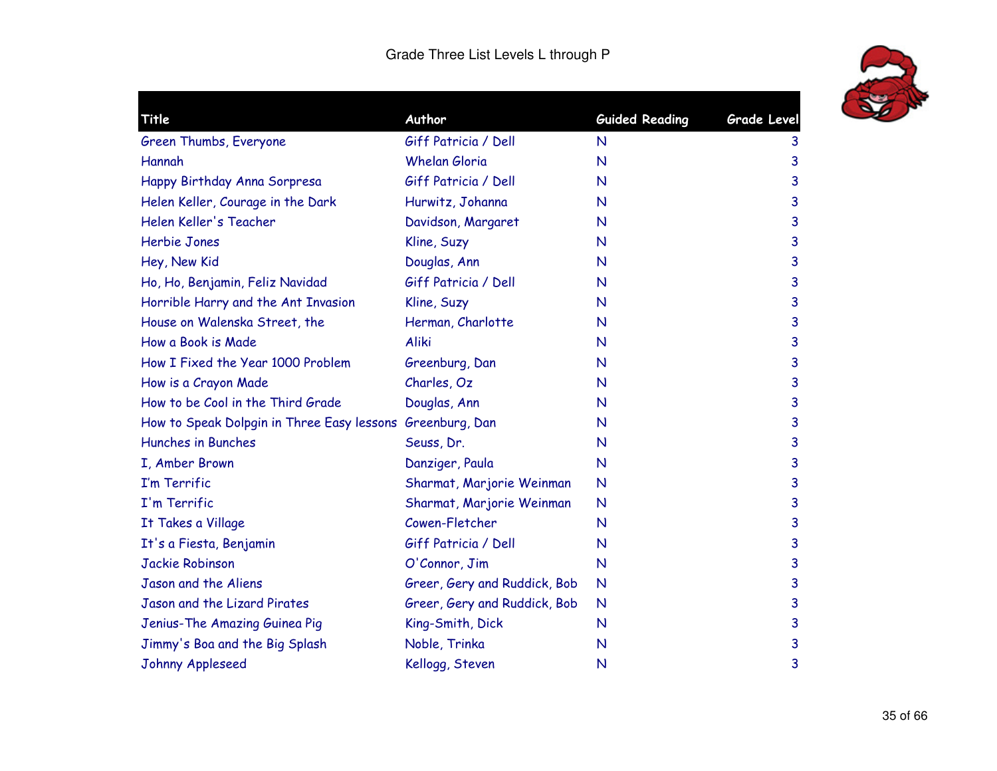

| <b>Title</b>                                              | Author                       | <b>Guided Reading</b> | Grade Level |
|-----------------------------------------------------------|------------------------------|-----------------------|-------------|
| Green Thumbs, Everyone                                    | Giff Patricia / Dell         | N                     | 3           |
| Hannah                                                    | <b>Whelan Gloria</b>         | $\mathsf{N}$          | 3           |
| Happy Birthday Anna Sorpresa                              | Giff Patricia / Dell         | $\mathsf{N}$          | 3           |
| Helen Keller, Courage in the Dark                         | Hurwitz, Johanna             | $\mathsf{N}$          | 3           |
| Helen Keller's Teacher                                    | Davidson, Margaret           | N                     | 3           |
| <b>Herbie Jones</b>                                       | Kline, Suzy                  | N                     | 3           |
| Hey, New Kid                                              | Douglas, Ann                 | N                     | 3           |
| Ho, Ho, Benjamin, Feliz Navidad                           | Giff Patricia / Dell         | N                     | 3           |
| Horrible Harry and the Ant Invasion                       | Kline, Suzy                  | $\mathsf{N}$          | 3           |
| House on Walenska Street, the                             | Herman, Charlotte            | N                     | 3           |
| How a Book is Made                                        | Aliki                        | $\mathsf{N}$          | 3           |
| How I Fixed the Year 1000 Problem                         | Greenburg, Dan               | N                     | 3           |
| How is a Crayon Made                                      | Charles, Oz                  | N                     | 3           |
| How to be Cool in the Third Grade                         | Douglas, Ann                 | N                     | 3           |
| How to Speak Dolpgin in Three Easy lessons Greenburg, Dan |                              | N                     | 3           |
| Hunches in Bunches                                        | Seuss, Dr.                   | $\mathsf{N}$          | 3           |
| I, Amber Brown                                            | Danziger, Paula              | N                     | 3           |
| I'm Terrific                                              | Sharmat, Marjorie Weinman    | $\mathsf{N}$          | 3           |
| I'm Terrific                                              | Sharmat, Marjorie Weinman    | N                     | 3           |
| It Takes a Village                                        | Cowen-Fletcher               | N                     | 3           |
| It's a Fiesta, Benjamin                                   | Giff Patricia / Dell         | N                     | 3           |
| <b>Jackie Robinson</b>                                    | O'Connor, Jim                | N                     | 3           |
| Jason and the Aliens                                      | Greer, Gery and Ruddick, Bob | N                     | 3           |
| Jason and the Lizard Pirates                              | Greer, Gery and Ruddick, Bob | N                     | 3           |
| Jenius-The Amazing Guinea Pig                             | King-Smith, Dick             | N                     | 3           |
| Jimmy's Boa and the Big Splash                            | Noble, Trinka                | N                     | 3           |
| Johnny Appleseed                                          | Kellogg, Steven              | N                     | 3           |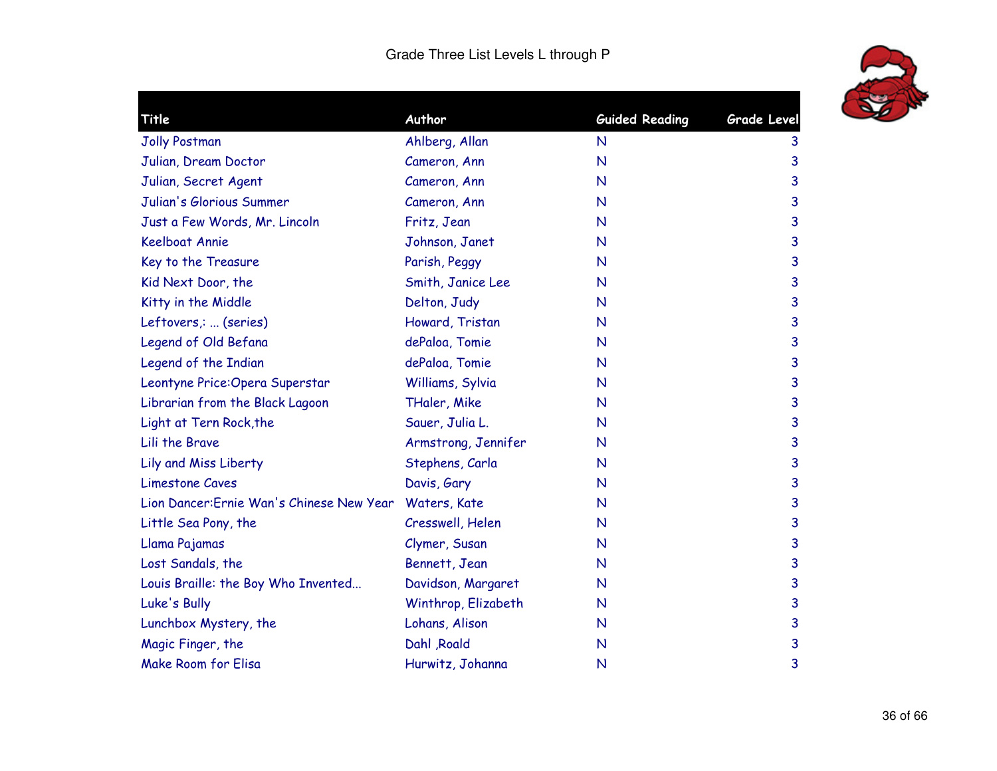

| Title                                     | Author              | <b>Guided Reading</b> | Grade Level |
|-------------------------------------------|---------------------|-----------------------|-------------|
|                                           |                     |                       |             |
| <b>Jolly Postman</b>                      | Ahlberg, Allan      | $\mathsf{N}$          | 3           |
| Julian, Dream Doctor                      | Cameron, Ann        | $\mathsf{N}$          | 3           |
| Julian, Secret Agent                      | Cameron, Ann        | N                     | 3           |
| Julian's Glorious Summer                  | Cameron, Ann        | $\mathsf{N}$          | 3           |
| Just a Few Words, Mr. Lincoln             | Fritz, Jean         | N                     | 3           |
| <b>Keelboat Annie</b>                     | Johnson, Janet      | $\mathsf{N}$          | 3           |
| Key to the Treasure                       | Parish, Peggy       | N                     | 3           |
| Kid Next Door, the                        | Smith, Janice Lee   | N                     | 3           |
| Kitty in the Middle                       | Delton, Judy        | $\mathsf{N}$          | 3           |
| Leftovers,:  (series)                     | Howard, Tristan     | N                     | 3           |
| Legend of Old Befana                      | dePaloa, Tomie      | N                     | 3           |
| Legend of the Indian                      | dePaloa, Tomie      | N                     | 3           |
| Leontyne Price: Opera Superstar           | Williams, Sylvia    | N                     | 3           |
| Librarian from the Black Lagoon           | THaler, Mike        | N                     | 3           |
| Light at Tern Rock, the                   | Sauer, Julia L.     | N                     | 3           |
| Lili the Brave                            | Armstrong, Jennifer | N                     | 3           |
| Lily and Miss Liberty                     | Stephens, Carla     | N                     | 3           |
| <b>Limestone Caves</b>                    | Davis, Gary         | $\mathsf{N}$          | 3           |
| Lion Dancer: Ernie Wan's Chinese New Year | Waters, Kate        | $\mathsf{N}$          | 3           |
| Little Sea Pony, the                      | Cresswell, Helen    | N                     | 3           |
| Llama Pajamas                             | Clymer, Susan       | $\mathsf{N}$          | 3           |
| Lost Sandals, the                         | Bennett, Jean       | N                     | 3           |
| Louis Braille: the Boy Who Invented       | Davidson, Margaret  | N                     | 3           |
| Luke's Bully                              | Winthrop, Elizabeth | N                     | 3           |
| Lunchbox Mystery, the                     | Lohans, Alison      | N                     | 3           |
| Magic Finger, the                         | Dahl , Roald        | N                     | 3           |
| <b>Make Room for Elisa</b>                | Hurwitz, Johanna    | N                     | 3           |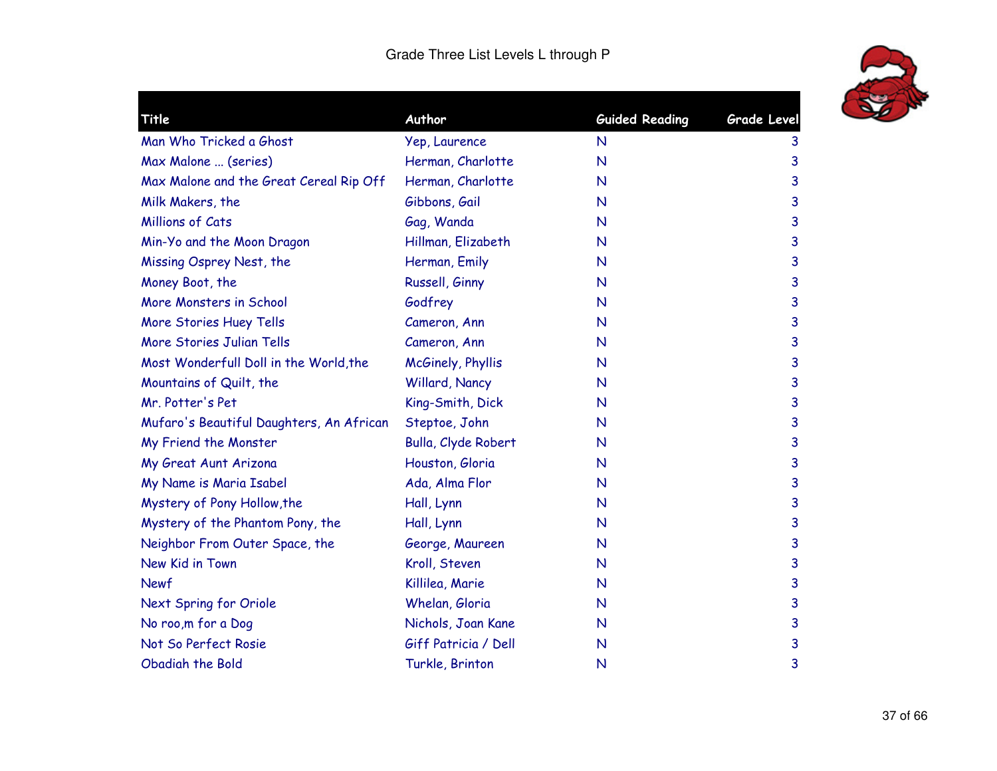

| Title                                    | Author               | <b>Guided Reading</b> | Grade Level |
|------------------------------------------|----------------------|-----------------------|-------------|
| Man Who Tricked a Ghost                  | Yep, Laurence        | $\mathsf{N}$          | 3           |
| Max Malone  (series)                     | Herman, Charlotte    | $\mathsf{N}$          | 3           |
| Max Malone and the Great Cereal Rip Off  | Herman, Charlotte    | $\mathsf{N}$          | 3           |
| Milk Makers, the                         | Gibbons, Gail        | $\mathsf{N}$          | 3           |
| <b>Millions of Cats</b>                  | Gag, Wanda           | $\mathsf{N}$          | 3           |
| Min-Yo and the Moon Dragon               | Hillman, Elizabeth   | $\mathsf{N}$          | 3           |
| Missing Osprey Nest, the                 | Herman, Emily        | $\mathsf{N}$          | 3           |
| Money Boot, the                          | Russell, Ginny       | $\mathsf{N}$          | 3           |
| More Monsters in School                  | Godfrey              | $\mathsf{N}$          | 3           |
| More Stories Huey Tells                  | Cameron, Ann         | $\mathsf{N}$          | 3           |
| More Stories Julian Tells                | Cameron, Ann         | $\mathsf{N}$          | 3           |
| Most Wonderfull Doll in the World, the   | McGinely, Phyllis    | $\mathsf{N}$          | 3           |
| Mountains of Quilt, the                  | Willard, Nancy       | $\mathsf{N}$          | 3           |
| Mr. Potter's Pet                         | King-Smith, Dick     | $\mathsf{N}$          | 3           |
| Mufaro's Beautiful Daughters, An African | Steptoe, John        | $\mathsf{N}$          | 3           |
| My Friend the Monster                    | Bulla, Clyde Robert  | $\mathsf{N}$          | 3           |
| My Great Aunt Arizona                    | Houston, Gloria      | N                     | 3           |
| My Name is Maria Isabel                  | Ada, Alma Flor       | N                     | 3           |
| Mystery of Pony Hollow, the              | Hall, Lynn           | N                     | 3           |
| Mystery of the Phantom Pony, the         | Hall, Lynn           | N                     | 3           |
| Neighbor From Outer Space, the           | George, Maureen      | N                     | 3           |
| New Kid in Town                          | Kroll, Steven        | N                     | 3           |
| Newf                                     | Killilea, Marie      | N                     | 3           |
| Next Spring for Oriole                   | Whelan, Gloria       | N                     | 3           |
| No roo, m for a Dog                      | Nichols, Joan Kane   | N                     | 3           |
| Not So Perfect Rosie                     | Giff Patricia / Dell | N                     | 3           |
| Obadiah the Bold                         | Turkle, Brinton      | $\mathsf{N}$          | 3           |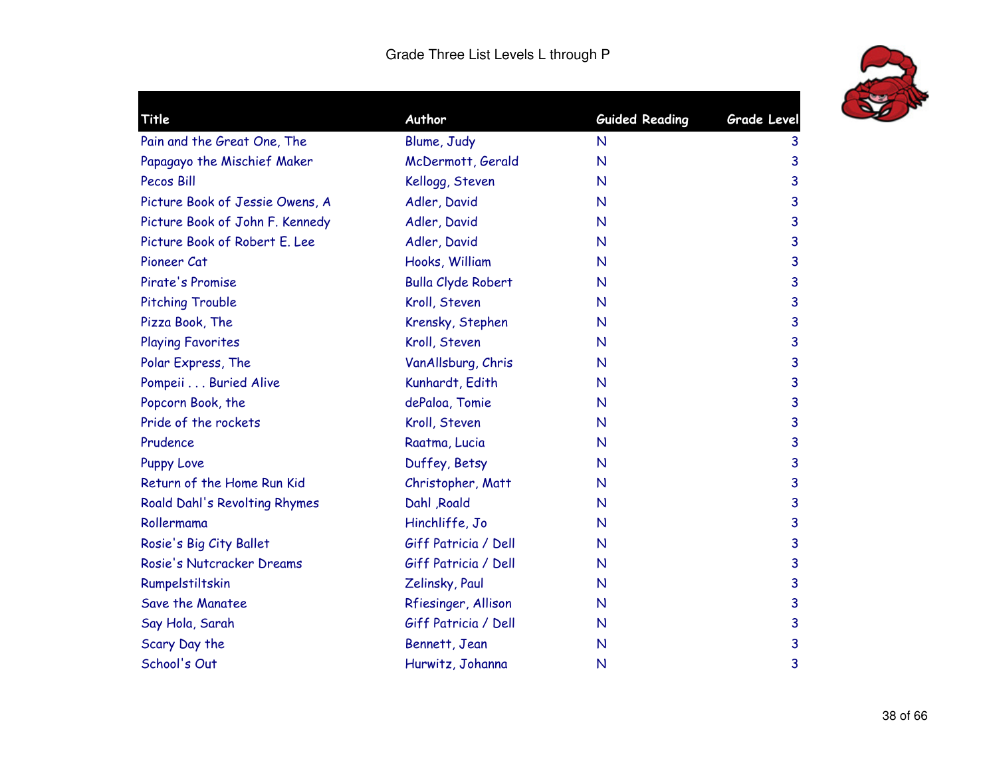

| Title                           | Author                    | <b>Guided Reading</b> | Grade Level |
|---------------------------------|---------------------------|-----------------------|-------------|
| Pain and the Great One, The     | Blume, Judy               | N                     | 3           |
| Papagayo the Mischief Maker     | McDermott, Gerald         | $\mathsf{N}$          | 3           |
| <b>Pecos Bill</b>               | Kellogg, Steven           | N                     | 3           |
| Picture Book of Jessie Owens, A | Adler, David              | $\mathsf{N}$          | 3           |
| Picture Book of John F. Kennedy | Adler, David              | N                     | 3           |
| Picture Book of Robert E. Lee   | Adler, David              | N                     | 3           |
| Pioneer Cat                     | Hooks, William            | $\mathsf{N}$          | 3           |
| Pirate's Promise                | <b>Bulla Clyde Robert</b> | N                     | 3           |
| <b>Pitching Trouble</b>         | Kroll, Steven             | N                     | 3           |
| Pizza Book, The                 | Krensky, Stephen          | $\mathsf{N}$          | 3           |
| <b>Playing Favorites</b>        | Kroll, Steven             | $\mathsf{N}$          | 3           |
| Polar Express, The              | VanAllsburg, Chris        | $\mathsf{N}$          | 3           |
| Pompeii Buried Alive            | Kunhardt, Edith           | N                     | 3           |
| Popcorn Book, the               | dePaloa, Tomie            | $\mathsf{N}$          | 3           |
| Pride of the rockets            | Kroll, Steven             | $\mathsf{N}$          | 3           |
| Prudence                        | Raatma, Lucia             | $\mathsf{N}$          | 3           |
| <b>Puppy Love</b>               | Duffey, Betsy             | $\mathsf{N}$          | 3           |
| Return of the Home Run Kid      | Christopher, Matt         | $\mathsf{N}$          | 3           |
| Roald Dahl's Revolting Rhymes   | Dahl , Roald              | $\mathsf{N}$          | 3           |
| Rollermama                      | Hinchliffe, Jo            | $\mathsf{N}$          | 3           |
| Rosie's Big City Ballet         | Giff Patricia / Dell      | $\mathsf{N}$          | 3           |
| Rosie's Nutcracker Dreams       | Giff Patricia / Dell      | $\mathsf{N}$          | 3           |
| Rumpelstiltskin                 | Zelinsky, Paul            | N                     | 3           |
| Save the Manatee                | Rfiesinger, Allison       | N                     | 3           |
| Say Hola, Sarah                 | Giff Patricia / Dell      | N                     | 3           |
| Scary Day the                   | Bennett, Jean             | N                     | 3           |
| School's Out                    | Hurwitz, Johanna          | N                     | 3           |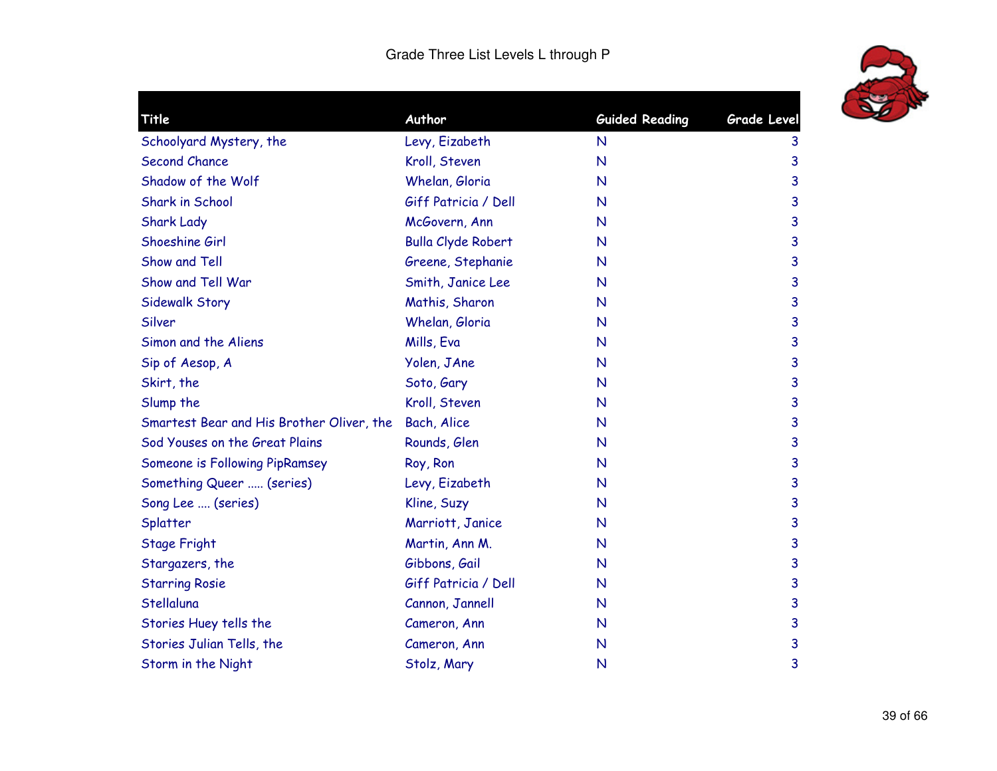

| Title                                     | Author                    | <b>Guided Reading</b> | <b>Grade Level</b> |
|-------------------------------------------|---------------------------|-----------------------|--------------------|
| Schoolyard Mystery, the                   | Levy, Eizabeth            | $\mathsf{N}$          | 3                  |
| <b>Second Chance</b>                      | Kroll, Steven             | N                     | 3                  |
| Shadow of the Wolf                        | Whelan, Gloria            | N                     | 3                  |
| Shark in School                           | Giff Patricia / Dell      | N                     | 3                  |
| <b>Shark Lady</b>                         | McGovern, Ann             | N                     | 3                  |
| Shoeshine Girl                            | <b>Bulla Clyde Robert</b> | N                     | 3                  |
| Show and Tell                             | Greene, Stephanie         | N                     | 3                  |
| Show and Tell War                         | Smith, Janice Lee         | N                     | 3                  |
| Sidewalk Story                            | Mathis, Sharon            | N                     | 3                  |
| Silver                                    | Whelan, Gloria            | N                     | 3                  |
| Simon and the Aliens                      | Mills, Eva                | N                     | 3                  |
| Sip of Aesop, A                           | Yolen, JAne               | N                     | 3                  |
| Skirt, the                                | Soto, Gary                | N                     | 3                  |
| Slump the                                 | Kroll, Steven             | N                     | 3                  |
| Smartest Bear and His Brother Oliver, the | Bach, Alice               | N                     | 3                  |
| Sod Youses on the Great Plains            | Rounds, Glen              | N                     | 3                  |
| Someone is Following PipRamsey            | Roy, Ron                  | $\mathsf{N}$          | 3                  |
| Something Queer  (series)                 | Levy, Eizabeth            | N                     | 3                  |
| Song Lee  (series)                        | Kline, Suzy               | N                     | 3                  |
| Splatter                                  | Marriott, Janice          | N                     | 3                  |
| <b>Stage Fright</b>                       | Martin, Ann M.            | N                     | 3                  |
| Stargazers, the                           | Gibbons, Gail             | N                     | 3                  |
| <b>Starring Rosie</b>                     | Giff Patricia / Dell      | N                     | 3                  |
| Stellaluna                                | Cannon, Jannell           | N                     | 3                  |
| Stories Huey tells the                    | Cameron, Ann              | N                     | 3                  |
| Stories Julian Tells, the                 | Cameron, Ann              | N                     | 3                  |
| Storm in the Night                        | Stolz, Mary               | N                     | 3                  |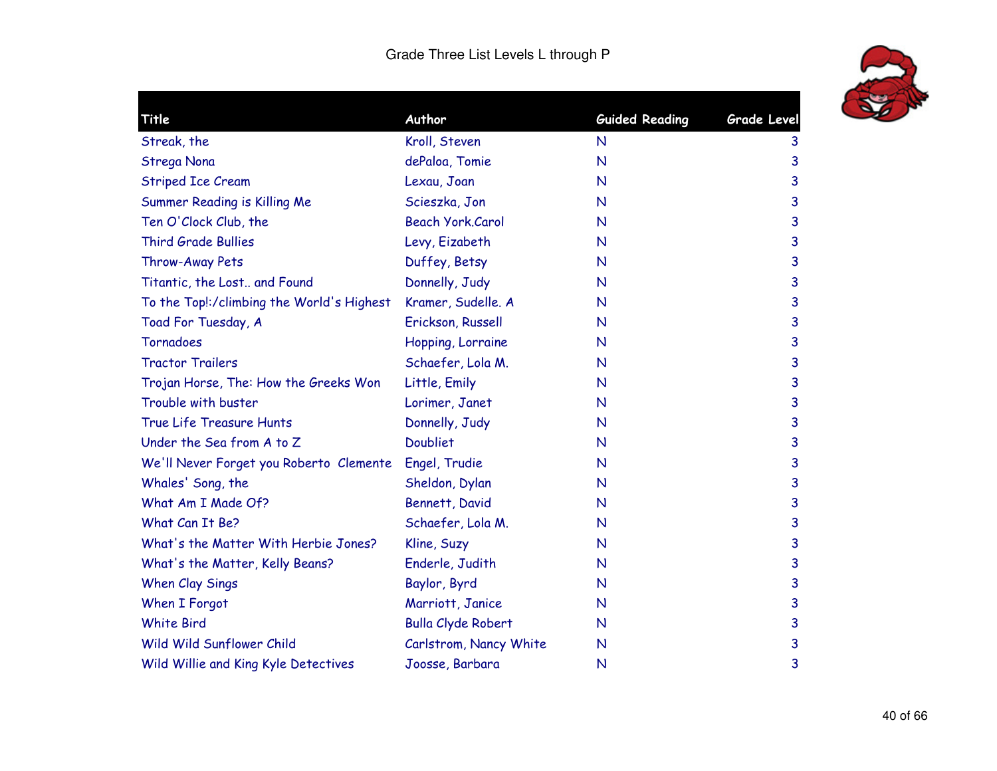

| Title                                     | Author                    | <b>Guided Reading</b> | Grade Level |
|-------------------------------------------|---------------------------|-----------------------|-------------|
| Streak, the                               | Kroll, Steven             | $\mathsf{N}$          | 3           |
| Strega Nona                               | dePaloa, Tomie            | $\mathsf{N}$          | 3           |
| <b>Striped Ice Cream</b>                  | Lexau, Joan               | $\mathsf{N}$          | 3           |
| Summer Reading is Killing Me              | Scieszka, Jon             | $\mathsf{N}$          | 3           |
| Ten O'Clock Club, the                     | <b>Beach York, Carol</b>  | N                     | 3           |
| <b>Third Grade Bullies</b>                | Levy, Eizabeth            | $\mathsf{N}$          | 3           |
| Throw-Away Pets                           | Duffey, Betsy             | N                     | 3           |
| Titantic, the Lost and Found              | Donnelly, Judy            | N                     | 3           |
| To the Top!:/climbing the World's Highest | Kramer, Sudelle. A        | N                     | 3           |
| Toad For Tuesday, A                       | Erickson, Russell         | N                     | 3           |
| Tornadoes                                 | Hopping, Lorraine         | $\mathsf{N}$          | 3           |
| <b>Tractor Trailers</b>                   | Schaefer, Lola M.         | N                     | 3           |
| Trojan Horse, The: How the Greeks Won     | Little, Emily             | N                     | 3           |
| Trouble with buster                       | Lorimer, Janet            | N                     | 3           |
| True Life Treasure Hunts                  | Donnelly, Judy            | N                     | 3           |
| Under the Sea from A to Z                 | <b>Doubliet</b>           | $\mathsf{N}$          | 3           |
| We'll Never Forget you Roberto Clemente   | Engel, Trudie             | $\mathsf{N}$          | 3           |
| Whales' Song, the                         | Sheldon, Dylan            | $\mathsf{N}$          | 3           |
| What Am I Made Of?                        | Bennett, David            | $\mathsf{N}$          | 3           |
| What Can It Be?                           | Schaefer, Lola M.         | $\mathsf{N}$          | 3           |
| What's the Matter With Herbie Jones?      | Kline, Suzy               | $\mathsf{N}$          | 3           |
| What's the Matter, Kelly Beans?           | Enderle, Judith           | N                     | 3           |
| When Clay Sings                           | Baylor, Byrd              | N                     | 3           |
| When I Forgot                             | Marriott, Janice          | N                     | 3           |
| <b>White Bird</b>                         | <b>Bulla Clyde Robert</b> | N                     | 3           |
| Wild Wild Sunflower Child                 | Carlstrom, Nancy White    | N                     | 3           |
| Wild Willie and King Kyle Detectives      | Joosse, Barbara           | N                     | 3           |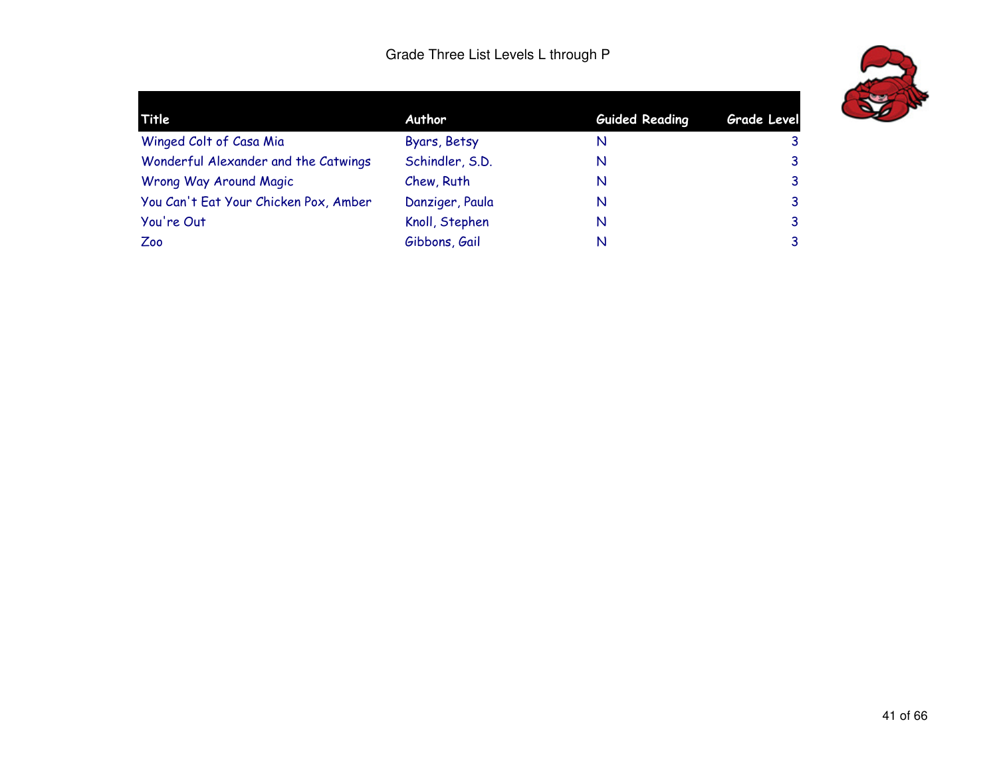

| Title                                 | Author          | <b>Guided Reading</b> | <b>Grade Level</b> |  |
|---------------------------------------|-----------------|-----------------------|--------------------|--|
| Winged Colt of Casa Mia               | Byars, Betsy    | N                     | 3                  |  |
| Wonderful Alexander and the Catwings  | Schindler, S.D. | N                     | 3                  |  |
| Wrong Way Around Magic                | Chew, Ruth      | N                     | 3                  |  |
| You Can't Eat Your Chicken Pox, Amber | Danziger, Paula | N                     | 3                  |  |
| You're Out                            | Knoll, Stephen  | N                     | 3                  |  |
| Zoo                                   | Gibbons, Gail   | N                     | 3                  |  |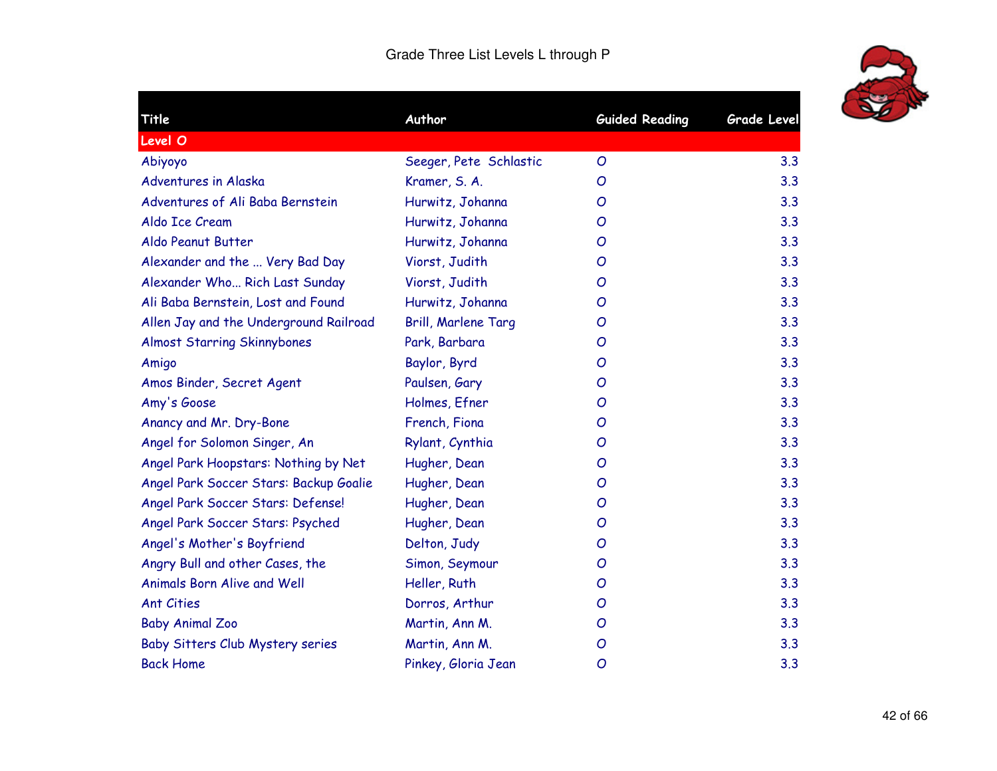

| Title                                   | Author                 | <b>Guided Reading</b> | Grade Level |
|-----------------------------------------|------------------------|-----------------------|-------------|
| Level O                                 |                        |                       |             |
| Abiyoyo                                 | Seeger, Pete Schlastic | $\overline{O}$        | 3.3         |
| Adventures in Alaska                    | Kramer, S. A.          | O                     | 3.3         |
| Adventures of Ali Baba Bernstein        | Hurwitz, Johanna       | $\overline{O}$        | 3.3         |
| Aldo Ice Cream                          | Hurwitz, Johanna       | O                     | 3.3         |
| Aldo Peanut Butter                      | Hurwitz, Johanna       | $\overline{O}$        | 3.3         |
| Alexander and the  Very Bad Day         | Viorst, Judith         | $\overline{O}$        | 3.3         |
| Alexander Who Rich Last Sunday          | Viorst, Judith         | O                     | 3.3         |
| Ali Baba Bernstein, Lost and Found      | Hurwitz, Johanna       | $\overline{O}$        | 3.3         |
| Allen Jay and the Underground Railroad  | Brill, Marlene Targ    | O                     | 3.3         |
| <b>Almost Starring Skinnybones</b>      | Park, Barbara          | $\overline{O}$        | 3.3         |
| Amigo                                   | Baylor, Byrd           | O                     | 3.3         |
| Amos Binder, Secret Agent               | Paulsen, Gary          | O                     | 3.3         |
| Amy's Goose                             | Holmes, Efner          | O                     | 3.3         |
| Anancy and Mr. Dry-Bone                 | French, Fiona          | O                     | 3.3         |
| Angel for Solomon Singer, An            | Rylant, Cynthia        | $\overline{O}$        | 3.3         |
| Angel Park Hoopstars: Nothing by Net    | Hugher, Dean           | $\mathcal{O}$         | 3.3         |
| Angel Park Soccer Stars: Backup Goalie  | Hugher, Dean           | $\mathcal{O}$         | 3.3         |
| Angel Park Soccer Stars: Defense!       | Hugher, Dean           | $\overline{O}$        | 3.3         |
| Angel Park Soccer Stars: Psyched        | Hugher, Dean           | O                     | 3.3         |
| Angel's Mother's Boyfriend              | Delton, Judy           | $\mathcal{O}$         | 3.3         |
| Angry Bull and other Cases, the         | Simon, Seymour         | O                     | 3.3         |
| <b>Animals Born Alive and Well</b>      | Heller, Ruth           | O                     | 3.3         |
| <b>Ant Cities</b>                       | Dorros, Arthur         | $\overline{O}$        | 3.3         |
| <b>Baby Animal Zoo</b>                  | Martin, Ann M.         | O                     | 3.3         |
| <b>Baby Sitters Club Mystery series</b> | Martin, Ann M.         | $\overline{O}$        | 3.3         |
| <b>Back Home</b>                        | Pinkey, Gloria Jean    | $\overline{O}$        | 3.3         |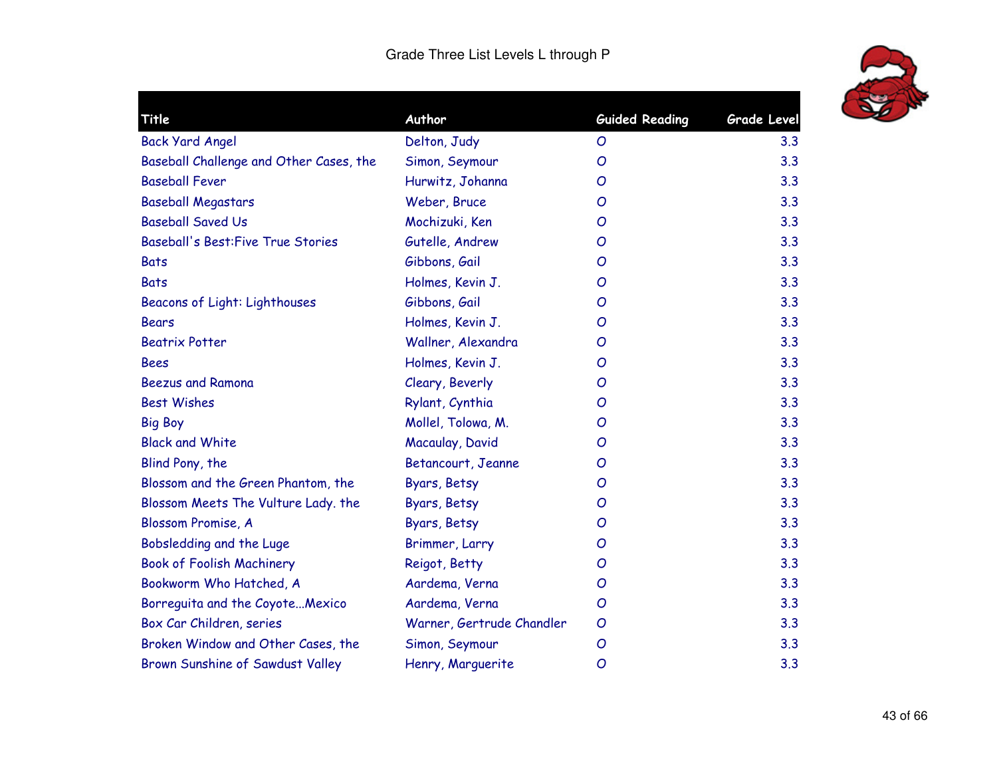

| Author                    | <b>Guided Reading</b> | <b>Grade Level</b> |
|---------------------------|-----------------------|--------------------|
| Delton, Judy              | $\overline{O}$        | 3.3                |
| Simon, Seymour            | O                     | 3.3                |
| Hurwitz, Johanna          | O                     | 3.3                |
| Weber, Bruce              | O                     | 3.3                |
| Mochizuki, Ken            | O                     | 3.3                |
| Gutelle, Andrew           | O                     | 3.3                |
| Gibbons, Gail             | O                     | 3.3                |
| Holmes, Kevin J.          | O                     | 3.3                |
| Gibbons, Gail             | O                     | 3.3                |
| Holmes, Kevin J.          | O                     | 3.3                |
| Wallner, Alexandra        | Ο                     | 3.3                |
| Holmes, Kevin J.          | O                     | 3.3                |
| Cleary, Beverly           | O                     | 3.3                |
| Rylant, Cynthia           | O                     | 3.3                |
| Mollel, Tolowa, M.        | O                     | 3.3                |
| Macaulay, David           | Ο                     | 3.3                |
| Betancourt, Jeanne        | O                     | 3.3                |
| Byars, Betsy              | O                     | 3.3                |
| Byars, Betsy              | O                     | 3.3                |
| Byars, Betsy              | O                     | 3.3                |
| Brimmer, Larry            | O                     | 3.3                |
| Reigot, Betty             | O                     | 3.3                |
| Aardema, Verna            | O                     | 3.3                |
| Aardema, Verna            | O                     | 3.3                |
| Warner, Gertrude Chandler | O                     | 3.3                |
| Simon, Seymour            | O                     | 3.3                |
| Henry, Marguerite         | O                     | 3.3                |
|                           |                       |                    |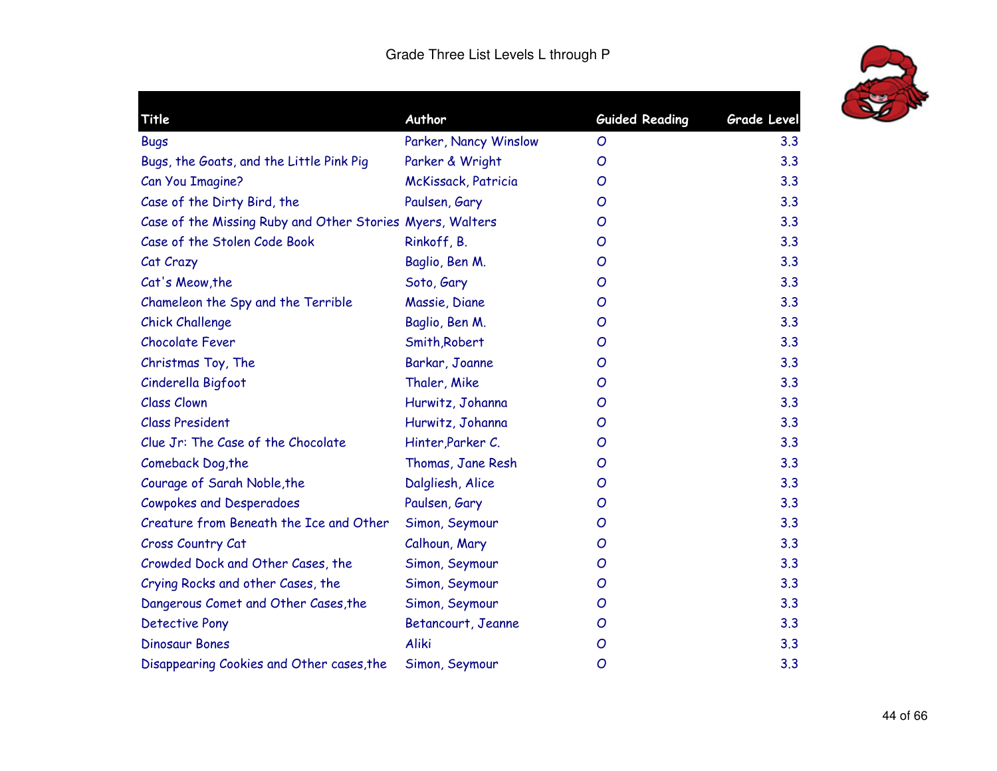

| Title                                                     | Author                | <b>Guided Reading</b> | Grade Level |
|-----------------------------------------------------------|-----------------------|-----------------------|-------------|
| <b>Bugs</b>                                               | Parker, Nancy Winslow | O                     | 3.3         |
| Bugs, the Goats, and the Little Pink Pig                  | Parker & Wright       | O                     | 3.3         |
| Can You Imagine?                                          | McKissack, Patricia   | O                     | 3.3         |
| Case of the Dirty Bird, the                               | Paulsen, Gary         | O                     | 3.3         |
| Case of the Missing Ruby and Other Stories Myers, Walters |                       | O                     | 3.3         |
| Case of the Stolen Code Book                              | Rinkoff, B.           | O                     | 3.3         |
| Cat Crazy                                                 | Baglio, Ben M.        | O                     | 3.3         |
| Cat's Meow, the                                           | Soto, Gary            | O                     | 3.3         |
| Chameleon the Spy and the Terrible                        | Massie, Diane         | O                     | 3.3         |
| <b>Chick Challenge</b>                                    | Baglio, Ben M.        | O                     | 3.3         |
| <b>Chocolate Fever</b>                                    | Smith, Robert         | O                     | 3.3         |
| Christmas Toy, The                                        | Barkar, Joanne        | O                     | 3.3         |
| Cinderella Bigfoot                                        | Thaler, Mike          | O                     | 3.3         |
| <b>Class Clown</b>                                        | Hurwitz, Johanna      | O                     | 3.3         |
| <b>Class President</b>                                    | Hurwitz, Johanna      | O                     | 3.3         |
| Clue Jr: The Case of the Chocolate                        | Hinter, Parker C.     | O                     | 3.3         |
| Comeback Dog, the                                         | Thomas, Jane Resh     | O                     | 3.3         |
| Courage of Sarah Noble, the                               | Dalgliesh, Alice      | O                     | 3.3         |
| <b>Cowpokes and Desperadoes</b>                           | Paulsen, Gary         | O                     | 3.3         |
| Creature from Beneath the Ice and Other                   | Simon, Seymour        | O                     | 3.3         |
| Cross Country Cat                                         | Calhoun, Mary         | O                     | 3.3         |
| Crowded Dock and Other Cases, the                         | Simon, Seymour        | O                     | 3.3         |
| Crying Rocks and other Cases, the                         | Simon, Seymour        | O                     | 3.3         |
| Dangerous Comet and Other Cases, the                      | Simon, Seymour        | O                     | 3.3         |
| <b>Detective Pony</b>                                     | Betancourt, Jeanne    | O                     | 3.3         |
| <b>Dinosaur Bones</b>                                     | <b>Aliki</b>          | O                     | 3.3         |
| Disappearing Cookies and Other cases, the                 | Simon, Seymour        | O                     | 3.3         |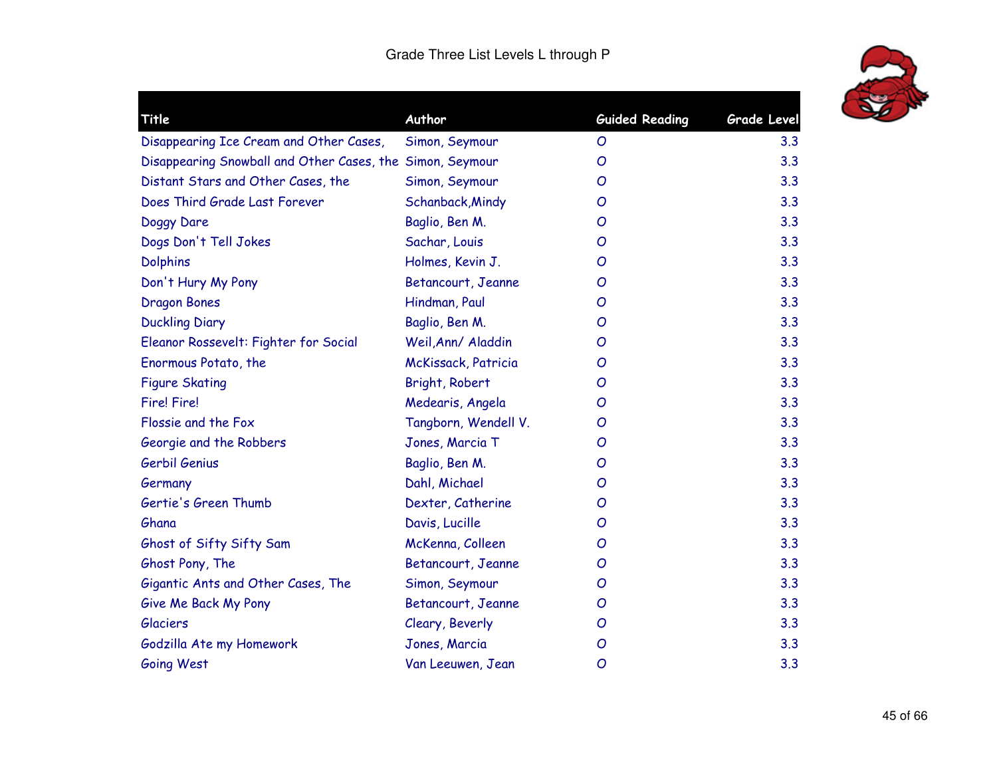

| Title                                                     | Author               | <b>Guided Reading</b> | <b>Grade Level</b> |
|-----------------------------------------------------------|----------------------|-----------------------|--------------------|
| Disappearing Ice Cream and Other Cases,                   | Simon, Seymour       | $\mathcal{O}$         | 3.3                |
| Disappearing Snowball and Other Cases, the Simon, Seymour |                      | $\mathcal{O}$         | 3.3                |
| Distant Stars and Other Cases, the                        | Simon, Seymour       | O                     | 3.3                |
| Does Third Grade Last Forever                             | Schanback, Mindy     | $\overline{O}$        | 3.3                |
| Doggy Dare                                                | Baglio, Ben M.       | O                     | 3.3                |
| Dogs Don't Tell Jokes                                     | Sachar, Louis        | O                     | 3.3                |
| <b>Dolphins</b>                                           | Holmes, Kevin J.     | $\overline{O}$        | 3.3                |
| Don't Hury My Pony                                        | Betancourt, Jeanne   | O                     | 3.3                |
| <b>Dragon Bones</b>                                       | Hindman, Paul        | O                     | 3.3                |
| <b>Duckling Diary</b>                                     | Baglio, Ben M.       | $\overline{O}$        | 3.3                |
| Eleanor Rossevelt: Fighter for Social                     | Weil, Ann/ Aladdin   | O                     | 3.3                |
| Enormous Potato, the                                      | McKissack, Patricia  | O                     | 3.3                |
| <b>Figure Skating</b>                                     | Bright, Robert       | O                     | 3.3                |
| <b>Fire! Fire!</b>                                        | Medearis, Angela     | O                     | 3.3                |
| Flossie and the Fox                                       | Tangborn, Wendell V. | O                     | 3.3                |
| Georgie and the Robbers                                   | Jones, Marcia T      | Ο                     | 3.3                |
| Gerbil Genius                                             | Baglio, Ben M.       | O                     | 3.3                |
| Germany                                                   | Dahl, Michael        | O                     | 3.3                |
| Gertie's Green Thumb                                      | Dexter, Catherine    | O                     | 3.3                |
| Ghana                                                     | Davis, Lucille       | $\overline{O}$        | 3.3                |
| Ghost of Sifty Sifty Sam                                  | McKenna, Colleen     | $\overline{O}$        | 3.3                |
| Ghost Pony, The                                           | Betancourt, Jeanne   | O                     | 3.3                |
| Gigantic Ants and Other Cases, The                        | Simon, Seymour       | $\mathcal{O}$         | 3.3                |
| Give Me Back My Pony                                      | Betancourt, Jeanne   | $\mathcal{O}$         | 3.3                |
| <b>Glaciers</b>                                           | Cleary, Beverly      | O                     | 3.3                |
| Godzilla Ate my Homework                                  | Jones, Marcia        | O                     | 3.3                |
| Going West                                                | Van Leeuwen, Jean    | O                     | 3.3                |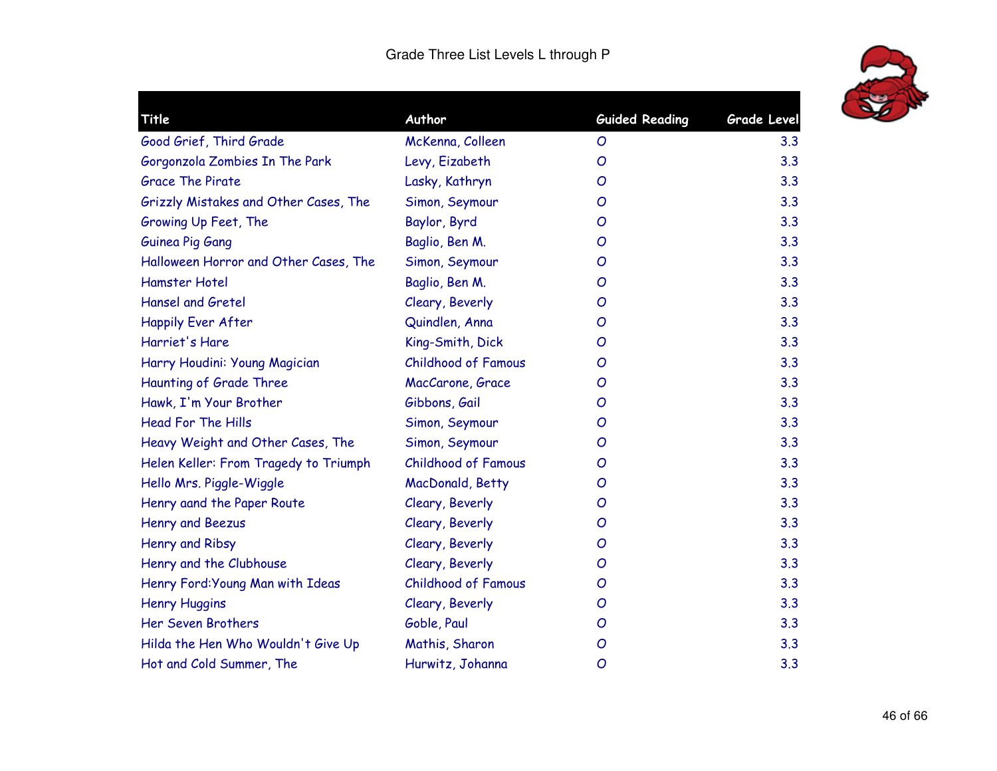

| Title                                 | Author                     | <b>Guided Reading</b> | <b>Grade Level</b> |
|---------------------------------------|----------------------------|-----------------------|--------------------|
| Good Grief, Third Grade               | McKenna, Colleen           | O                     | 3.3                |
| Gorgonzola Zombies In The Park        | Levy, Eizabeth             | O                     | 3.3                |
| <b>Grace The Pirate</b>               | Lasky, Kathryn             | O                     | 3.3                |
| Grizzly Mistakes and Other Cases, The | Simon, Seymour             | O                     | 3.3                |
| Growing Up Feet, The                  | Baylor, Byrd               | O                     | 3.3                |
| Guinea Pig Gang                       | Baglio, Ben M.             | O                     | 3.3                |
| Halloween Horror and Other Cases, The | Simon, Seymour             | O                     | 3.3                |
| Hamster Hotel                         | Baglio, Ben M.             | O                     | 3.3                |
| <b>Hansel and Gretel</b>              | Cleary, Beverly            | O                     | 3.3                |
| <b>Happily Ever After</b>             | Quindlen, Anna             | O                     | 3.3                |
| Harriet's Hare                        | King-Smith, Dick           | O                     | 3.3                |
| Harry Houdini: Young Magician         | <b>Childhood of Famous</b> | O                     | 3.3                |
| Haunting of Grade Three               | MacCarone, Grace           | O                     | 3.3                |
| Hawk, I'm Your Brother                | Gibbons, Gail              | O                     | 3.3                |
| <b>Head For The Hills</b>             | Simon, Seymour             | O                     | 3.3                |
| Heavy Weight and Other Cases, The     | Simon, Seymour             | O                     | 3.3                |
| Helen Keller: From Tragedy to Triumph | <b>Childhood of Famous</b> | O                     | 3.3                |
| Hello Mrs. Piggle-Wiggle              | MacDonald, Betty           | O                     | 3.3                |
| Henry aand the Paper Route            | Cleary, Beverly            | O                     | 3.3                |
| Henry and Beezus                      | Cleary, Beverly            | O                     | 3.3                |
| Henry and Ribsy                       | Cleary, Beverly            | O                     | 3.3                |
| Henry and the Clubhouse               | Cleary, Beverly            | O                     | 3.3                |
| Henry Ford: Young Man with Ideas      | <b>Childhood of Famous</b> | O                     | 3.3                |
| <b>Henry Huggins</b>                  | Cleary, Beverly            | O                     | 3.3                |
| Her Seven Brothers                    | Goble, Paul                | O                     | 3.3                |
| Hilda the Hen Who Wouldn't Give Up    | Mathis, Sharon             | O                     | 3.3                |
| Hot and Cold Summer, The              | Hurwitz, Johanna           | O                     | 3.3                |
|                                       |                            |                       |                    |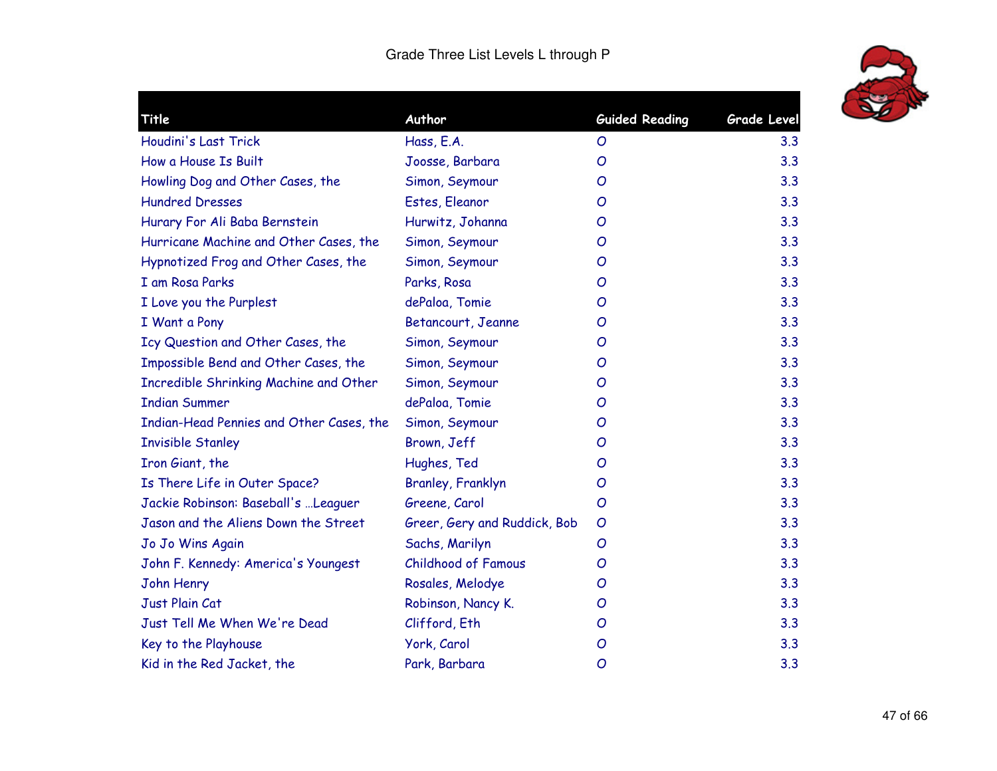

| <b>Title</b>                             | Author                       | <b>Guided Reading</b> | <b>Grade Level</b> |
|------------------------------------------|------------------------------|-----------------------|--------------------|
| Houdini's Last Trick                     | Hass, E.A.                   | O                     | 3.3                |
| How a House Is Built                     | Joosse, Barbara              | O                     | 3.3                |
| Howling Dog and Other Cases, the         | Simon, Seymour               | O                     | 3.3                |
| <b>Hundred Dresses</b>                   | Estes, Eleanor               | O                     | 3.3                |
| Hurary For Ali Baba Bernstein            | Hurwitz, Johanna             | O                     | 3.3                |
| Hurricane Machine and Other Cases, the   | Simon, Seymour               | O                     | 3.3                |
| Hypnotized Frog and Other Cases, the     | Simon, Seymour               | O                     | 3.3                |
| I am Rosa Parks                          | Parks, Rosa                  | O                     | 3.3                |
| I Love you the Purplest                  | dePaloa, Tomie               | O                     | 3.3                |
| I Want a Pony                            | Betancourt, Jeanne           | O                     | 3.3                |
| Icy Question and Other Cases, the        | Simon, Seymour               | O                     | 3.3                |
| Impossible Bend and Other Cases, the     | Simon, Seymour               | O                     | 3.3                |
| Incredible Shrinking Machine and Other   | Simon, Seymour               | O                     | 3.3                |
| <b>Indian Summer</b>                     | dePaloa, Tomie               | O                     | 3.3                |
| Indian-Head Pennies and Other Cases, the | Simon, Seymour               | O                     | 3.3                |
| <b>Invisible Stanley</b>                 | Brown, Jeff                  | O                     | 3.3                |
| Iron Giant, the                          | Hughes, Ted                  | O                     | 3.3                |
| Is There Life in Outer Space?            | Branley, Franklyn            | O                     | 3.3                |
| Jackie Robinson: Baseball's  Leaguer     | Greene, Carol                | $\overline{O}$        | 3.3                |
| Jason and the Aliens Down the Street     | Greer, Gery and Ruddick, Bob | $\overline{O}$        | 3.3                |
| Jo Jo Wins Again                         | Sachs, Marilyn               | O                     | 3.3                |
| John F. Kennedy: America's Youngest      | <b>Childhood of Famous</b>   | O                     | 3.3                |
| John Henry                               | Rosales, Melodye             | O                     | 3.3                |
| Just Plain Cat                           | Robinson, Nancy K.           | O                     | 3.3                |
| Just Tell Me When We're Dead             | Clifford, Eth                | O                     | 3.3                |
| Key to the Playhouse                     | York, Carol                  | O                     | 3.3                |
| Kid in the Red Jacket, the               | Park, Barbara                | O                     | 3.3                |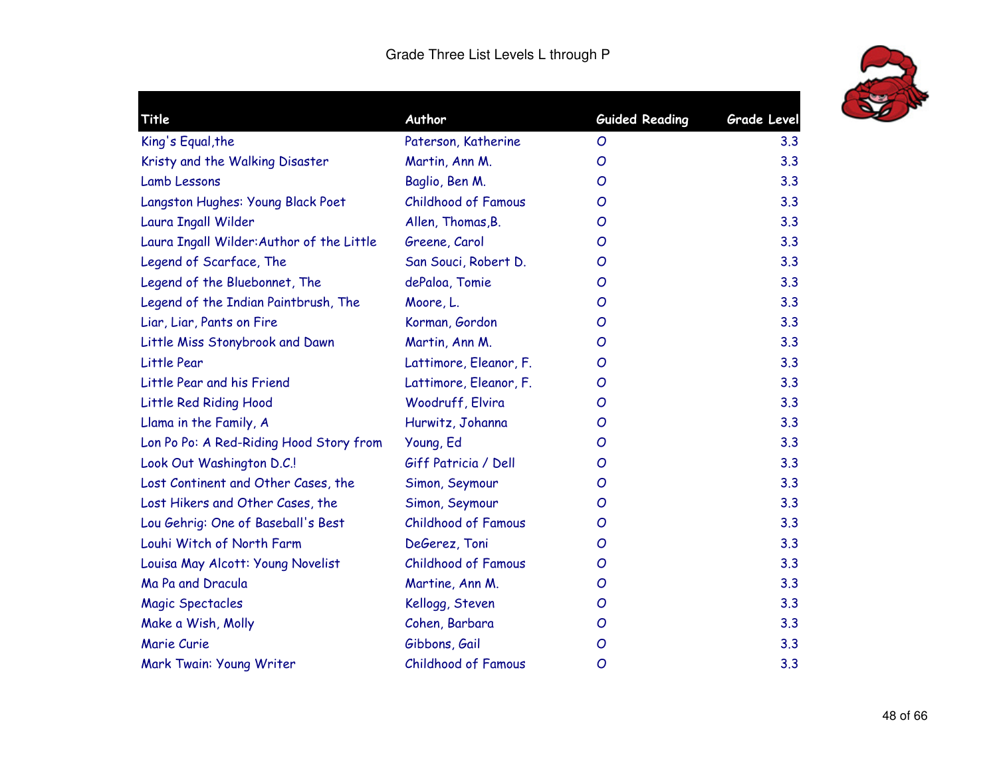

| <b>Title</b>                              | Author                     | <b>Guided Reading</b> | Grade Level |
|-------------------------------------------|----------------------------|-----------------------|-------------|
| King's Equal, the                         | Paterson, Katherine        | $\mathcal{O}$         | 3.3         |
| Kristy and the Walking Disaster           | Martin, Ann M.             | O                     | 3.3         |
| <b>Lamb Lessons</b>                       | Baglio, Ben M.             | O                     | 3.3         |
| Langston Hughes: Young Black Poet         | <b>Childhood of Famous</b> | O                     | 3.3         |
| Laura Ingall Wilder                       | Allen, Thomas, B.          | O                     | 3.3         |
| Laura Ingall Wilder: Author of the Little | Greene, Carol              | O                     | 3.3         |
| Legend of Scarface, The                   | San Souci, Robert D.       | O                     | 3.3         |
| Legend of the Bluebonnet, The             | dePaloa, Tomie             | O                     | 3.3         |
| Legend of the Indian Paintbrush, The      | Moore, L.                  | O                     | 3.3         |
| Liar, Liar, Pants on Fire                 | Korman, Gordon             | O                     | 3.3         |
| Little Miss Stonybrook and Dawn           | Martin, Ann M.             | O                     | 3.3         |
| Little Pear                               | Lattimore, Eleanor, F.     | O                     | 3.3         |
| Little Pear and his Friend                | Lattimore, Eleanor, F.     | O                     | 3.3         |
| Little Red Riding Hood                    | Woodruff, Elvira           | O                     | 3.3         |
| Llama in the Family, A                    | Hurwitz, Johanna           | O                     | 3.3         |
| Lon Po Po: A Red-Riding Hood Story from   | Young, Ed                  | O                     | 3.3         |
| Look Out Washington D.C.!                 | Giff Patricia / Dell       | O                     | 3.3         |
| Lost Continent and Other Cases, the       | Simon, Seymour             | O                     | 3.3         |
| Lost Hikers and Other Cases, the          | Simon, Seymour             | O                     | 3.3         |
| Lou Gehrig: One of Baseball's Best        | <b>Childhood of Famous</b> | O                     | 3.3         |
| Louhi Witch of North Farm                 | DeGerez, Toni              | O                     | 3.3         |
| Louisa May Alcott: Young Novelist         | <b>Childhood of Famous</b> | O                     | 3.3         |
| Ma Pa and Dracula                         | Martine, Ann M.            | O                     | 3.3         |
| <b>Magic Spectacles</b>                   | Kellogg, Steven            | O                     | 3.3         |
| Make a Wish, Molly                        | Cohen, Barbara             | O                     | 3.3         |
| Marie Curie                               | Gibbons, Gail              | O                     | 3.3         |
| Mark Twain: Young Writer                  | <b>Childhood of Famous</b> | O                     | 3.3         |
|                                           |                            |                       |             |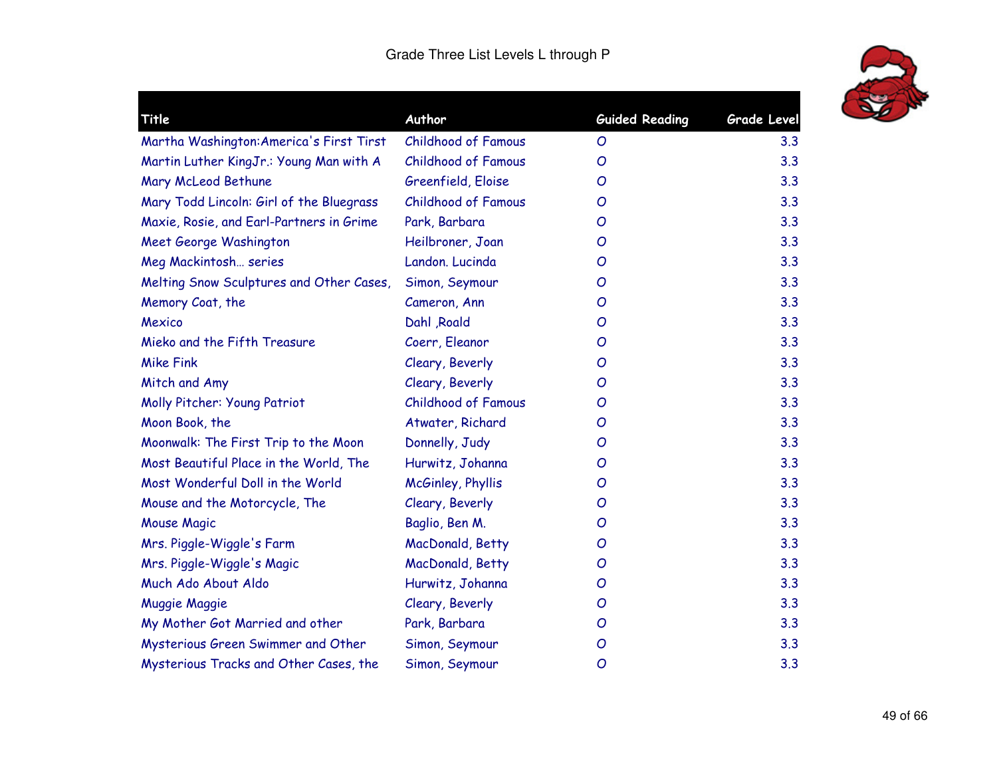

| <b>Title</b>                             | Author                     | <b>Guided Reading</b> | Grade Level |
|------------------------------------------|----------------------------|-----------------------|-------------|
| Martha Washington: America's First Tirst | Childhood of Famous        | O                     | 3.3         |
| Martin Luther KingJr.: Young Man with A  | <b>Childhood of Famous</b> | O                     | 3.3         |
| Mary McLeod Bethune                      | Greenfield, Eloise         | O                     | 3.3         |
| Mary Todd Lincoln: Girl of the Bluegrass | <b>Childhood of Famous</b> | O                     | 3.3         |
| Maxie, Rosie, and Earl-Partners in Grime | Park, Barbara              | O                     | 3.3         |
| Meet George Washington                   | Heilbroner, Joan           | O                     | 3.3         |
| Meg Mackintosh series                    | Landon. Lucinda            | O                     | 3.3         |
| Melting Snow Sculptures and Other Cases, | Simon, Seymour             | O                     | 3.3         |
| Memory Coat, the                         | Cameron, Ann               | O                     | 3.3         |
| Mexico                                   | Dahl , Roald               | O                     | 3.3         |
| Mieko and the Fifth Treasure             | Coerr, Eleanor             | O                     | 3.3         |
| <b>Mike Fink</b>                         | Cleary, Beverly            | O                     | 3.3         |
| Mitch and Amy                            | Cleary, Beverly            | O                     | 3.3         |
| Molly Pitcher: Young Patriot             | <b>Childhood of Famous</b> | O                     | 3.3         |
| Moon Book, the                           | Atwater, Richard           | O                     | 3.3         |
| Moonwalk: The First Trip to the Moon     | Donnelly, Judy             | O                     | 3.3         |
| Most Beautiful Place in the World, The   | Hurwitz, Johanna           | O                     | 3.3         |
| Most Wonderful Doll in the World         | McGinley, Phyllis          | O                     | 3.3         |
| Mouse and the Motorcycle, The            | Cleary, Beverly            | O                     | 3.3         |
| Mouse Magic                              | Baglio, Ben M.             | O                     | 3.3         |
| Mrs. Piggle-Wiggle's Farm                | MacDonald, Betty           | O                     | 3.3         |
| Mrs. Piggle-Wiggle's Magic               | MacDonald, Betty           | O                     | 3.3         |
| Much Ado About Aldo                      | Hurwitz, Johanna           | O                     | 3.3         |
| <b>Muggie Maggie</b>                     | Cleary, Beverly            | O                     | 3.3         |
| My Mother Got Married and other          | Park, Barbara              | O                     | 3.3         |
| Mysterious Green Swimmer and Other       | Simon, Seymour             | O                     | 3.3         |
| Mysterious Tracks and Other Cases, the   | Simon, Seymour             | O                     | 3.3         |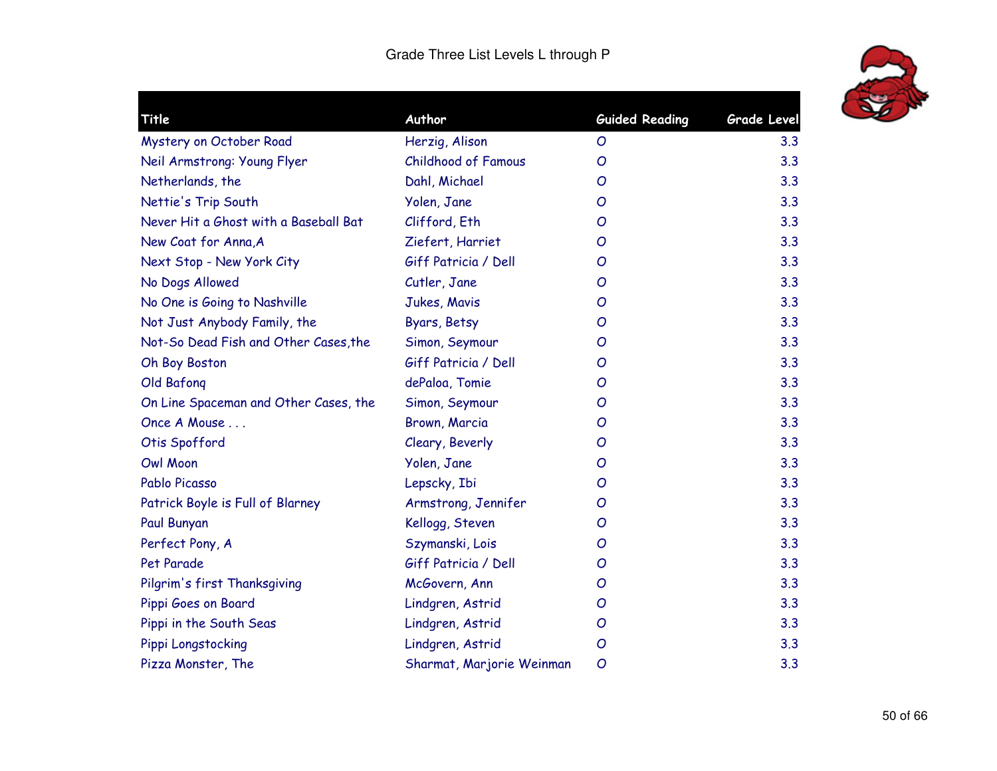

| Title                                 | Author                     | <b>Guided Reading</b> | <b>Grade Level</b> |
|---------------------------------------|----------------------------|-----------------------|--------------------|
| Mystery on October Road               | Herzig, Alison             | O                     | 3.3                |
| Neil Armstrong: Young Flyer           | <b>Childhood of Famous</b> | O                     | 3.3                |
| Netherlands, the                      | Dahl, Michael              | O                     | 3.3                |
| Nettie's Trip South                   | Yolen, Jane                | O                     | 3.3                |
| Never Hit a Ghost with a Baseball Bat | Clifford, Eth              | O                     | 3.3                |
| New Coat for Anna, A                  | Ziefert, Harriet           | O                     | 3.3                |
| Next Stop - New York City             | Giff Patricia / Dell       | O                     | 3.3                |
| No Dogs Allowed                       | Cutler, Jane               | O                     | 3.3                |
| No One is Going to Nashville          | Jukes, Mavis               | O                     | 3.3                |
| Not Just Anybody Family, the          | Byars, Betsy               | O                     | 3.3                |
| Not-So Dead Fish and Other Cases, the | Simon, Seymour             | $\mathcal{O}$         | 3.3                |
| Oh Boy Boston                         | Giff Patricia / Dell       | O                     | 3.3                |
| Old Bafong                            | dePaloa, Tomie             | O                     | 3.3                |
| On Line Spaceman and Other Cases, the | Simon, Seymour             | O                     | 3.3                |
| Once A Mouse                          | Brown, Marcia              | O                     | 3.3                |
| Otis Spofford                         | Cleary, Beverly            | O                     | 3.3                |
| <b>Owl Moon</b>                       | Yolen, Jane                | $\mathcal{O}$         | 3.3                |
| Pablo Picasso                         | Lepscky, Ibi               | O                     | 3.3                |
| Patrick Boyle is Full of Blarney      | Armstrong, Jennifer        | O                     | 3.3                |
| Paul Bunyan                           | Kellogg, Steven            | O                     | 3.3                |
| Perfect Pony, A                       | Szymanski, Lois            | O                     | 3.3                |
| Pet Parade                            | Giff Patricia / Dell       | O                     | 3.3                |
| Pilgrim's first Thanksgiving          | McGovern, Ann              | O                     | 3.3                |
| Pippi Goes on Board                   | Lindgren, Astrid           | O                     | 3.3                |
| Pippi in the South Seas               | Lindgren, Astrid           | O                     | 3.3                |
| Pippi Longstocking                    | Lindgren, Astrid           | $\overline{O}$        | 3.3                |
| Pizza Monster, The                    | Sharmat, Marjorie Weinman  | O                     | 3.3                |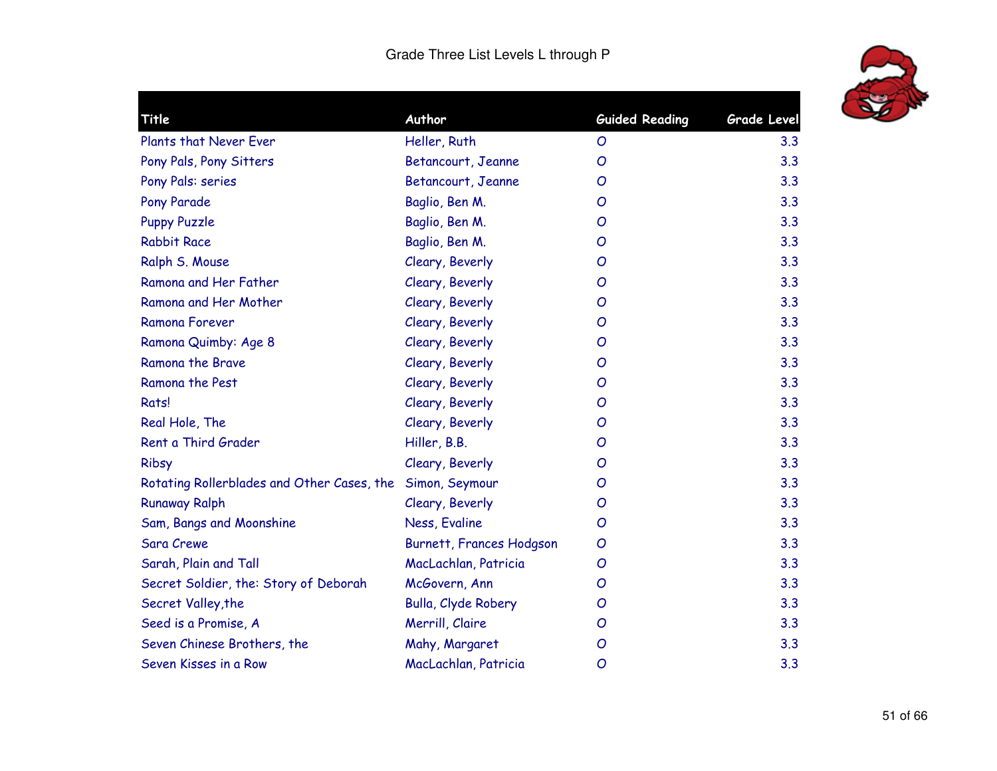

| Title                                      | Author                          | <b>Guided Reading</b> | <b>Grade Level</b> |
|--------------------------------------------|---------------------------------|-----------------------|--------------------|
| Plants that Never Ever                     | Heller, Ruth                    | O                     | 3.3                |
| Pony Pals, Pony Sitters                    | Betancourt, Jeanne              | $\mathcal{O}$         | 3.3                |
| Pony Pals: series                          | Betancourt, Jeanne              | O                     | 3.3                |
| <b>Pony Parade</b>                         | Baglio, Ben M.                  | O                     | 3.3                |
| <b>Puppy Puzzle</b>                        | Baglio, Ben M.                  | O                     | 3.3                |
| <b>Rabbit Race</b>                         | Baglio, Ben M.                  | O                     | 3.3                |
| Ralph S. Mouse                             | Cleary, Beverly                 | O                     | 3.3                |
| Ramona and Her Father                      | Cleary, Beverly                 | O                     | 3.3                |
| Ramona and Her Mother                      | Cleary, Beverly                 | O                     | 3.3                |
| <b>Ramona Forever</b>                      | Cleary, Beverly                 | O                     | 3.3                |
| Ramona Quimby: Age 8                       | Cleary, Beverly                 | O                     | 3.3                |
| Ramona the Brave                           | Cleary, Beverly                 | O                     | 3.3                |
| Ramona the Pest                            | Cleary, Beverly                 | O                     | 3.3                |
| Rats!                                      | Cleary, Beverly                 | O                     | 3.3                |
| Real Hole, The                             | Cleary, Beverly                 | O                     | 3.3                |
| Rent a Third Grader                        | Hiller, B.B.                    | O                     | 3.3                |
| Ribsy                                      | Cleary, Beverly                 | O                     | 3.3                |
| Rotating Rollerblades and Other Cases, the | Simon, Seymour                  | O                     | 3.3                |
| <b>Runaway Ralph</b>                       | Cleary, Beverly                 | O                     | 3.3                |
| Sam, Bangs and Moonshine                   | Ness, Evaline                   | O                     | 3.3                |
| <b>Sara Crewe</b>                          | <b>Burnett, Frances Hodgson</b> | O                     | 3.3                |
| Sarah, Plain and Tall                      | MacLachlan, Patricia            | O                     | 3.3                |
| Secret Soldier, the: Story of Deborah      | McGovern, Ann                   | O                     | 3.3                |
| Secret Valley, the                         | Bulla, Clyde Robery             | O                     | 3.3                |
| Seed is a Promise, A                       | Merrill, Claire                 | O                     | 3.3                |
| Seven Chinese Brothers, the                | Mahy, Margaret                  | O                     | 3.3                |
| Seven Kisses in a Row                      | MacLachlan, Patricia            | O                     | 3.3                |
|                                            |                                 |                       |                    |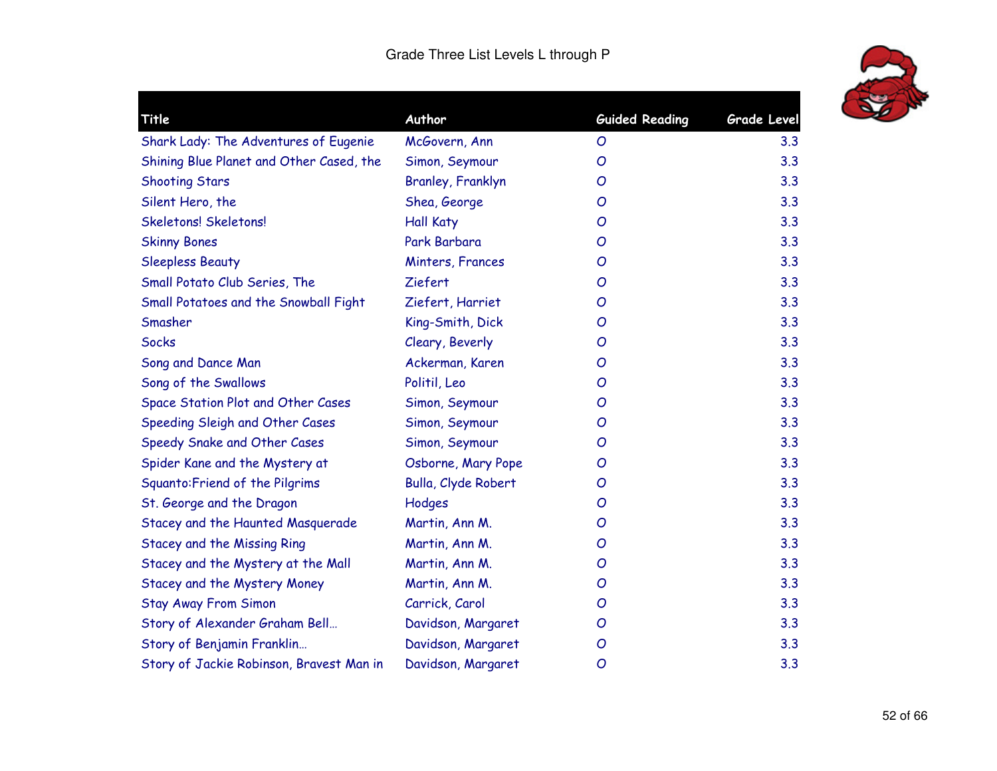

| <b>Title</b>                             | Author              | <b>Guided Reading</b> | <b>Grade Level</b> |
|------------------------------------------|---------------------|-----------------------|--------------------|
| Shark Lady: The Adventures of Eugenie    | McGovern, Ann       | O                     | 3.3                |
| Shining Blue Planet and Other Cased, the | Simon, Seymour      | O                     | 3.3                |
| <b>Shooting Stars</b>                    | Branley, Franklyn   | O                     | 3.3                |
| Silent Hero, the                         | Shea, George        | O                     | 3.3                |
| Skeletons! Skeletons!                    | <b>Hall Katy</b>    | O                     | 3.3                |
| <b>Skinny Bones</b>                      | Park Barbara        | O                     | 3.3                |
| <b>Sleepless Beauty</b>                  | Minters, Frances    | O                     | 3.3                |
| Small Potato Club Series, The            | Ziefert             | O                     | 3.3                |
| Small Potatoes and the Snowball Fight    | Ziefert, Harriet    | $\overline{O}$        | 3.3                |
| Smasher                                  | King-Smith, Dick    | O                     | 3.3                |
| <b>Socks</b>                             | Cleary, Beverly     | O                     | 3.3                |
| Song and Dance Man                       | Ackerman, Karen     | O                     | 3.3                |
| Song of the Swallows                     | Politil, Leo        | O                     | 3.3                |
| Space Station Plot and Other Cases       | Simon, Seymour      | O                     | 3.3                |
| Speeding Sleigh and Other Cases          | Simon, Seymour      | O                     | 3.3                |
| Speedy Snake and Other Cases             | Simon, Seymour      | O                     | 3.3                |
| Spider Kane and the Mystery at           | Osborne, Mary Pope  | O                     | 3.3                |
| Squanto: Friend of the Pilgrims          | Bulla, Clyde Robert | O                     | 3.3                |
| St. George and the Dragon                | Hodges              | O                     | 3.3                |
| Stacey and the Haunted Masquerade        | Martin, Ann M.      | O                     | 3.3                |
| <b>Stacey and the Missing Ring</b>       | Martin, Ann M.      | O                     | 3.3                |
| Stacey and the Mystery at the Mall       | Martin, Ann M.      | O                     | 3.3                |
| Stacey and the Mystery Money             | Martin, Ann M.      | O                     | 3.3                |
| <b>Stay Away From Simon</b>              | Carrick, Carol      | O                     | 3.3                |
| Story of Alexander Graham Bell           | Davidson, Margaret  | O                     | 3.3                |
| Story of Benjamin Franklin               | Davidson, Margaret  | O                     | 3.3                |
| Story of Jackie Robinson, Bravest Man in | Davidson, Margaret  | $\overline{O}$        | 3.3                |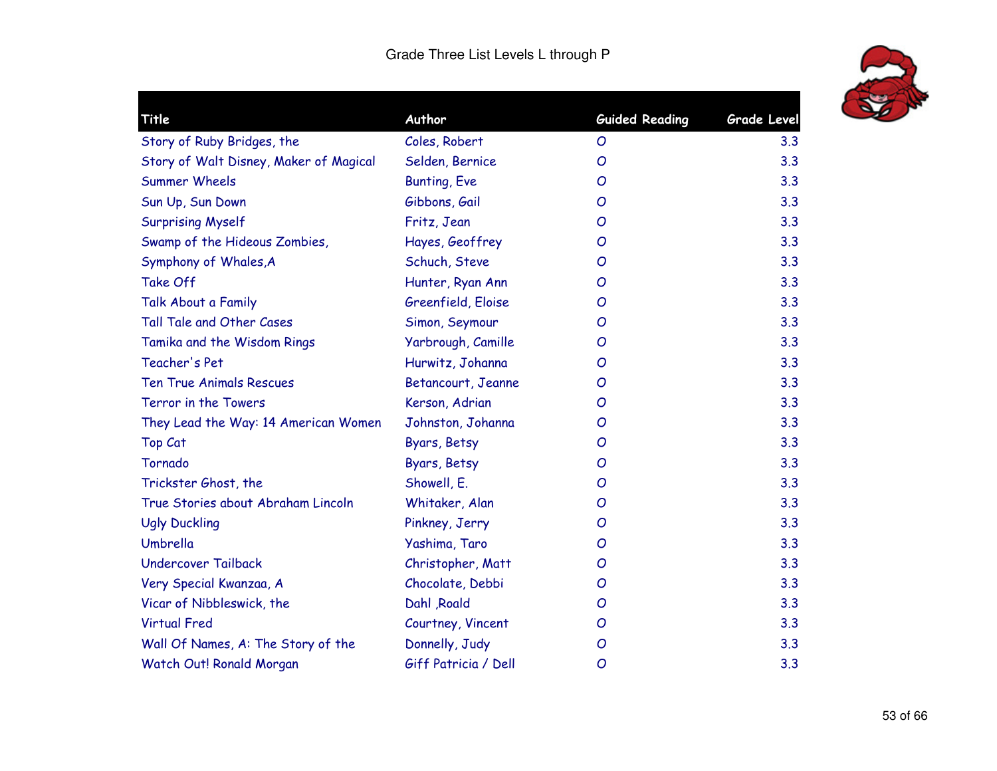

| Title                                  | Author               | <b>Guided Reading</b> | <b>Grade Level</b> |
|----------------------------------------|----------------------|-----------------------|--------------------|
| Story of Ruby Bridges, the             | Coles, Robert        | $\mathcal{O}$         | 3.3                |
| Story of Walt Disney, Maker of Magical | Selden, Bernice      | $\overline{O}$        | 3.3                |
| <b>Summer Wheels</b>                   | <b>Bunting, Eve</b>  | $\overline{O}$        | 3.3                |
| Sun Up, Sun Down                       | Gibbons, Gail        | $\overline{O}$        | 3.3                |
| <b>Surprising Myself</b>               | Fritz, Jean          | O                     | 3.3                |
| Swamp of the Hideous Zombies,          | Hayes, Geoffrey      | $\overline{O}$        | 3.3                |
| Symphony of Whales, A                  | Schuch, Steve        | O                     | 3.3                |
| Take Off                               | Hunter, Ryan Ann     | O                     | 3.3                |
| Talk About a Family                    | Greenfield, Eloise   | O                     | 3.3                |
| Tall Tale and Other Cases              | Simon, Seymour       | O                     | 3.3                |
| Tamika and the Wisdom Rings            | Yarbrough, Camille   | O                     | 3.3                |
| Teacher's Pet                          | Hurwitz, Johanna     | O                     | 3.3                |
| <b>Ten True Animals Rescues</b>        | Betancourt, Jeanne   | O                     | 3.3                |
| Terror in the Towers                   | Kerson, Adrian       | O                     | 3.3                |
| They Lead the Way: 14 American Women   | Johnston, Johanna    | O                     | 3.3                |
| Top Cat                                | Byars, Betsy         | $\overline{O}$        | 3.3                |
| Tornado                                | Byars, Betsy         | O                     | 3.3                |
| Trickster Ghost, the                   | Showell, E.          | $\overline{O}$        | 3.3                |
| True Stories about Abraham Lincoln     | Whitaker, Alan       | $\overline{O}$        | 3.3                |
| <b>Ugly Duckling</b>                   | Pinkney, Jerry       | O                     | 3.3                |
| Umbrella                               | Yashima, Taro        | $\overline{O}$        | 3.3                |
| <b>Undercover Tailback</b>             | Christopher, Matt    | O                     | 3.3                |
| Very Special Kwanzaa, A                | Chocolate, Debbi     | O                     | 3.3                |
| Vicar of Nibbleswick, the              | Dahl , Roald         | $\mathcal{O}$         | 3.3                |
| <b>Virtual Fred</b>                    | Courtney, Vincent    | O                     | 3.3                |
| Wall Of Names, A: The Story of the     | Donnelly, Judy       | $\overline{O}$        | 3.3                |
| Watch Out! Ronald Morgan               | Giff Patricia / Dell | $\overline{O}$        | 3.3                |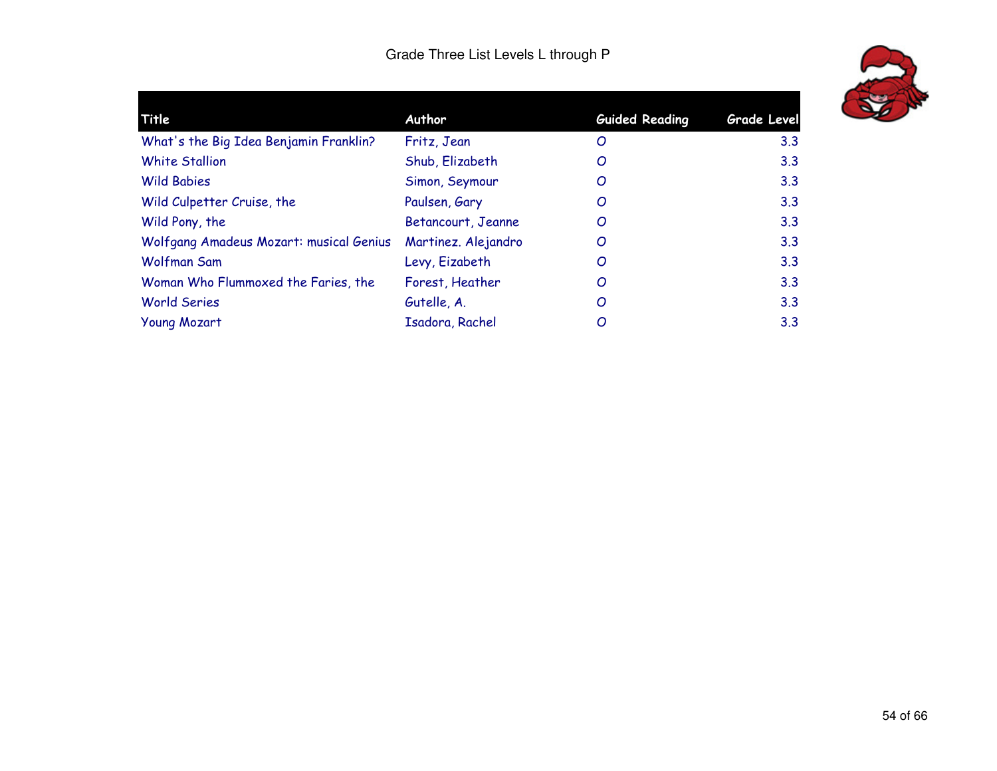

| Author              | <b>Guided Reading</b> | <b>Grade Level</b> |  |
|---------------------|-----------------------|--------------------|--|
| Fritz, Jean         | O                     | 3.3                |  |
| Shub, Elizabeth     | O                     | 3.3                |  |
| Simon, Seymour      | O                     | 3.3                |  |
| Paulsen, Gary       | O                     | 3.3                |  |
| Betancourt, Jeanne  | O                     | 3.3                |  |
| Martinez. Alejandro | O                     | 3.3                |  |
| Levy, Eizabeth      | O                     | 3.3                |  |
| Forest, Heather     | O                     | 3.3                |  |
| Gutelle, A.         | O                     | 3.3                |  |
| Isadora, Rachel     | O                     | 3.3                |  |
|                     |                       |                    |  |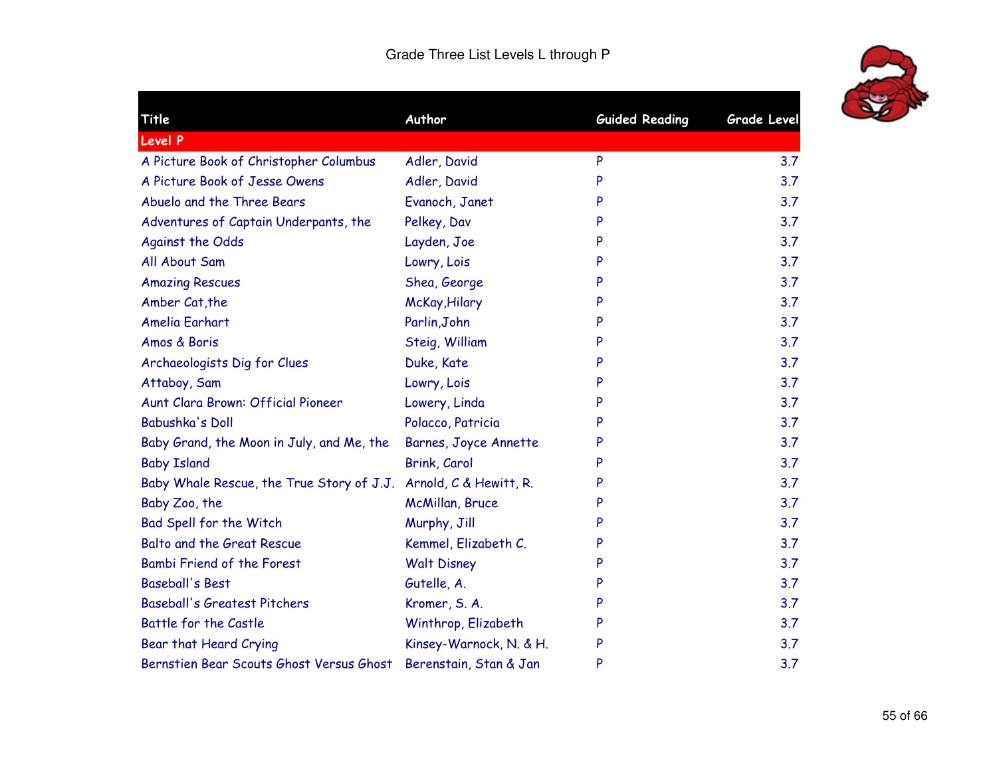

| Title                                     | Author                       | <b>Guided Reading</b> | <b>Grade Level</b> |
|-------------------------------------------|------------------------------|-----------------------|--------------------|
| <b>Level P</b>                            |                              |                       |                    |
| A Picture Book of Christopher Columbus    | Adler, David                 | P                     | 3.7                |
| A Picture Book of Jesse Owens             | Adler, David                 | P                     | 3.7                |
| Abuelo and the Three Bears                | Evanoch, Janet               | P                     | 3.7                |
| Adventures of Captain Underpants, the     | Pelkey, Dav                  | P                     | 3.7                |
| Against the Odds                          | Layden, Joe                  | P                     | 3.7                |
| All About Sam                             | Lowry, Lois                  | P                     | 3.7                |
| <b>Amazing Rescues</b>                    | Shea, George                 | P                     | 3.7                |
| Amber Cat, the                            | McKay, Hilary                | P                     | 3.7                |
| Amelia Earhart                            | Parlin, John                 | P                     | 3.7                |
| Amos & Boris                              | Steig, William               | P                     | 3.7                |
| Archaeologists Dig for Clues              | Duke, Kate                   | P                     | 3.7                |
| Attaboy, Sam                              | Lowry, Lois                  | P                     | 3.7                |
| Aunt Clara Brown: Official Pioneer        | Lowery, Linda                | P                     | 3.7                |
| <b>Babushka's Doll</b>                    | Polacco, Patricia            | P                     | 3.7                |
| Baby Grand, the Moon in July, and Me, the | <b>Barnes, Joyce Annette</b> | P                     | 3.7                |
| <b>Baby Island</b>                        | Brink, Carol                 | P                     | 3.7                |
| Baby Whale Rescue, the True Story of J.J. | Arnold, C & Hewitt, R.       | P                     | 3.7                |
| Baby Zoo, the                             | McMillan, Bruce              | P                     | 3.7                |
| Bad Spell for the Witch                   | Murphy, Jill                 | P                     | 3.7                |
| Balto and the Great Rescue                | Kemmel, Elizabeth C.         | P                     | 3.7                |
| Bambi Friend of the Forest                | <b>Walt Disney</b>           | P                     | 3.7                |
| <b>Baseball's Best</b>                    | Gutelle, A.                  | P                     | 3.7                |
| <b>Baseball's Greatest Pitchers</b>       | Kromer, S. A.                | P                     | 3.7                |
| Battle for the Castle                     | Winthrop, Elizabeth          | P                     | 3.7                |
| Bear that Heard Crying                    | Kinsey-Warnock, N. & H.      | P                     | 3.7                |
| Bernstien Bear Scouts Ghost Versus Ghost  | Berenstain, Stan & Jan       | P                     | 3.7                |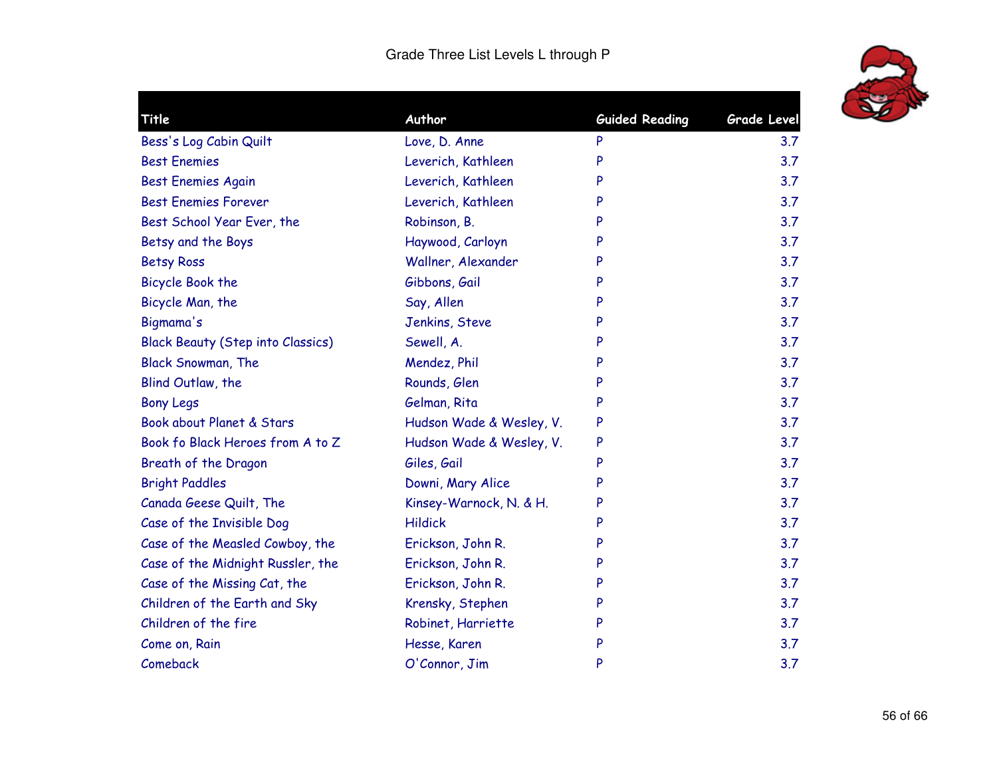

| Title                                    | Author                   | <b>Guided Reading</b> | Grade Level |
|------------------------------------------|--------------------------|-----------------------|-------------|
| Bess's Log Cabin Quilt                   | Love, D. Anne            | P                     | 3.7         |
| <b>Best Enemies</b>                      | Leverich, Kathleen       | P                     | 3.7         |
| <b>Best Enemies Again</b>                | Leverich, Kathleen       |                       | 3.7         |
| <b>Best Enemies Forever</b>              | Leverich, Kathleen       | P                     | 3.7         |
| Best School Year Ever, the               | Robinson, B.             | P                     | 3.7         |
| Betsy and the Boys                       | Haywood, Carloyn         | P                     | 3.7         |
| <b>Betsy Ross</b>                        | Wallner, Alexander       | P                     | 3.7         |
| Bicycle Book the                         | Gibbons, Gail            | P                     | 3.7         |
| Bicycle Man, the                         | Say, Allen               | P                     | 3.7         |
| Bigmama's                                | Jenkins, Steve           |                       | 3.7         |
| <b>Black Beauty (Step into Classics)</b> | Sewell, A.               | P                     | 3.7         |
| <b>Black Snowman, The</b>                | Mendez, Phil             | P                     | 3.7         |
| Blind Outlaw, the                        | Rounds, Glen             | P                     | 3.7         |
| <b>Bony Legs</b>                         | Gelman, Rita             | P                     | 3.7         |
| Book about Planet & Stars                | Hudson Wade & Wesley, V. | P                     | 3.7         |
| Book fo Black Heroes from A to Z         | Hudson Wade & Wesley, V. | P                     | 3.7         |
| Breath of the Dragon                     | Giles, Gail              | P                     | 3.7         |
| <b>Bright Paddles</b>                    | Downi, Mary Alice        | P                     | 3.7         |
| Canada Geese Quilt, The                  | Kinsey-Warnock, N. & H.  | P                     | 3.7         |
| Case of the Invisible Dog                | <b>Hildick</b>           | P                     | 3.7         |
| Case of the Measled Cowboy, the          | Erickson, John R.        | P                     | 3.7         |
| Case of the Midnight Russler, the        | Erickson, John R.        | P                     | 3.7         |
| Case of the Missing Cat, the             | Erickson, John R.        | P                     | 3.7         |
| Children of the Earth and Sky            | Krensky, Stephen         | P                     | 3.7         |
| Children of the fire                     | Robinet, Harriette       | P                     | 3.7         |
| Come on, Rain                            | Hesse, Karen             | P                     | 3.7         |
| Comeback                                 | O'Connor, Jim            | P                     | 3.7         |
|                                          |                          |                       |             |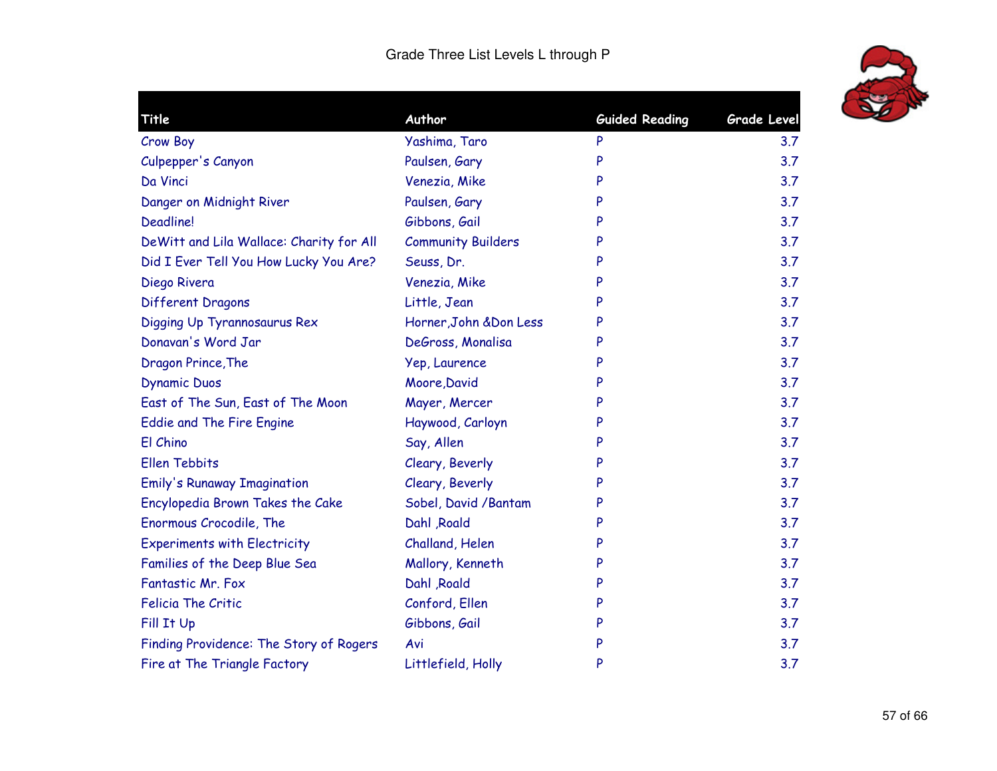

| Title                                    | Author                    | <b>Guided Reading</b> | <b>Grade Level</b> |
|------------------------------------------|---------------------------|-----------------------|--------------------|
| <b>Crow Boy</b>                          | Yashima, Taro             | P                     | 3.7                |
| Culpepper's Canyon                       | Paulsen, Gary             | P                     | 3.7                |
| Da Vinci                                 | Venezia, Mike             | P                     | 3.7                |
| Danger on Midnight River                 | Paulsen, Gary             | P                     | 3.7                |
| <b>Deadline!</b>                         | Gibbons, Gail             | P                     | 3.7                |
| DeWitt and Lila Wallace: Charity for All | <b>Community Builders</b> | P                     | 3.7                |
| Did I Ever Tell You How Lucky You Are?   | Seuss, Dr.                | P                     | 3.7                |
| Diego Rivera                             | Venezia, Mike             | P                     | 3.7                |
| Different Dragons                        | Little, Jean              | P                     | 3.7                |
| Digging Up Tyrannosaurus Rex             | Horner, John & Don Less   | P                     | 3.7                |
| Donavan's Word Jar                       | DeGross, Monalisa         | P                     | 3.7                |
| Dragon Prince, The                       | Yep, Laurence             | P                     | 3.7                |
| <b>Dynamic Duos</b>                      | Moore, David              | P                     | 3.7                |
| East of The Sun, East of The Moon        | Mayer, Mercer             | P                     | 3.7                |
| <b>Eddie and The Fire Engine</b>         | Haywood, Carloyn          | P                     | 3.7                |
| El Chino                                 | Say, Allen                | P                     | 3.7                |
| <b>Ellen Tebbits</b>                     | Cleary, Beverly           | P                     | 3.7                |
| <b>Emily's Runaway Imagination</b>       | Cleary, Beverly           | P                     | 3.7                |
| Encylopedia Brown Takes the Cake         | Sobel, David / Bantam     | P                     | 3.7                |
| Enormous Crocodile, The                  | Dahl , Roald              | P                     | 3.7                |
| <b>Experiments with Electricity</b>      | Challand, Helen           | P                     | 3.7                |
| Families of the Deep Blue Sea            | Mallory, Kenneth          | P                     | 3.7                |
| Fantastic Mr. Fox                        | Dahl , Roald              | P                     | 3.7                |
| <b>Felicia The Critic</b>                | Conford, Ellen            | P                     | 3.7                |
| Fill It Up                               | Gibbons, Gail             | P                     | 3.7                |
| Finding Providence: The Story of Rogers  | Avi                       | P                     | 3.7                |
| Fire at The Triangle Factory             | Littlefield, Holly        | P                     | 3.7                |
|                                          |                           |                       |                    |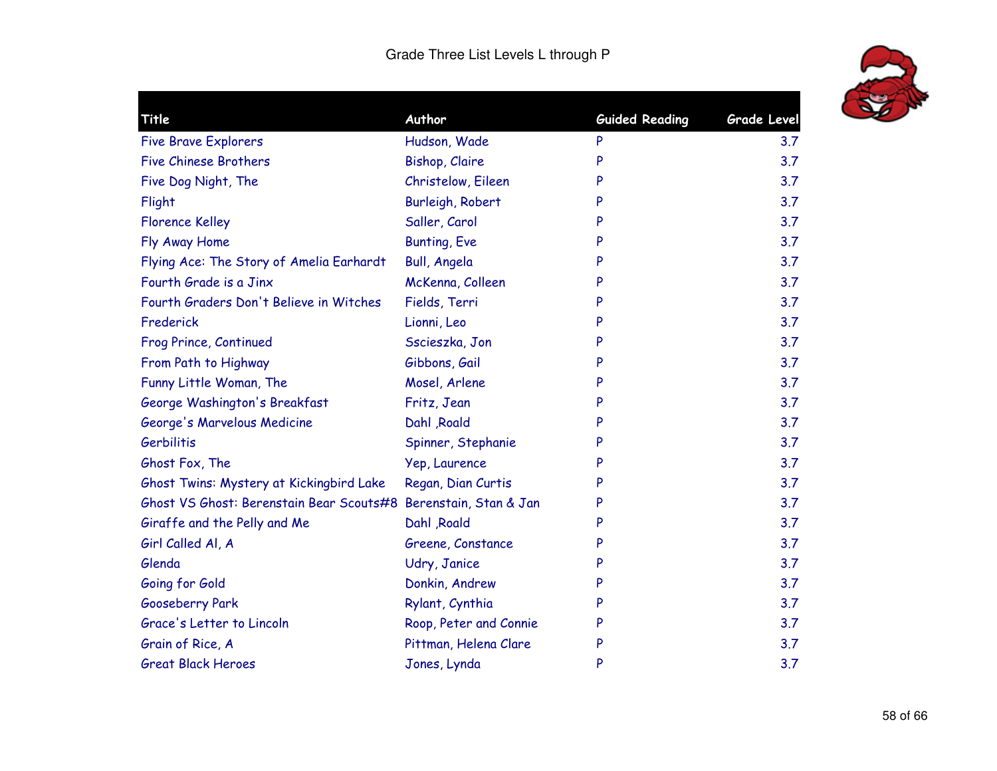

| Title                                                           | Author                 | <b>Guided Reading</b> | <b>Grade Level</b> |
|-----------------------------------------------------------------|------------------------|-----------------------|--------------------|
| <b>Five Brave Explorers</b>                                     | Hudson, Wade           | P                     | 3.7                |
| <b>Five Chinese Brothers</b>                                    | <b>Bishop, Claire</b>  | P                     | 3.7                |
| Five Dog Night, The                                             | Christelow, Eileen     | P                     | 3.7                |
| Flight                                                          | Burleigh, Robert       | P                     | 3.7                |
| <b>Florence Kelley</b>                                          | Saller, Carol          | P                     | 3.7                |
| Fly Away Home                                                   | <b>Bunting, Eve</b>    | P                     | 3.7                |
| Flying Ace: The Story of Amelia Earhardt                        | <b>Bull, Angela</b>    | P                     | 3.7                |
| Fourth Grade is a Jinx                                          | McKenna, Colleen       | P                     | 3.7                |
| Fourth Graders Don't Believe in Witches                         | Fields, Terri          | P                     | 3.7                |
| Frederick                                                       | Lionni, Leo            | P                     | 3.7                |
| Frog Prince, Continued                                          | Sscieszka, Jon         | P                     | 3.7                |
| From Path to Highway                                            | Gibbons, Gail          | P                     | 3.7                |
| Funny Little Woman, The                                         | Mosel, Arlene          | P                     | 3.7                |
| George Washington's Breakfast                                   | Fritz, Jean            | P                     | 3.7                |
| George's Marvelous Medicine                                     | Dahl , Roald           | P                     | 3.7                |
| Gerbilitis                                                      | Spinner, Stephanie     | P                     | 3.7                |
| Ghost Fox, The                                                  | Yep, Laurence          | P                     | 3.7                |
| Ghost Twins: Mystery at Kickingbird Lake                        | Regan, Dian Curtis     | P                     | 3.7                |
| Ghost VS Ghost: Berenstain Bear Scouts#8 Berenstain, Stan & Jan |                        | P                     | 3.7                |
| Giraffe and the Pelly and Me                                    | Dahl , Roald           | P                     | 3.7                |
| Girl Called Al, A                                               | Greene, Constance      | P                     | 3.7                |
| Glenda                                                          | Udry, Janice           | P                     | 3.7                |
| Going for Gold                                                  | Donkin, Andrew         | P                     | 3.7                |
| Gooseberry Park                                                 | Rylant, Cynthia        | P                     | 3.7                |
| Grace's Letter to Lincoln                                       | Roop, Peter and Connie | P                     | 3.7                |
| Grain of Rice, A                                                | Pittman, Helena Clare  | P                     | 3.7                |
| <b>Great Black Heroes</b>                                       | Jones, Lynda           | P                     | 3.7                |
|                                                                 |                        |                       |                    |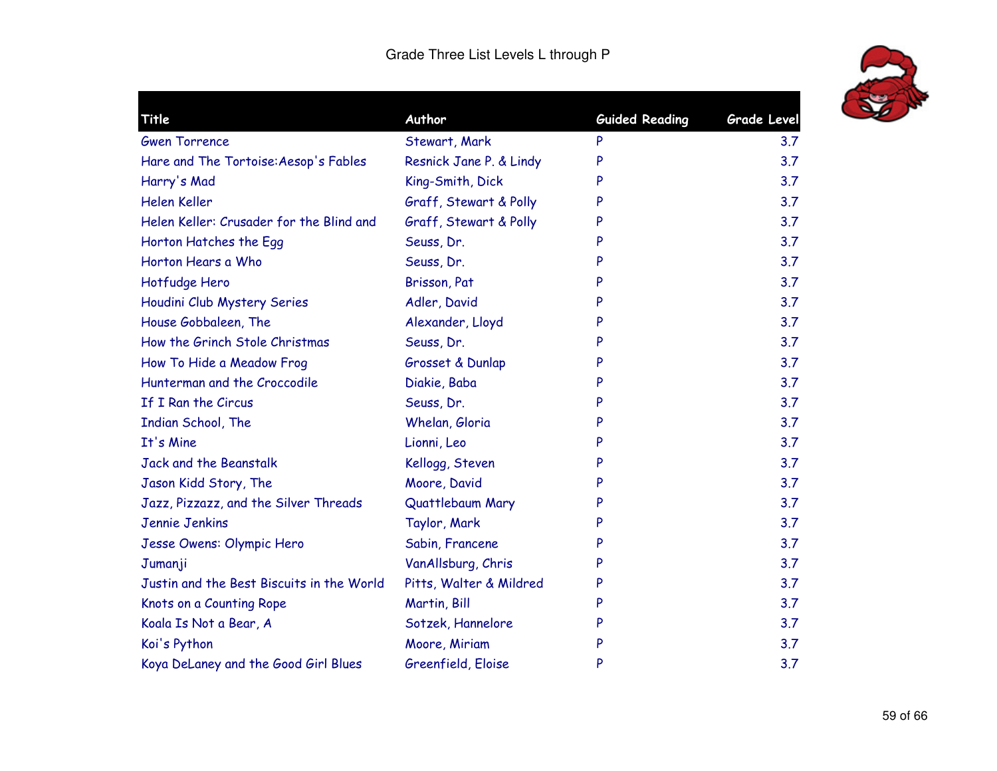

| Title                                     | Author                  | <b>Guided Reading</b> | <b>Grade Level</b> |
|-------------------------------------------|-------------------------|-----------------------|--------------------|
| <b>Gwen Torrence</b>                      | Stewart, Mark           | P                     | 3.7                |
| Hare and The Tortoise: Aesop's Fables     | Resnick Jane P. & Lindy | P                     | 3.7                |
| Harry's Mad                               | King-Smith, Dick        | P                     | 3.7                |
| Helen Keller                              | Graff, Stewart & Polly  | P                     | 3.7                |
| Helen Keller: Crusader for the Blind and  | Graff, Stewart & Polly  | P                     | 3.7                |
| Horton Hatches the Egg                    | Seuss, Dr.              | P                     | 3.7                |
| Horton Hears a Who                        | Seuss, Dr.              | P                     | 3.7                |
| Hotfudge Hero                             | Brisson, Pat            | P                     | 3.7                |
| Houdini Club Mystery Series               | Adler, David            | P                     | 3.7                |
| House Gobbaleen, The                      | Alexander, Lloyd        | P                     | 3.7                |
| How the Grinch Stole Christmas            | Seuss, Dr.              | P                     | 3.7                |
| How To Hide a Meadow Frog                 | Grosset & Dunlap        | P                     | 3.7                |
| Hunterman and the Croccodile              | Diakie, Baba            | P                     | 3.7                |
| If I Ran the Circus                       | Seuss, Dr.              | P                     | 3.7                |
| Indian School, The                        | Whelan, Gloria          | P                     | 3.7                |
| It's Mine                                 | Lionni, Leo             | P                     | 3.7                |
| Jack and the Beanstalk                    | Kellogg, Steven         | P                     | 3.7                |
| Jason Kidd Story, The                     | Moore, David            | P                     | 3.7                |
| Jazz, Pizzazz, and the Silver Threads     | Quattlebaum Mary        | P                     | 3.7                |
| Jennie Jenkins                            | Taylor, Mark            | P                     | 3.7                |
| Jesse Owens: Olympic Hero                 | Sabin, Francene         | P                     | 3.7                |
| Jumanji                                   | VanAllsburg, Chris      | P                     | 3.7                |
| Justin and the Best Biscuits in the World | Pitts, Walter & Mildred | P                     | 3.7                |
| Knots on a Counting Rope                  | Martin, Bill            | P                     | 3.7                |
| Koala Is Not a Bear, A                    | Sotzek, Hannelore       | P                     | 3.7                |
| Koi's Python                              | Moore, Miriam           | P                     | 3.7                |
| Koya DeLaney and the Good Girl Blues      | Greenfield, Eloise      | P                     | 3.7                |
|                                           |                         |                       |                    |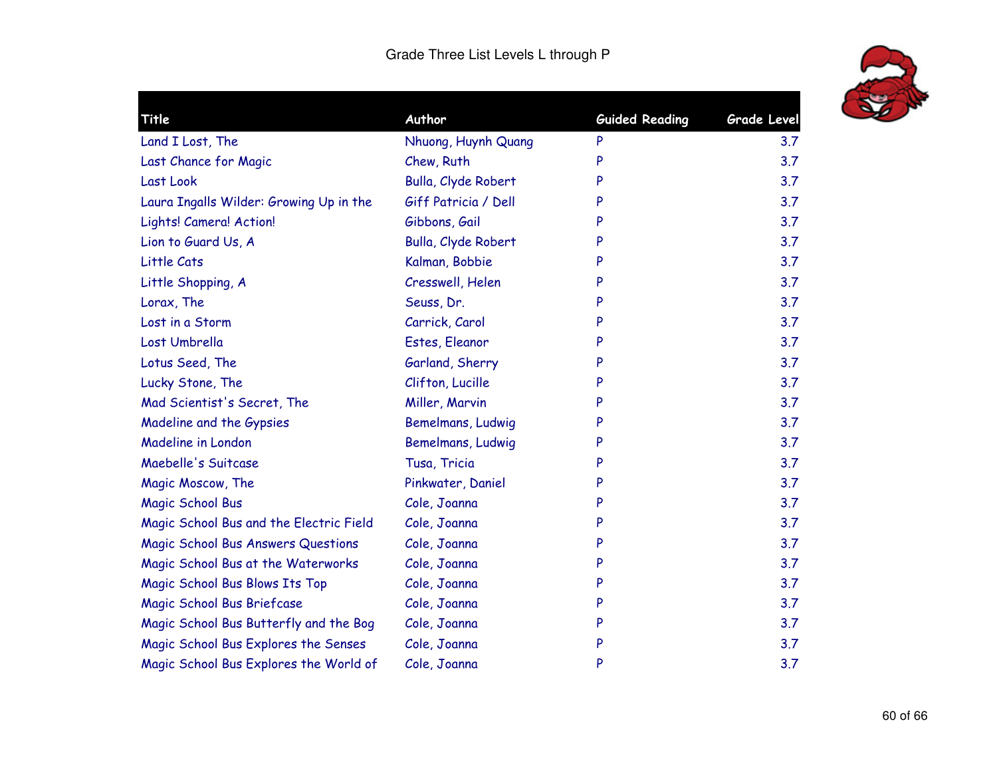

| Title                                   | Author               | <b>Guided Reading</b> | <b>Grade Level</b> |
|-----------------------------------------|----------------------|-----------------------|--------------------|
| Land I Lost, The                        | Nhuong, Huynh Quang  | P                     | 3.7                |
| Last Chance for Magic                   | Chew, Ruth           | P                     | 3.7                |
| Last Look                               | Bulla, Clyde Robert  | P                     | 3.7                |
| Laura Ingalls Wilder: Growing Up in the | Giff Patricia / Dell | P                     | 3.7                |
| Lights! Camera! Action!                 | Gibbons, Gail        | P                     | 3.7                |
| Lion to Guard Us, A                     | Bulla, Clyde Robert  | P                     | 3.7                |
| Little Cats                             | Kalman, Bobbie       | P                     | 3.7                |
| Little Shopping, A                      | Cresswell, Helen     | P                     | 3.7                |
| Lorax, The                              | Seuss, Dr.           | P                     | 3.7                |
| Lost in a Storm                         | Carrick, Carol       | P                     | 3.7                |
| Lost Umbrella                           | Estes, Eleanor       | P                     | 3.7                |
| Lotus Seed, The                         | Garland, Sherry      | P                     | 3.7                |
| Lucky Stone, The                        | Clifton, Lucille     | P                     | 3.7                |
| Mad Scientist's Secret, The             | Miller, Marvin       | P                     | 3.7                |
| Madeline and the Gypsies                | Bemelmans, Ludwig    | P                     | 3.7                |
| Madeline in London                      | Bemelmans, Ludwig    | P                     | 3.7                |
| Maebelle's Suitcase                     | Tusa, Tricia         | P                     | 3.7                |
| Magic Moscow, The                       | Pinkwater, Daniel    | P                     | 3.7                |
| Magic School Bus                        | Cole, Joanna         | P                     | 3.7                |
| Magic School Bus and the Electric Field | Cole, Joanna         | P                     | 3.7                |
| Magic School Bus Answers Questions      | Cole, Joanna         | P                     | 3.7                |
| Magic School Bus at the Waterworks      | Cole, Joanna         | P                     | 3.7                |
| Magic School Bus Blows Its Top          | Cole, Joanna         | P                     | 3.7                |
| Magic School Bus Briefcase              | Cole, Joanna         | P                     | 3.7                |
| Magic School Bus Butterfly and the Bog  | Cole, Joanna         | P                     | 3.7                |
| Magic School Bus Explores the Senses    | Cole, Joanna         | P                     | 3.7                |
| Magic School Bus Explores the World of  | Cole, Joanna         | P                     | 3.7                |
|                                         |                      |                       |                    |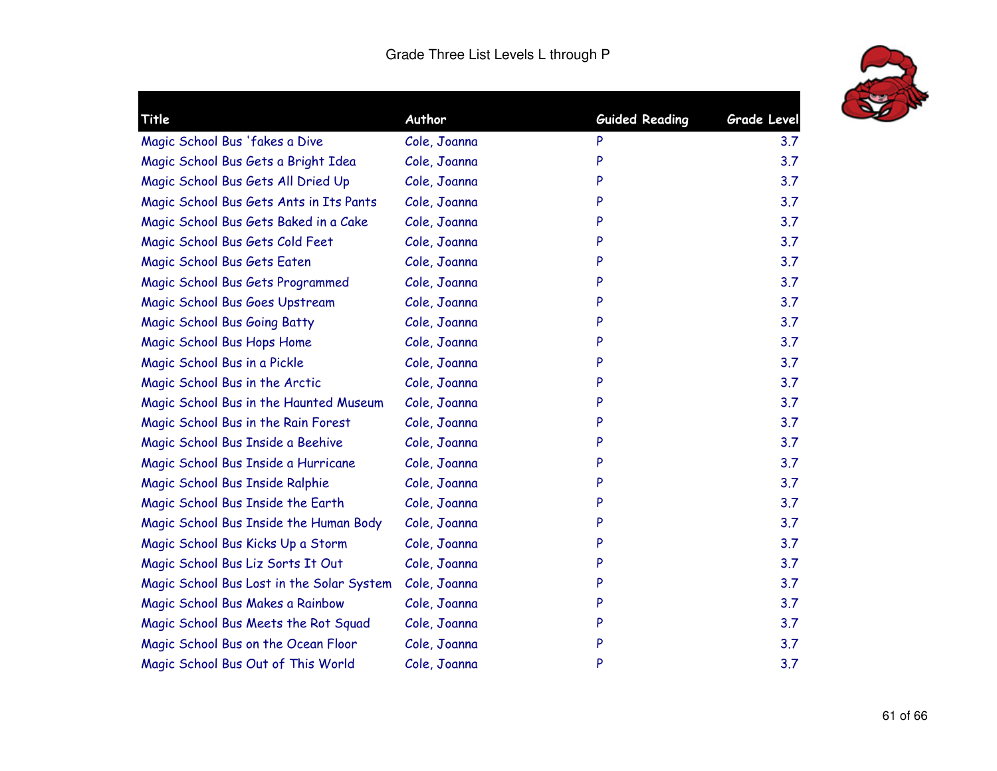

| Title                                     | Author       | <b>Guided Reading</b> | <b>Grade Level</b> |
|-------------------------------------------|--------------|-----------------------|--------------------|
|                                           |              |                       |                    |
| Magic School Bus 'fakes a Dive            | Cole, Joanna | P                     | 3.7                |
| Magic School Bus Gets a Bright Idea       | Cole, Joanna | P                     | 3.7                |
| Magic School Bus Gets All Dried Up        | Cole, Joanna | P                     | 3.7                |
| Magic School Bus Gets Ants in Its Pants   | Cole, Joanna | P                     | 3.7                |
| Magic School Bus Gets Baked in a Cake     | Cole, Joanna | P                     | 3.7                |
| Magic School Bus Gets Cold Feet           | Cole, Joanna | P                     | 3.7                |
| Magic School Bus Gets Eaten               | Cole, Joanna | P                     | 3.7                |
| Magic School Bus Gets Programmed          | Cole, Joanna | P                     | 3.7                |
| Magic School Bus Goes Upstream            | Cole, Joanna | P                     | 3.7                |
| Magic School Bus Going Batty              | Cole, Joanna | P                     | 3.7                |
| Magic School Bus Hops Home                | Cole, Joanna | P                     | 3.7                |
| Magic School Bus in a Pickle              | Cole, Joanna | P                     | 3.7                |
| Magic School Bus in the Arctic            | Cole, Joanna | P                     | 3.7                |
| Magic School Bus in the Haunted Museum    | Cole, Joanna | P                     | 3.7                |
| Magic School Bus in the Rain Forest       | Cole, Joanna | P                     | 3.7                |
| Magic School Bus Inside a Beehive         | Cole, Joanna | P                     | 3.7                |
| Magic School Bus Inside a Hurricane       | Cole, Joanna | P                     | 3.7                |
| Magic School Bus Inside Ralphie           | Cole, Joanna | P                     | 3.7                |
| Magic School Bus Inside the Earth         | Cole, Joanna | P                     | 3.7                |
| Magic School Bus Inside the Human Body    | Cole, Joanna | P                     | 3.7                |
| Magic School Bus Kicks Up a Storm         | Cole, Joanna | P                     | 3.7                |
| Magic School Bus Liz Sorts It Out         | Cole, Joanna | P                     | 3.7                |
| Magic School Bus Lost in the Solar System | Cole, Joanna | P                     | 3.7                |
| Magic School Bus Makes a Rainbow          | Cole, Joanna | P                     | 3.7                |
| Magic School Bus Meets the Rot Squad      | Cole, Joanna | P                     | 3.7                |
| Magic School Bus on the Ocean Floor       | Cole, Joanna | P                     | 3.7                |
| Magic School Bus Out of This World        | Cole, Joanna | P                     | 3.7                |
|                                           |              |                       |                    |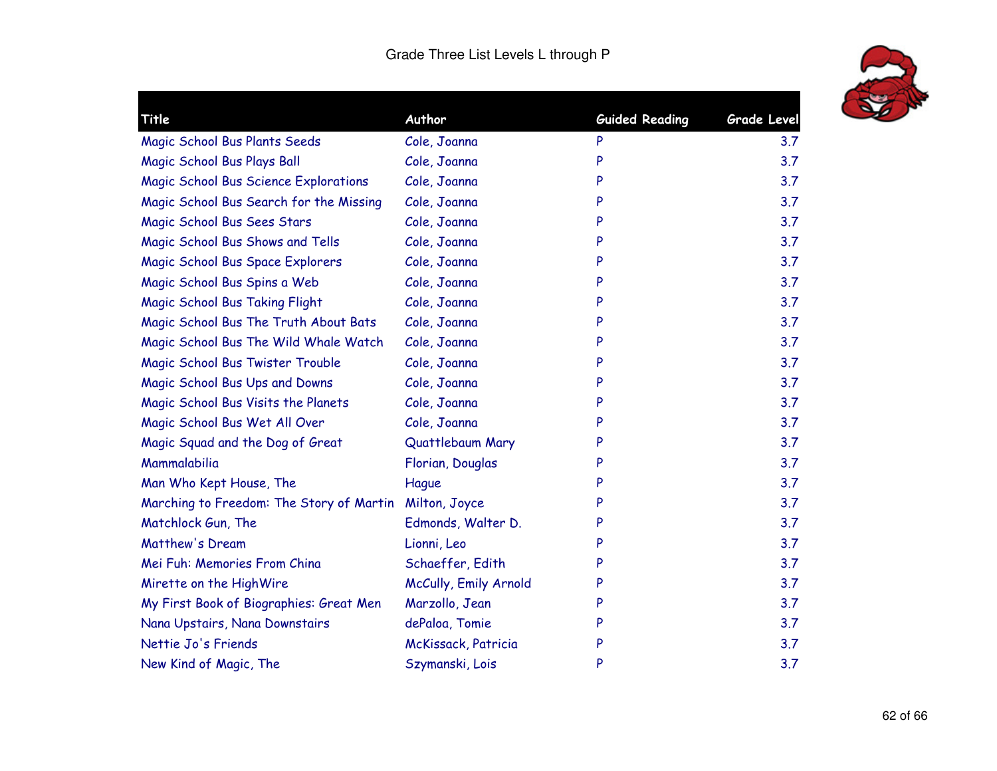

| Title                                        | Author                | <b>Guided Reading</b> | <b>Grade Level</b> |
|----------------------------------------------|-----------------------|-----------------------|--------------------|
| Magic School Bus Plants Seeds                | Cole, Joanna          | P                     | 3.7                |
| Magic School Bus Plays Ball                  | Cole, Joanna          | P                     | 3.7                |
| <b>Magic School Bus Science Explorations</b> | Cole, Joanna          | P                     | 3.7                |
| Magic School Bus Search for the Missing      | Cole, Joanna          | P                     | 3.7                |
| Magic School Bus Sees Stars                  | Cole, Joanna          | P                     | 3.7                |
| Magic School Bus Shows and Tells             | Cole, Joanna          | P                     | 3.7                |
| Magic School Bus Space Explorers             | Cole, Joanna          | P                     | 3.7                |
| Magic School Bus Spins a Web                 | Cole, Joanna          | P                     | 3.7                |
| Magic School Bus Taking Flight               | Cole, Joanna          | P                     | 3.7                |
| Magic School Bus The Truth About Bats        | Cole, Joanna          | P                     | 3.7                |
| Magic School Bus The Wild Whale Watch        | Cole, Joanna          | P                     | 3.7                |
| Magic School Bus Twister Trouble             | Cole, Joanna          | P                     | 3.7                |
| Magic School Bus Ups and Downs               | Cole, Joanna          | P                     | 3.7                |
| Magic School Bus Visits the Planets          | Cole, Joanna          | P                     | 3.7                |
| Magic School Bus Wet All Over                | Cole, Joanna          | P                     | 3.7                |
| Magic Squad and the Dog of Great             | Quattlebaum Mary      | P                     | 3.7                |
| Mammalabilia                                 | Florian, Douglas      | P                     | 3.7                |
| Man Who Kept House, The                      | Hague                 | P                     | 3.7                |
| Marching to Freedom: The Story of Martin     | Milton, Joyce         | P                     | 3.7                |
| Matchlock Gun, The                           | Edmonds, Walter D.    | P                     | 3.7                |
| Matthew's Dream                              | Lionni, Leo           | P                     | 3.7                |
| Mei Fuh: Memories From China                 | Schaeffer, Edith      | P                     | 3.7                |
| Mirette on the HighWire                      | McCully, Emily Arnold | P                     | 3.7                |
| My First Book of Biographies: Great Men      | Marzollo, Jean        | P                     | 3.7                |
| Nana Upstairs, Nana Downstairs               | dePaloa, Tomie        | P                     | 3.7                |
| Nettie Jo's Friends                          | McKissack, Patricia   | P                     | 3.7                |
| New Kind of Magic, The                       | Szymanski, Lois       | P                     | 3.7                |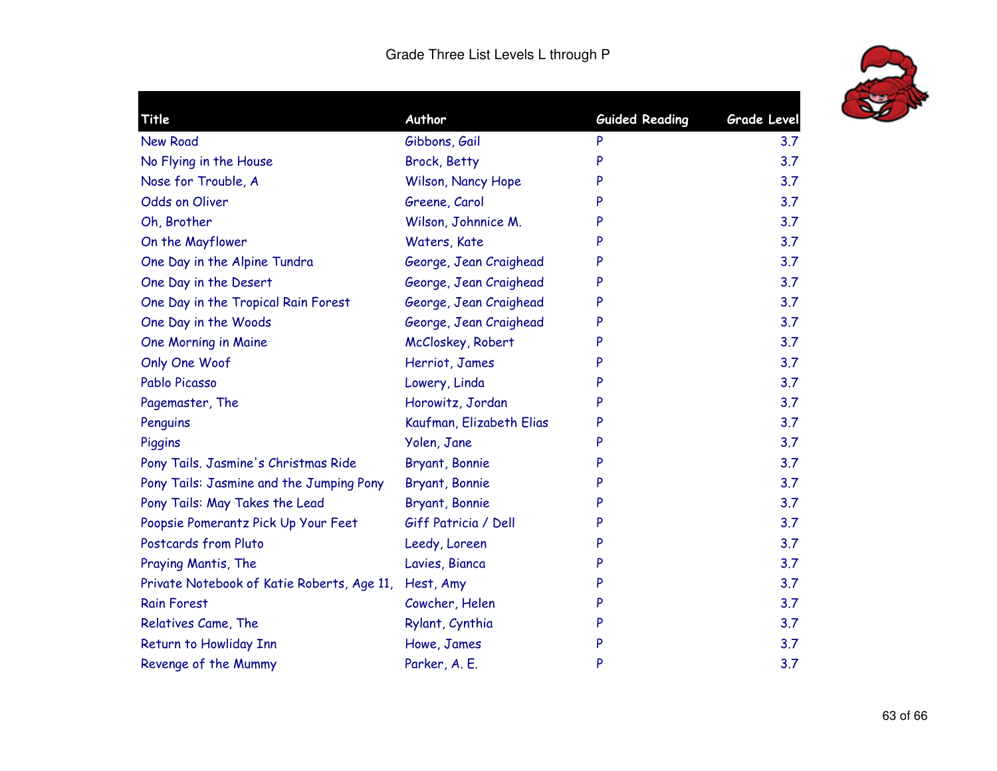

| Title                                      | Author                   | <b>Guided Reading</b> | Grade Level |
|--------------------------------------------|--------------------------|-----------------------|-------------|
| <b>New Road</b>                            | Gibbons, Gail            | P                     | 3.7         |
| No Flying in the House                     | <b>Brock, Betty</b>      | P                     | 3.7         |
| Nose for Trouble, A                        | Wilson, Nancy Hope       | P                     | 3.7         |
| <b>Odds on Oliver</b>                      | Greene, Carol            | P                     | 3.7         |
| Oh, Brother                                | Wilson, Johnnice M.      | P                     | 3.7         |
| On the Mayflower                           | Waters, Kate             | P                     | 3.7         |
| One Day in the Alpine Tundra               | George, Jean Craighead   | P                     | 3.7         |
| One Day in the Desert                      | George, Jean Craighead   | P                     | 3.7         |
| One Day in the Tropical Rain Forest        | George, Jean Craighead   | P                     | 3.7         |
| One Day in the Woods                       | George, Jean Craighead   | P                     | 3.7         |
| One Morning in Maine                       | McCloskey, Robert        | P                     | 3.7         |
| Only One Woof                              | Herriot, James           | P                     | 3.7         |
| Pablo Picasso                              | Lowery, Linda            | P                     | 3.7         |
| Pagemaster, The                            | Horowitz, Jordan         | P                     | 3.7         |
| Penguins                                   | Kaufman, Elizabeth Elias | P                     | 3.7         |
| Piggins                                    | Yolen, Jane              | P                     | 3.7         |
| Pony Tails. Jasmine's Christmas Ride       | Bryant, Bonnie           | P                     | 3.7         |
| Pony Tails: Jasmine and the Jumping Pony   | Bryant, Bonnie           | P                     | 3.7         |
| Pony Tails: May Takes the Lead             | Bryant, Bonnie           | P                     | 3.7         |
| Poopsie Pomerantz Pick Up Your Feet        | Giff Patricia / Dell     | P                     | 3.7         |
| Postcards from Pluto                       | Leedy, Loreen            | P                     | 3.7         |
| Praying Mantis, The                        | Lavies, Bianca           | P                     | 3.7         |
| Private Notebook of Katie Roberts, Age 11, | Hest, Amy                | P                     | 3.7         |
| <b>Rain Forest</b>                         | Cowcher, Helen           | P                     | 3.7         |
| Relatives Came, The                        | Rylant, Cynthia          | P                     | 3.7         |
| Return to Howliday Inn                     | Howe, James              | P                     | 3.7         |
| Revenge of the Mummy                       | Parker, A. E.            | P                     | 3.7         |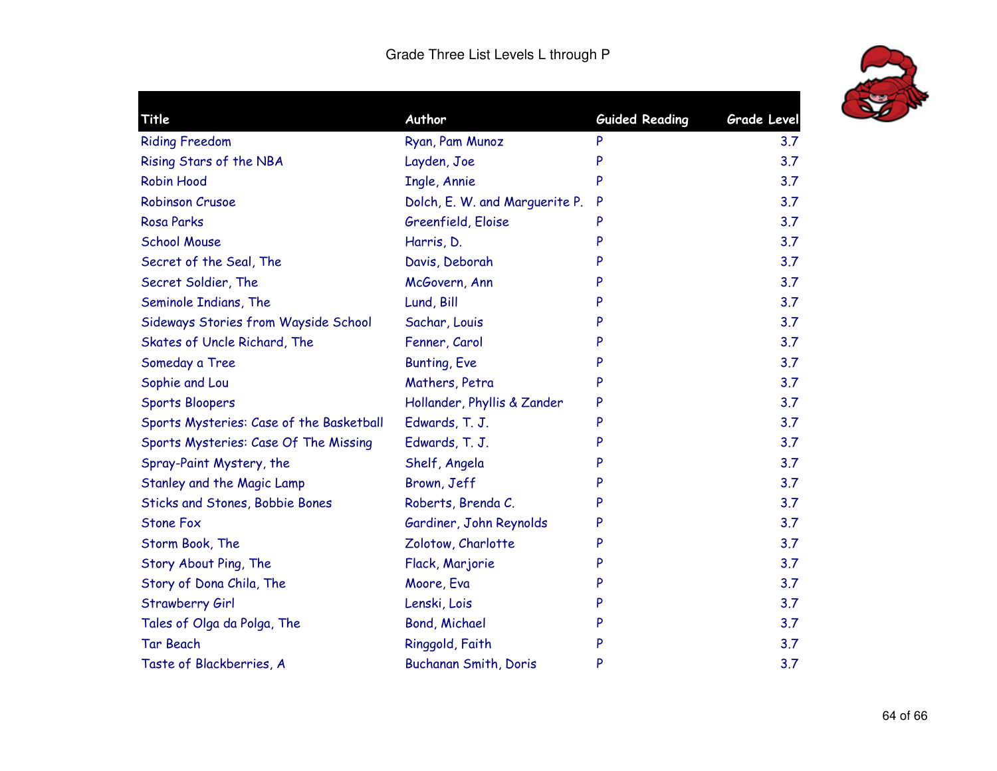

|                                                            |   | Grade Level |
|------------------------------------------------------------|---|-------------|
| <b>Riding Freedom</b><br>Ryan, Pam Munoz                   | P | 3.7         |
| Rising Stars of the NBA<br>Layden, Joe                     | P | 3.7         |
| <b>Robin Hood</b><br>Ingle, Annie                          | P | 3.7         |
| Dolch, E. W. and Marguerite P.<br><b>Robinson Crusoe</b>   | P | 3.7         |
| <b>Rosa Parks</b><br>Greenfield, Eloise                    | P | 3.7         |
| <b>School Mouse</b><br>Harris, D.                          | P | 3.7         |
| Secret of the Seal, The<br>Davis, Deborah                  | P | 3.7         |
| Secret Soldier, The<br>McGovern, Ann                       | P | 3.7         |
| Seminole Indians, The<br>Lund, Bill                        | P | 3.7         |
| Sideways Stories from Wayside School<br>Sachar, Louis      | P | 3.7         |
| Skates of Uncle Richard, The<br>Fenner, Carol              | P | 3.7         |
| <b>Bunting, Eve</b><br>Someday a Tree                      | P | 3.7         |
| Sophie and Lou<br>Mathers, Petra                           | P | 3.7         |
| Hollander, Phyllis & Zander<br><b>Sports Bloopers</b>      | P | 3.7         |
| Edwards, T. J.<br>Sports Mysteries: Case of the Basketball | P | 3.7         |
| Edwards, T. J.<br>Sports Mysteries: Case Of The Missing    | P | 3.7         |
| Shelf, Angela<br>Spray-Paint Mystery, the                  | P | 3.7         |
| Stanley and the Magic Lamp<br>Brown, Jeff                  | P | 3.7         |
| Sticks and Stones, Bobbie Bones<br>Roberts, Brenda C.      | P | 3.7         |
| <b>Stone Fox</b><br>Gardiner, John Reynolds                | P | 3.7         |
| Storm Book, The<br>Zolotow, Charlotte                      | P | 3.7         |
| Story About Ping, The<br>Flack, Marjorie                   | P | 3.7         |
| Story of Dona Chila, The<br>Moore, Eva                     |   | 3.7         |
| Lenski, Lois<br><b>Strawberry Girl</b>                     | P | 3.7         |
| <b>Bond, Michael</b><br>Tales of Olga da Polga, The        | P | 3.7         |
| <b>Tar Beach</b><br>Ringgold, Faith                        | P | 3.7         |
| Taste of Blackberries, A<br>Buchanan Smith, Doris          | P | 3.7         |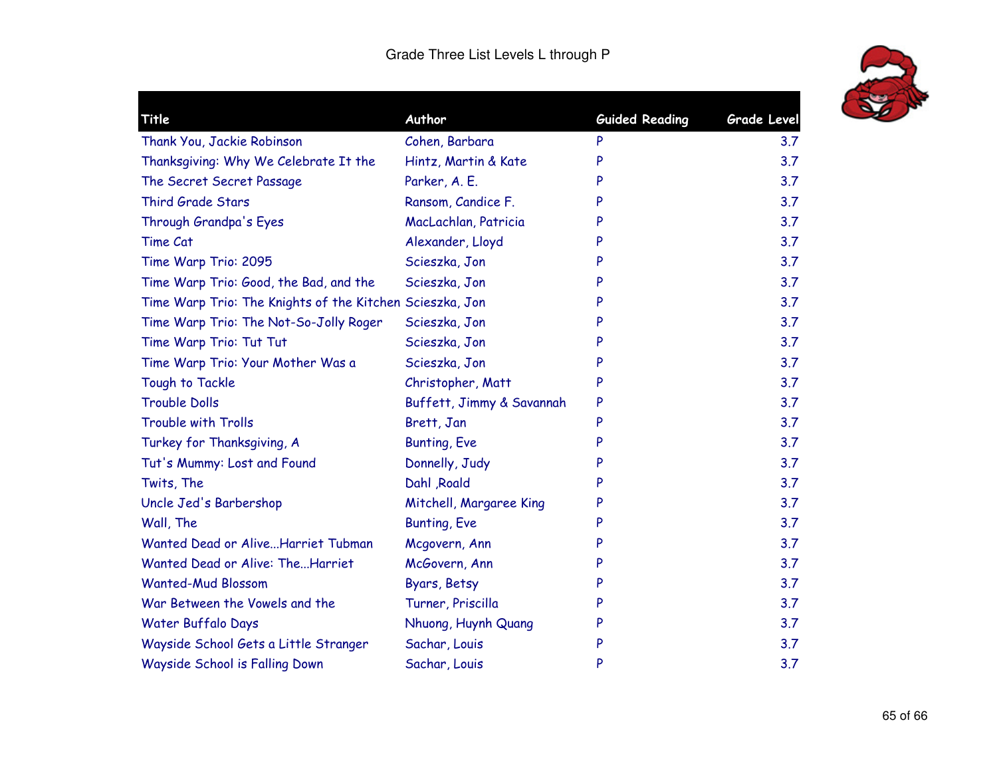

|   | <b>Grade Level</b>                                                                                                                                                     |
|---|------------------------------------------------------------------------------------------------------------------------------------------------------------------------|
| P | 3.7                                                                                                                                                                    |
| P | 3.7                                                                                                                                                                    |
| P | 3.7                                                                                                                                                                    |
| P | 3.7                                                                                                                                                                    |
| P | 3.7                                                                                                                                                                    |
| P | 3.7                                                                                                                                                                    |
| P | 3.7                                                                                                                                                                    |
| P | 3.7                                                                                                                                                                    |
| P | 3.7                                                                                                                                                                    |
| P | 3.7                                                                                                                                                                    |
| P | 3.7                                                                                                                                                                    |
| P | 3.7                                                                                                                                                                    |
| P | 3.7                                                                                                                                                                    |
| P | 3.7                                                                                                                                                                    |
| P | 3.7                                                                                                                                                                    |
| P | 3.7                                                                                                                                                                    |
| P | 3.7                                                                                                                                                                    |
| P | 3.7                                                                                                                                                                    |
| P | 3.7                                                                                                                                                                    |
| P | 3.7                                                                                                                                                                    |
| P | 3.7                                                                                                                                                                    |
| P | 3.7                                                                                                                                                                    |
| P | 3.7                                                                                                                                                                    |
| P | 3.7                                                                                                                                                                    |
| P | 3.7                                                                                                                                                                    |
| P | 3.7                                                                                                                                                                    |
| P | 3.7                                                                                                                                                                    |
|   | Hintz, Martin & Kate<br>Ransom, Candice F.<br>MacLachlan, Patricia<br>Christopher, Matt<br>Buffett, Jimmy & Savannah<br>Mitchell, Margaree King<br>Nhuong, Huynh Quang |